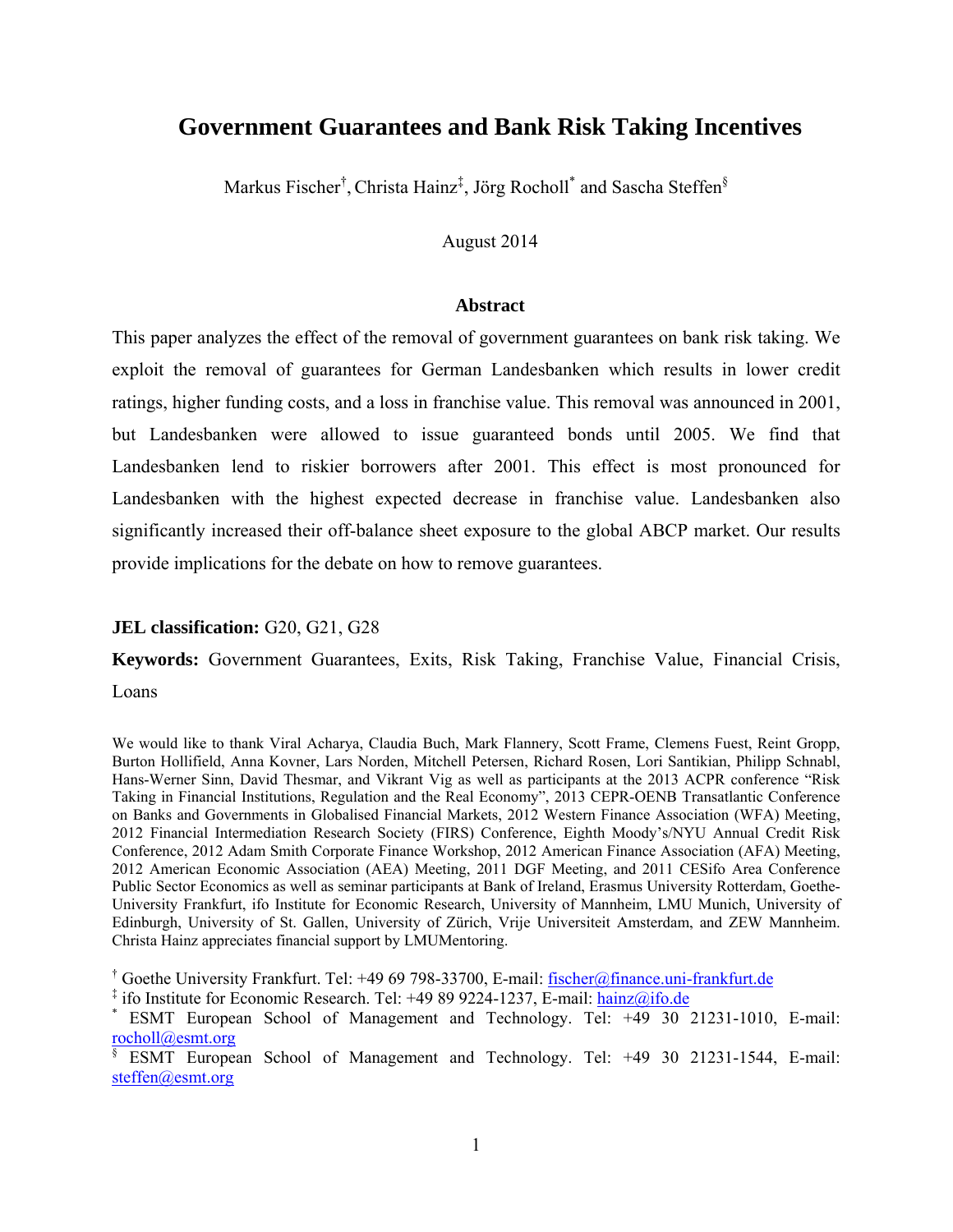# **Government Guarantees and Bank Risk Taking Incentives**

Markus Fischer<sup>†</sup>, Christa Hainz<sup>‡</sup>, Jörg Rocholl<sup>\*</sup> and Sascha Steffen<sup>§</sup>

## August 2014

#### **Abstract**

This paper analyzes the effect of the removal of government guarantees on bank risk taking. We exploit the removal of guarantees for German Landesbanken which results in lower credit ratings, higher funding costs, and a loss in franchise value. This removal was announced in 2001, but Landesbanken were allowed to issue guaranteed bonds until 2005. We find that Landesbanken lend to riskier borrowers after 2001. This effect is most pronounced for Landesbanken with the highest expected decrease in franchise value. Landesbanken also significantly increased their off-balance sheet exposure to the global ABCP market. Our results provide implications for the debate on how to remove guarantees.

#### **JEL classification:** G20, G21, G28

**Keywords:** Government Guarantees, Exits, Risk Taking, Franchise Value, Financial Crisis, Loans

We would like to thank Viral Acharya, Claudia Buch, Mark Flannery, Scott Frame, Clemens Fuest, Reint Gropp, Burton Hollifield, Anna Kovner, Lars Norden, Mitchell Petersen, Richard Rosen, Lori Santikian, Philipp Schnabl, Hans-Werner Sinn, David Thesmar, and Vikrant Vig as well as participants at the 2013 ACPR conference "Risk Taking in Financial Institutions, Regulation and the Real Economy", 2013 CEPR-OENB Transatlantic Conference on Banks and Governments in Globalised Financial Markets, 2012 Western Finance Association (WFA) Meeting, 2012 Financial Intermediation Research Society (FIRS) Conference, Eighth Moody's/NYU Annual Credit Risk Conference, 2012 Adam Smith Corporate Finance Workshop, 2012 American Finance Association (AFA) Meeting, 2012 American Economic Association (AEA) Meeting, 2011 DGF Meeting, and 2011 CESifo Area Conference Public Sector Economics as well as seminar participants at Bank of Ireland, Erasmus University Rotterdam, Goethe-University Frankfurt, ifo Institute for Economic Research, University of Mannheim, LMU Munich, University of Edinburgh, University of St. Gallen, University of Zürich, Vrije Universiteit Amsterdam, and ZEW Mannheim. Christa Hainz appreciates financial support by LMUMentoring.

<sup>†</sup> Goethe University Frankfurt. Tel: +49 69 798-33700, E-mail: fischer@finance.uni-frankfurt.de

<sup>&</sup>lt;sup>‡</sup> ifo Institute for Economic Research. Tel: +49 89 9224-1237, E-mail: hainz@ifo.de  $*$  ESMT, European, School, of Managament, and Technology, Tel: +49 30

ESMT European School of Management and Technology. Tel: +49 30 21231-1010, E-mail: rocholl@esmt.org

<sup>§</sup> ESMT European School of Management and Technology. Tel: +49 30 21231-1544, E-mail: steffen@esmt.org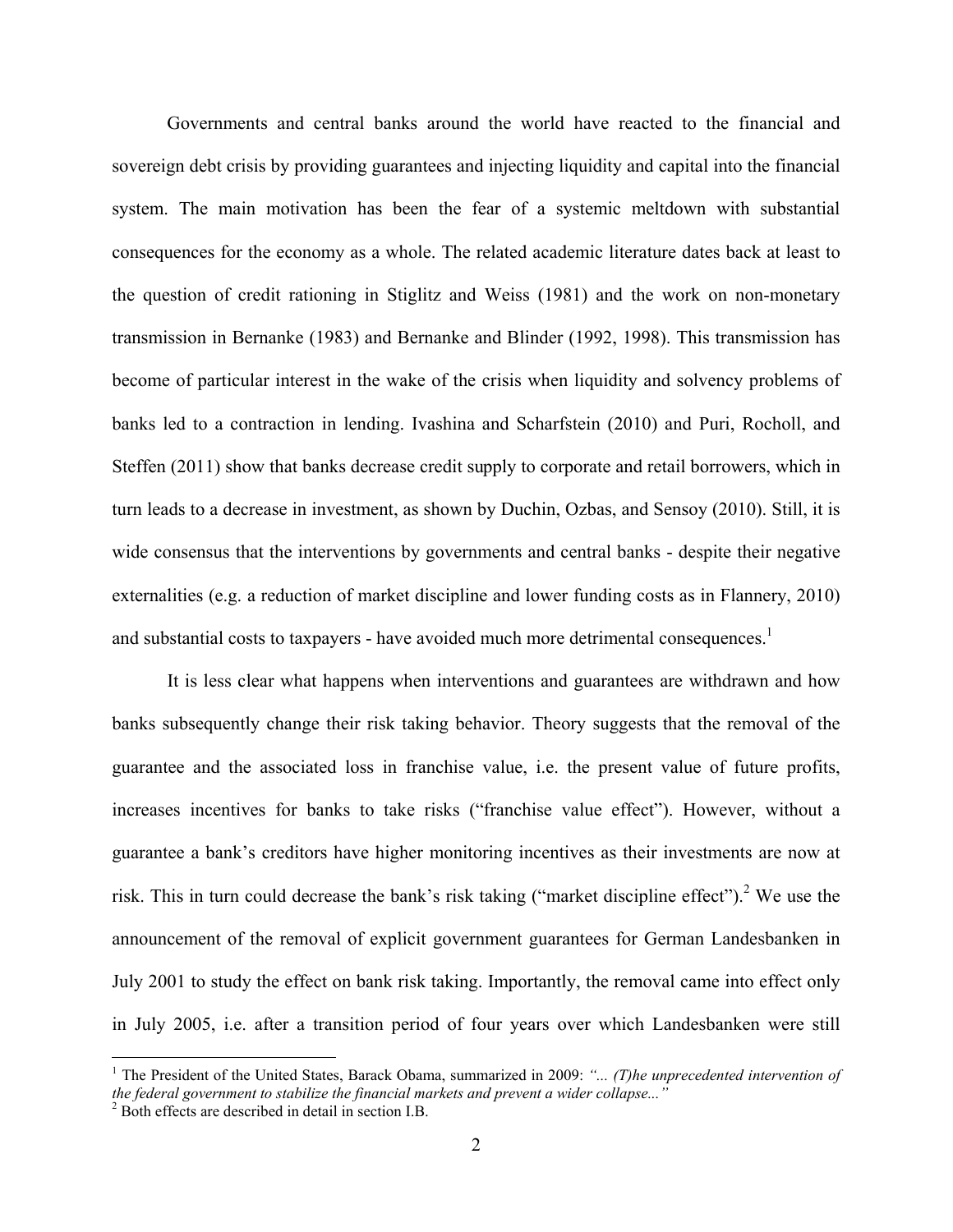Governments and central banks around the world have reacted to the financial and sovereign debt crisis by providing guarantees and injecting liquidity and capital into the financial system. The main motivation has been the fear of a systemic meltdown with substantial consequences for the economy as a whole. The related academic literature dates back at least to the question of credit rationing in Stiglitz and Weiss (1981) and the work on non-monetary transmission in Bernanke (1983) and Bernanke and Blinder (1992, 1998). This transmission has become of particular interest in the wake of the crisis when liquidity and solvency problems of banks led to a contraction in lending. Ivashina and Scharfstein (2010) and Puri, Rocholl, and Steffen (2011) show that banks decrease credit supply to corporate and retail borrowers, which in turn leads to a decrease in investment, as shown by Duchin, Ozbas, and Sensoy (2010). Still, it is wide consensus that the interventions by governments and central banks - despite their negative externalities (e.g. a reduction of market discipline and lower funding costs as in Flannery, 2010) and substantial costs to taxpayers - have avoided much more detrimental consequences.<sup>1</sup>

It is less clear what happens when interventions and guarantees are withdrawn and how banks subsequently change their risk taking behavior. Theory suggests that the removal of the guarantee and the associated loss in franchise value, i.e. the present value of future profits, increases incentives for banks to take risks ("franchise value effect"). However, without a guarantee a bank's creditors have higher monitoring incentives as their investments are now at risk. This in turn could decrease the bank's risk taking ("market discipline effect").<sup>2</sup> We use the announcement of the removal of explicit government guarantees for German Landesbanken in July 2001 to study the effect on bank risk taking. Importantly, the removal came into effect only in July 2005, i.e. after a transition period of four years over which Landesbanken were still

<sup>&</sup>lt;sup>1</sup> The President of the United States, Barack Obama, summarized in 2009: "... (T)he unprecedented intervention of the federal government to stabilize the financial markets and prevent a wider collapse...<sup>"</sup>

 $2^2$  Both effects are described in detail in section I.B.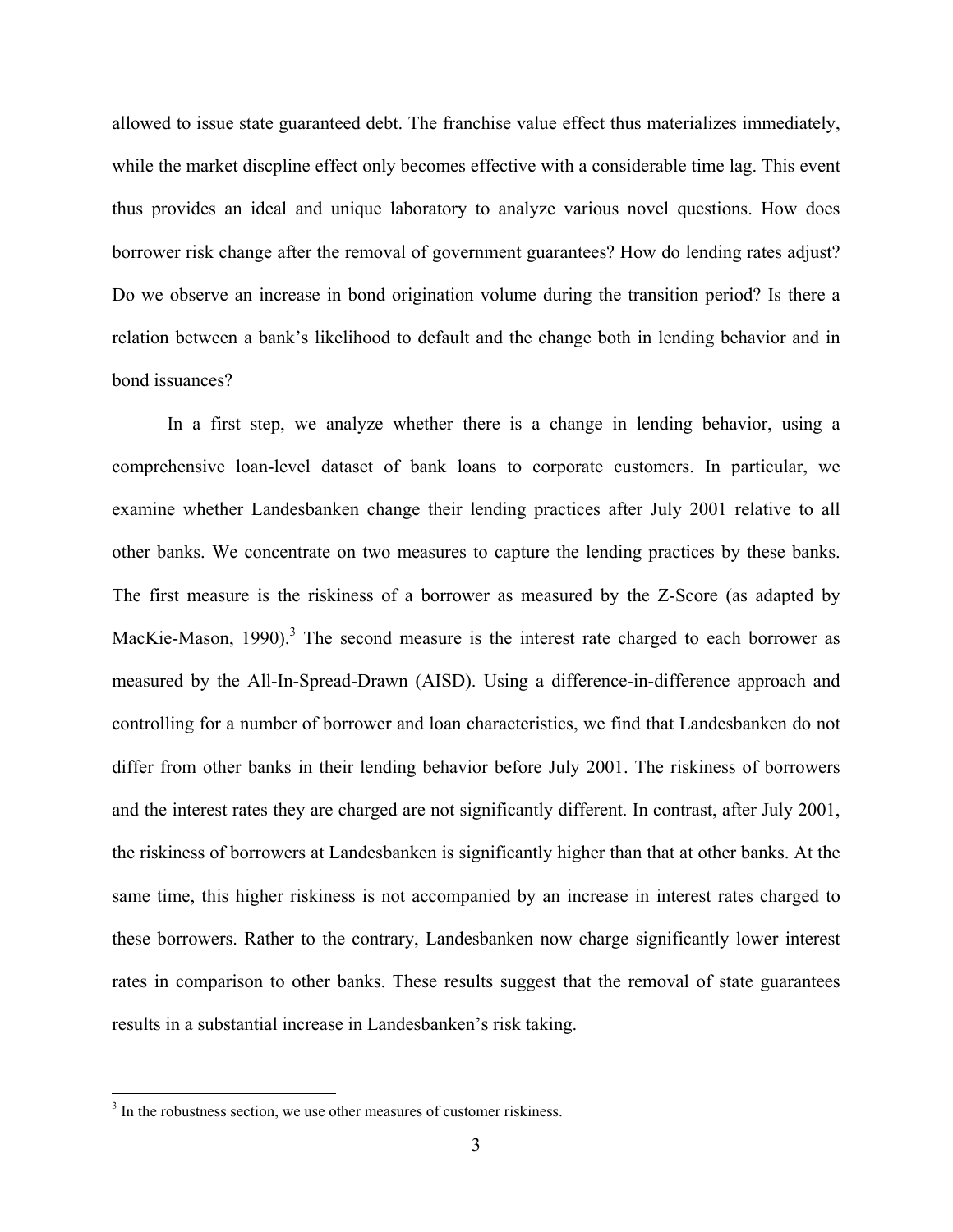allowed to issue state guaranteed debt. The franchise value effect thus materializes immediately, while the market discpline effect only becomes effective with a considerable time lag. This event thus provides an ideal and unique laboratory to analyze various novel questions. How does borrower risk change after the removal of government guarantees? How do lending rates adjust? Do we observe an increase in bond origination volume during the transition period? Is there a relation between a bank's likelihood to default and the change both in lending behavior and in bond issuances?

In a first step, we analyze whether there is a change in lending behavior, using a comprehensive loan-level dataset of bank loans to corporate customers. In particular, we examine whether Landesbanken change their lending practices after July 2001 relative to all other banks. We concentrate on two measures to capture the lending practices by these banks. The first measure is the riskiness of a borrower as measured by the Z-Score (as adapted by MacKie-Mason, 1990).<sup>3</sup> The second measure is the interest rate charged to each borrower as measured by the All-In-Spread-Drawn (AISD). Using a difference-in-difference approach and controlling for a number of borrower and loan characteristics, we find that Landesbanken do not differ from other banks in their lending behavior before July 2001. The riskiness of borrowers and the interest rates they are charged are not significantly different. In contrast, after July 2001, the riskiness of borrowers at Landesbanken is significantly higher than that at other banks. At the same time, this higher riskiness is not accompanied by an increase in interest rates charged to these borrowers. Rather to the contrary, Landesbanken now charge significantly lower interest rates in comparison to other banks. These results suggest that the removal of state guarantees results in a substantial increase in Landesbanken's risk taking.

<u>.</u>

<sup>&</sup>lt;sup>3</sup> In the robustness section, we use other measures of customer riskiness.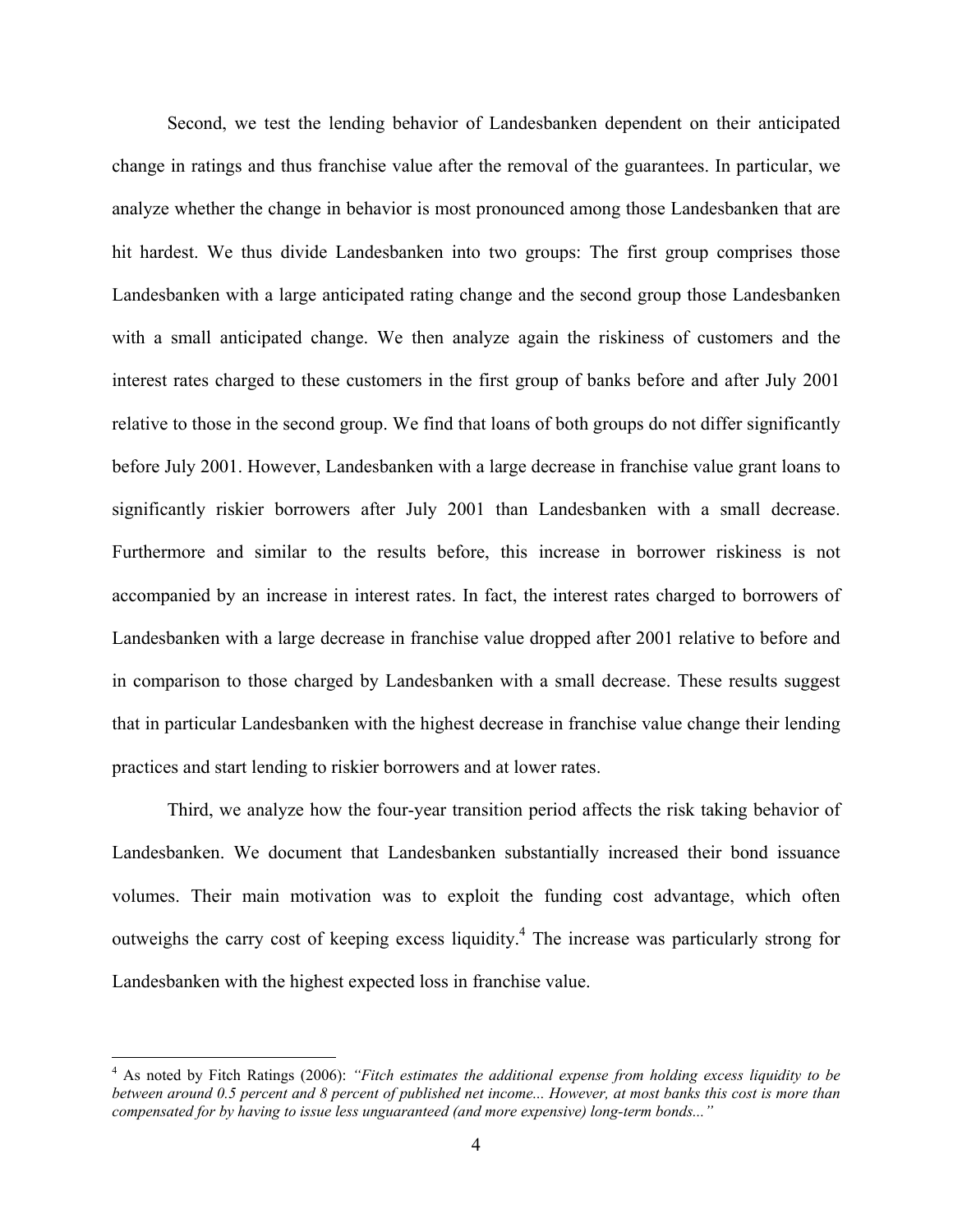Second, we test the lending behavior of Landesbanken dependent on their anticipated change in ratings and thus franchise value after the removal of the guarantees. In particular, we analyze whether the change in behavior is most pronounced among those Landesbanken that are hit hardest. We thus divide Landesbanken into two groups: The first group comprises those Landesbanken with a large anticipated rating change and the second group those Landesbanken with a small anticipated change. We then analyze again the riskiness of customers and the interest rates charged to these customers in the first group of banks before and after July 2001 relative to those in the second group. We find that loans of both groups do not differ significantly before July 2001. However, Landesbanken with a large decrease in franchise value grant loans to significantly riskier borrowers after July 2001 than Landesbanken with a small decrease. Furthermore and similar to the results before, this increase in borrower riskiness is not accompanied by an increase in interest rates. In fact, the interest rates charged to borrowers of Landesbanken with a large decrease in franchise value dropped after 2001 relative to before and in comparison to those charged by Landesbanken with a small decrease. These results suggest that in particular Landesbanken with the highest decrease in franchise value change their lending practices and start lending to riskier borrowers and at lower rates.

Third, we analyze how the four-year transition period affects the risk taking behavior of Landesbanken. We document that Landesbanken substantially increased their bond issuance volumes. Their main motivation was to exploit the funding cost advantage, which often outweighs the carry cost of keeping excess liquidity.<sup>4</sup> The increase was particularly strong for Landesbanken with the highest expected loss in franchise value.

<sup>4</sup> As noted by Fitch Ratings (2006): *"Fitch estimates the additional expense from holding excess liquidity to be between around 0.5 percent and 8 percent of published net income... However, at most banks this cost is more than compensated for by having to issue less unguaranteed (and more expensive) long-term bonds..."*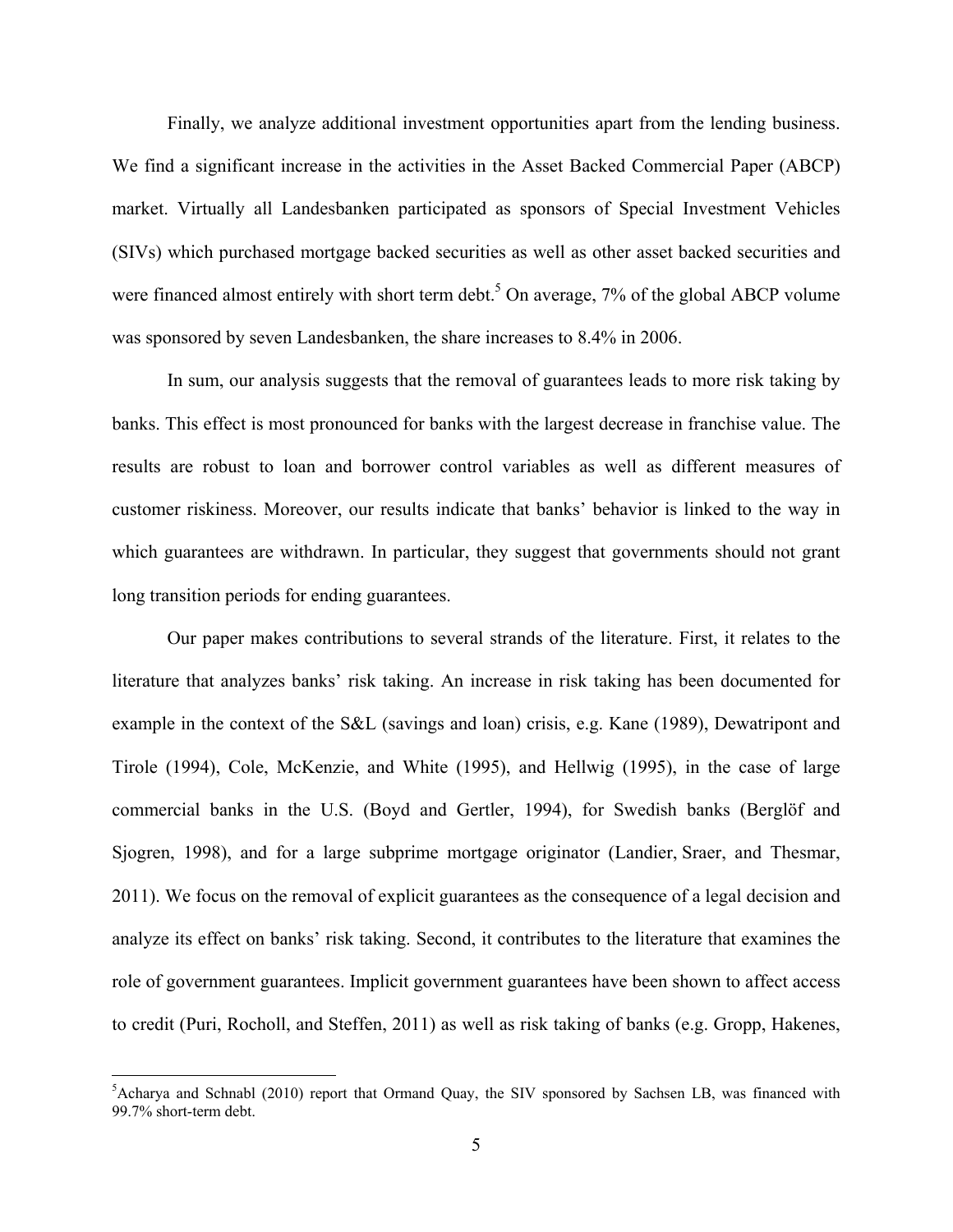Finally, we analyze additional investment opportunities apart from the lending business. We find a significant increase in the activities in the Asset Backed Commercial Paper (ABCP) market. Virtually all Landesbanken participated as sponsors of Special Investment Vehicles (SIVs) which purchased mortgage backed securities as well as other asset backed securities and were financed almost entirely with short term debt.<sup>5</sup> On average,  $7%$  of the global ABCP volume was sponsored by seven Landesbanken, the share increases to 8.4% in 2006.

In sum, our analysis suggests that the removal of guarantees leads to more risk taking by banks. This effect is most pronounced for banks with the largest decrease in franchise value. The results are robust to loan and borrower control variables as well as different measures of customer riskiness. Moreover, our results indicate that banks' behavior is linked to the way in which guarantees are withdrawn. In particular, they suggest that governments should not grant long transition periods for ending guarantees.

Our paper makes contributions to several strands of the literature. First, it relates to the literature that analyzes banks' risk taking. An increase in risk taking has been documented for example in the context of the S&L (savings and loan) crisis, e.g. Kane (1989), Dewatripont and Tirole (1994), Cole, McKenzie, and White (1995), and Hellwig (1995), in the case of large commercial banks in the U.S. (Boyd and Gertler, 1994), for Swedish banks (Berglöf and Sjogren, 1998), and for a large subprime mortgage originator (Landier, Sraer, and Thesmar, 2011). We focus on the removal of explicit guarantees as the consequence of a legal decision and analyze its effect on banks' risk taking. Second, it contributes to the literature that examines the role of government guarantees. Implicit government guarantees have been shown to affect access to credit (Puri, Rocholl, and Steffen, 2011) as well as risk taking of banks (e.g. Gropp, Hakenes,

<sup>&</sup>lt;sup>5</sup>Acharya and Schnabl (2010) report that Ormand Quay, the SIV sponsored by Sachsen LB, was financed with 99.7% short-term debt.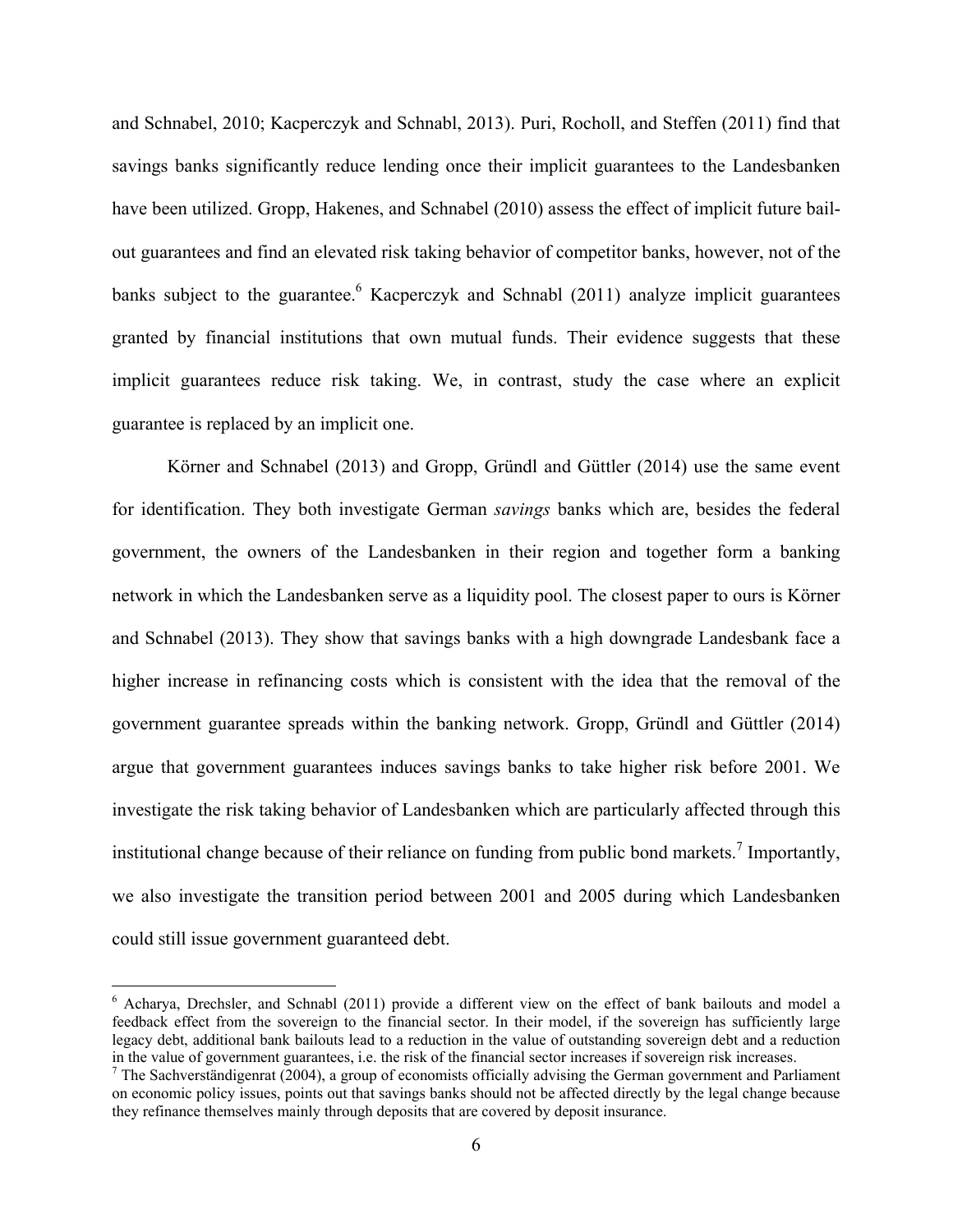and Schnabel, 2010; Kacperczyk and Schnabl, 2013). Puri, Rocholl, and Steffen (2011) find that savings banks significantly reduce lending once their implicit guarantees to the Landesbanken have been utilized. Gropp, Hakenes, and Schnabel (2010) assess the effect of implicit future bailout guarantees and find an elevated risk taking behavior of competitor banks, however, not of the banks subject to the guarantee. <sup>6</sup> Kacperczyk and Schnabl (2011) analyze implicit guarantees granted by financial institutions that own mutual funds. Their evidence suggests that these implicit guarantees reduce risk taking. We, in contrast, study the case where an explicit guarantee is replaced by an implicit one.

Körner and Schnabel (2013) and Gropp, Gründl and Güttler (2014) use the same event for identification. They both investigate German *savings* banks which are, besides the federal government, the owners of the Landesbanken in their region and together form a banking network in which the Landesbanken serve as a liquidity pool. The closest paper to ours is Körner and Schnabel (2013). They show that savings banks with a high downgrade Landesbank face a higher increase in refinancing costs which is consistent with the idea that the removal of the government guarantee spreads within the banking network. Gropp, Gründl and Güttler (2014) argue that government guarantees induces savings banks to take higher risk before 2001. We investigate the risk taking behavior of Landesbanken which are particularly affected through this institutional change because of their reliance on funding from public bond markets.<sup>7</sup> Importantly, we also investigate the transition period between 2001 and 2005 during which Landesbanken could still issue government guaranteed debt.

<sup>&</sup>lt;sup>6</sup> Acharya, Drechsler, and Schnabl (2011) provide a different view on the effect of bank bailouts and model a feedback effect from the sovereign to the financial sector. In their model, if the sovereign has sufficiently large legacy debt, additional bank bailouts lead to a reduction in the value of outstanding sovereign debt and a reduction in the value of government guarantees, i.e. the risk of the financial sector increases if sovereign risk increases. 7

 $^7$  The Sachverständigenrat (2004), a group of economists officially advising the German government and Parliament on economic policy issues, points out that savings banks should not be affected directly by the legal change because they refinance themselves mainly through deposits that are covered by deposit insurance.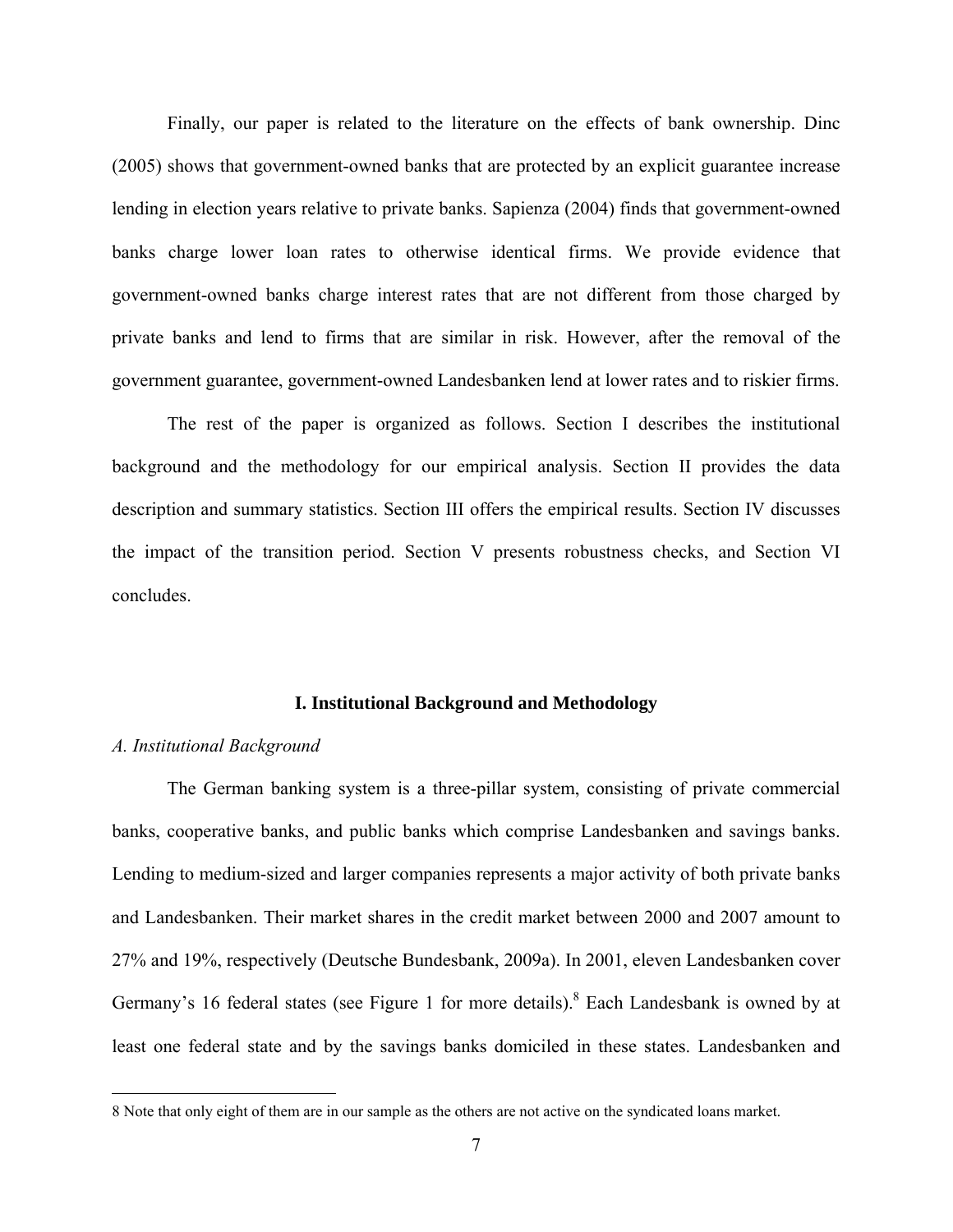Finally, our paper is related to the literature on the effects of bank ownership. Dinc (2005) shows that government-owned banks that are protected by an explicit guarantee increase lending in election years relative to private banks. Sapienza (2004) finds that government-owned banks charge lower loan rates to otherwise identical firms. We provide evidence that government-owned banks charge interest rates that are not different from those charged by private banks and lend to firms that are similar in risk. However, after the removal of the government guarantee, government-owned Landesbanken lend at lower rates and to riskier firms.

The rest of the paper is organized as follows. Section I describes the institutional background and the methodology for our empirical analysis. Section II provides the data description and summary statistics. Section III offers the empirical results. Section IV discusses the impact of the transition period. Section V presents robustness checks, and Section VI concludes.

#### **I. Institutional Background and Methodology**

#### *A. Institutional Background*

 $\overline{a}$ 

The German banking system is a three-pillar system, consisting of private commercial banks, cooperative banks, and public banks which comprise Landesbanken and savings banks. Lending to medium-sized and larger companies represents a major activity of both private banks and Landesbanken. Their market shares in the credit market between 2000 and 2007 amount to 27% and 19%, respectively (Deutsche Bundesbank, 2009a). In 2001, eleven Landesbanken cover Germany's 16 federal states (see Figure 1 for more details). <sup>8</sup> Each Landesbank is owned by at least one federal state and by the savings banks domiciled in these states. Landesbanken and

<sup>8</sup> Note that only eight of them are in our sample as the others are not active on the syndicated loans market.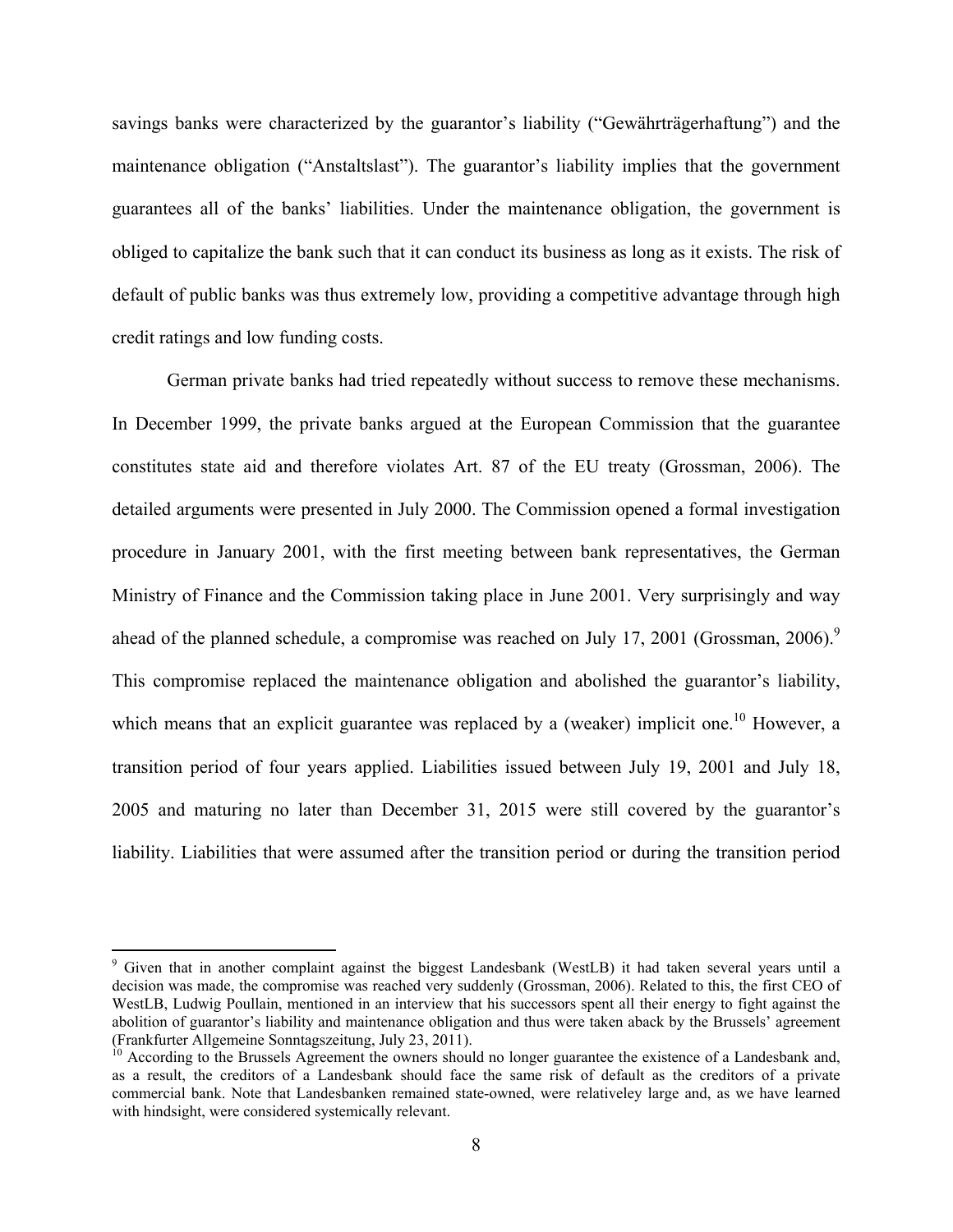savings banks were characterized by the guarantor's liability ("Gewährträgerhaftung") and the maintenance obligation ("Anstaltslast"). The guarantor's liability implies that the government guarantees all of the banks' liabilities. Under the maintenance obligation, the government is obliged to capitalize the bank such that it can conduct its business as long as it exists. The risk of default of public banks was thus extremely low, providing a competitive advantage through high credit ratings and low funding costs.

German private banks had tried repeatedly without success to remove these mechanisms. In December 1999, the private banks argued at the European Commission that the guarantee constitutes state aid and therefore violates Art. 87 of the EU treaty (Grossman, 2006). The detailed arguments were presented in July 2000. The Commission opened a formal investigation procedure in January 2001, with the first meeting between bank representatives, the German Ministry of Finance and the Commission taking place in June 2001. Very surprisingly and way ahead of the planned schedule, a compromise was reached on July 17, 2001 (Grossman, 2006).<sup>9</sup> This compromise replaced the maintenance obligation and abolished the guarantor's liability, which means that an explicit guarantee was replaced by a (weaker) implicit one.<sup>10</sup> However, a transition period of four years applied. Liabilities issued between July 19, 2001 and July 18, 2005 and maturing no later than December 31, 2015 were still covered by the guarantor's liability. Liabilities that were assumed after the transition period or during the transition period

<sup>&</sup>lt;sup>9</sup> Given that in another complaint against the biggest Landesbank (WestLB) it had taken several years until a decision was made, the compromise was reached very suddenly (Grossman, 2006). Related to this, the first CEO of WestLB, Ludwig Poullain, mentioned in an interview that his successors spent all their energy to fight against the abolition of guarantor's liability and maintenance obligation and thus were taken aback by the Brussels' agreement (Frankfurter Allgemeine Sonntagszeitung, July 23, 2011).

<sup>&</sup>lt;sup>10</sup> According to the Brussels Agreement the owners should no longer guarantee the existence of a Landesbank and, as a result, the creditors of a Landesbank should face the same risk of default as the creditors of a private commercial bank. Note that Landesbanken remained state-owned, were relativeley large and, as we have learned with hindsight, were considered systemically relevant.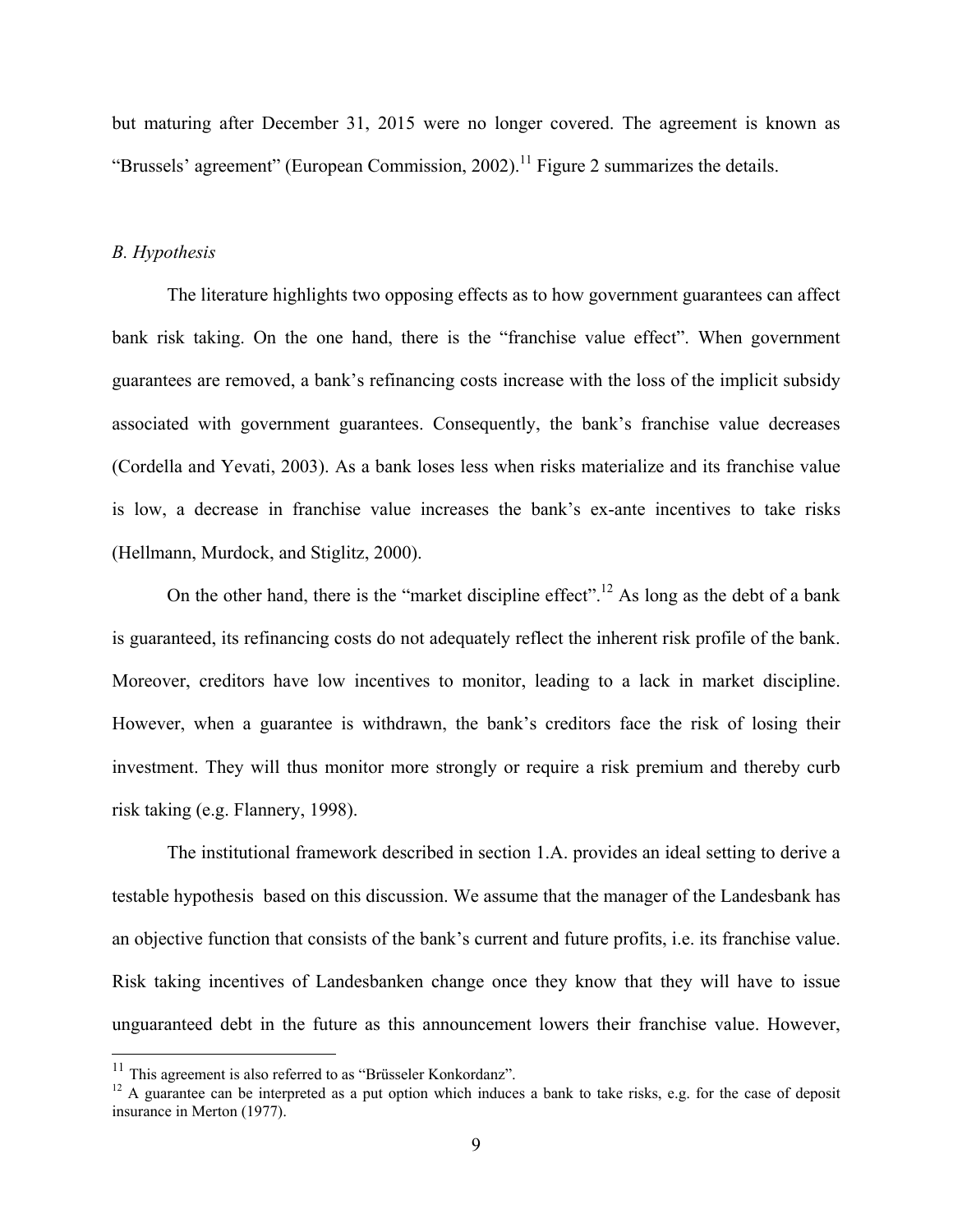but maturing after December 31, 2015 were no longer covered. The agreement is known as "Brussels' agreement" (European Commission, 2002).<sup>11</sup> Figure 2 summarizes the details.

### *B. Hypothesis*

The literature highlights two opposing effects as to how government guarantees can affect bank risk taking. On the one hand, there is the "franchise value effect". When government guarantees are removed, a bank's refinancing costs increase with the loss of the implicit subsidy associated with government guarantees. Consequently, the bank's franchise value decreases (Cordella and Yevati, 2003). As a bank loses less when risks materialize and its franchise value is low, a decrease in franchise value increases the bank's ex-ante incentives to take risks (Hellmann, Murdock, and Stiglitz, 2000).

On the other hand, there is the "market discipline effect".<sup>12</sup> As long as the debt of a bank is guaranteed, its refinancing costs do not adequately reflect the inherent risk profile of the bank. Moreover, creditors have low incentives to monitor, leading to a lack in market discipline. However, when a guarantee is withdrawn, the bank's creditors face the risk of losing their investment. They will thus monitor more strongly or require a risk premium and thereby curb risk taking (e.g. Flannery, 1998).

The institutional framework described in section 1.A. provides an ideal setting to derive a testable hypothesis based on this discussion. We assume that the manager of the Landesbank has an objective function that consists of the bank's current and future profits, i.e. its franchise value. Risk taking incentives of Landesbanken change once they know that they will have to issue unguaranteed debt in the future as this announcement lowers their franchise value. However,

 $11$  This agreement is also referred to as "Brüsseler Konkordanz".

<sup>&</sup>lt;sup>12</sup> A guarantee can be interpreted as a put option which induces a bank to take risks, e.g. for the case of deposit insurance in Merton (1977).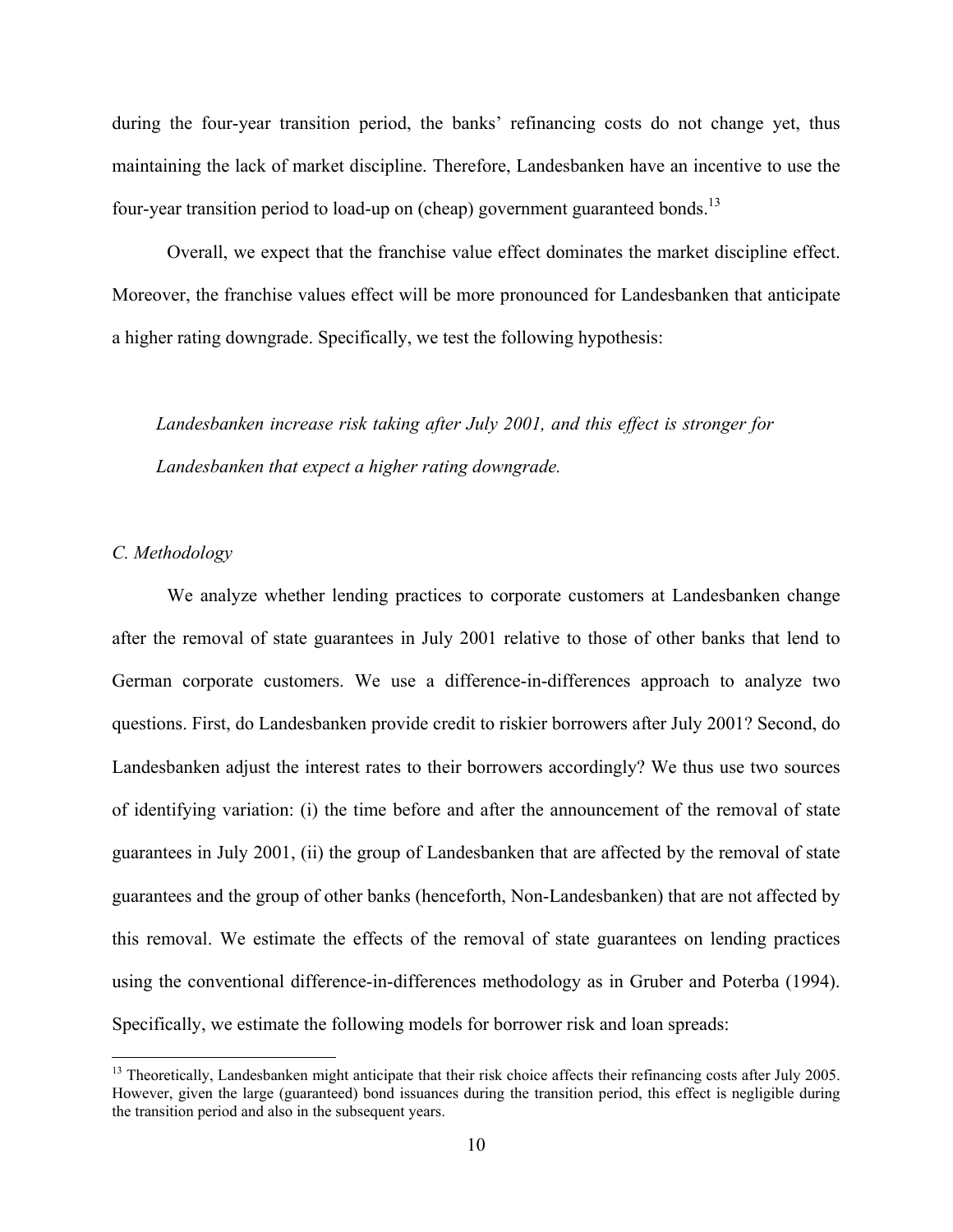during the four-year transition period, the banks' refinancing costs do not change yet, thus maintaining the lack of market discipline. Therefore, Landesbanken have an incentive to use the four-year transition period to load-up on (cheap) government guaranteed bonds.<sup>13</sup>

Overall, we expect that the franchise value effect dominates the market discipline effect. Moreover, the franchise values effect will be more pronounced for Landesbanken that anticipate a higher rating downgrade. Specifically, we test the following hypothesis:

*Landesbanken increase risk taking after July 2001, and this effect is stronger for Landesbanken that expect a higher rating downgrade.* 

## *C. Methodology*

 $\overline{a}$ 

We analyze whether lending practices to corporate customers at Landesbanken change after the removal of state guarantees in July 2001 relative to those of other banks that lend to German corporate customers. We use a difference-in-differences approach to analyze two questions. First, do Landesbanken provide credit to riskier borrowers after July 2001? Second, do Landesbanken adjust the interest rates to their borrowers accordingly? We thus use two sources of identifying variation: (i) the time before and after the announcement of the removal of state guarantees in July 2001, (ii) the group of Landesbanken that are affected by the removal of state guarantees and the group of other banks (henceforth, Non-Landesbanken) that are not affected by this removal. We estimate the effects of the removal of state guarantees on lending practices using the conventional difference-in-differences methodology as in Gruber and Poterba (1994). Specifically, we estimate the following models for borrower risk and loan spreads:

 $<sup>13</sup>$  Theoretically, Landesbanken might anticipate that their risk choice affects their refinancing costs after July 2005.</sup> However, given the large (guaranteed) bond issuances during the transition period, this effect is negligible during the transition period and also in the subsequent years.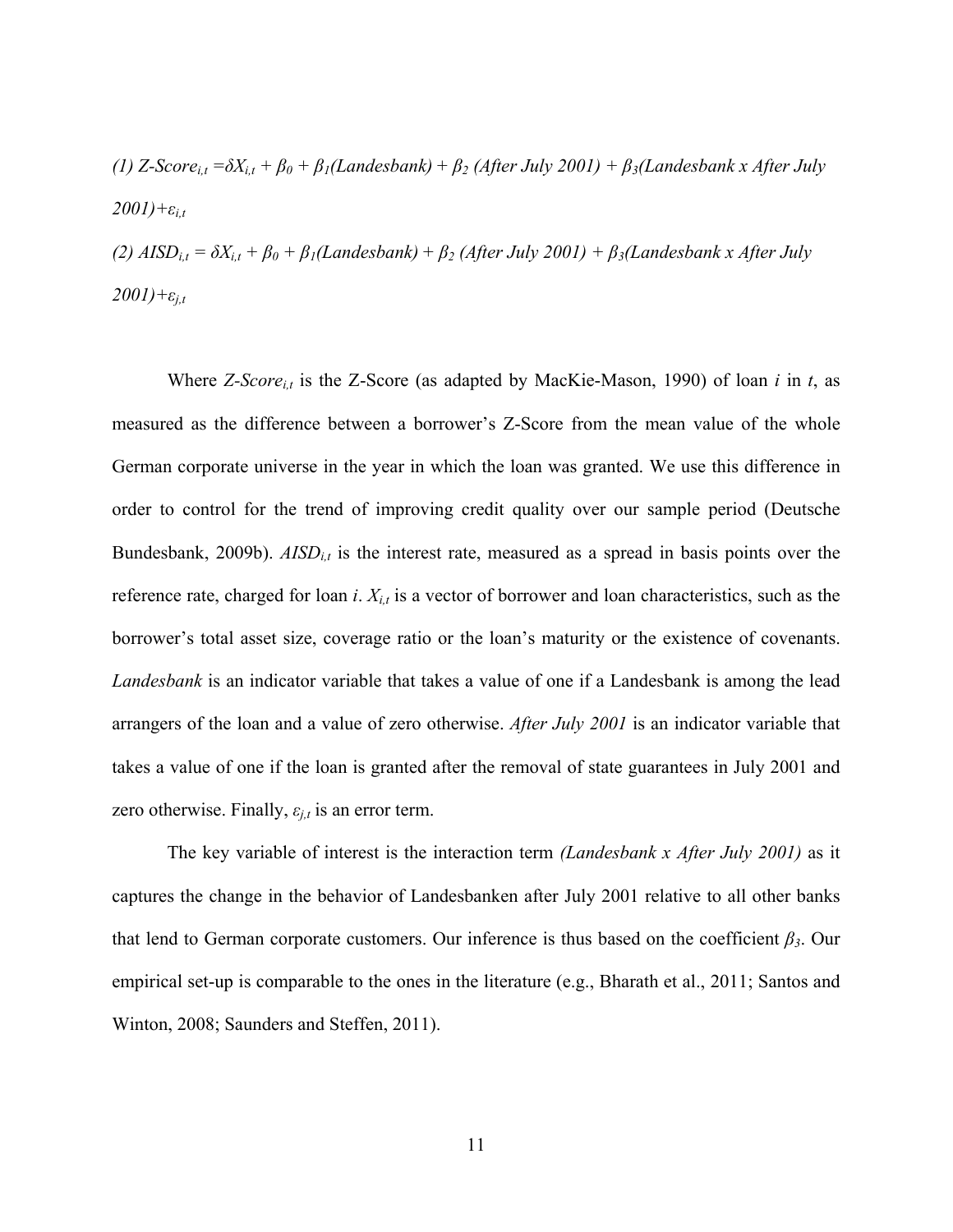*(1)*  $Z$ -Score<sub>i,t</sub> =  $\delta X_{i,t} + \beta_0 + \beta_1(L$ andesbank) +  $\beta_2$  (After July 2001) +  $\beta_3(L$ andesbank x After July  $2001$ )+ $\varepsilon$ <sub>*it*</sub>

*(2)*  $AISD_{i,t} = \delta X_{i,t} + \beta_0 + \beta_1(Landesbank) + \beta_2 (After July 2001) + \beta_3(Landesbank x After July 2001)$  $2001$ )+ $\varepsilon$ <sub>*j,t*</sub>

Where *Z-Scorei,t* is the Z-Score (as adapted by MacKie-Mason, 1990) of loan *i* in *t*, as measured as the difference between a borrower's Z-Score from the mean value of the whole German corporate universe in the year in which the loan was granted. We use this difference in order to control for the trend of improving credit quality over our sample period (Deutsche Bundesbank, 2009b).  $AISD_{i,t}$  is the interest rate, measured as a spread in basis points over the reference rate, charged for loan *i*. *Xi,t* is a vector of borrower and loan characteristics, such as the borrower's total asset size, coverage ratio or the loan's maturity or the existence of covenants. *Landesbank* is an indicator variable that takes a value of one if a Landesbank is among the lead arrangers of the loan and a value of zero otherwise. *After July 2001* is an indicator variable that takes a value of one if the loan is granted after the removal of state guarantees in July 2001 and zero otherwise. Finally,  $\varepsilon_{j,t}$  is an error term.

The key variable of interest is the interaction term *(Landesbank x After July 2001)* as it captures the change in the behavior of Landesbanken after July 2001 relative to all other banks that lend to German corporate customers. Our inference is thus based on the coefficient *β3*. Our empirical set-up is comparable to the ones in the literature (e.g., Bharath et al., 2011; Santos and Winton, 2008; Saunders and Steffen, 2011).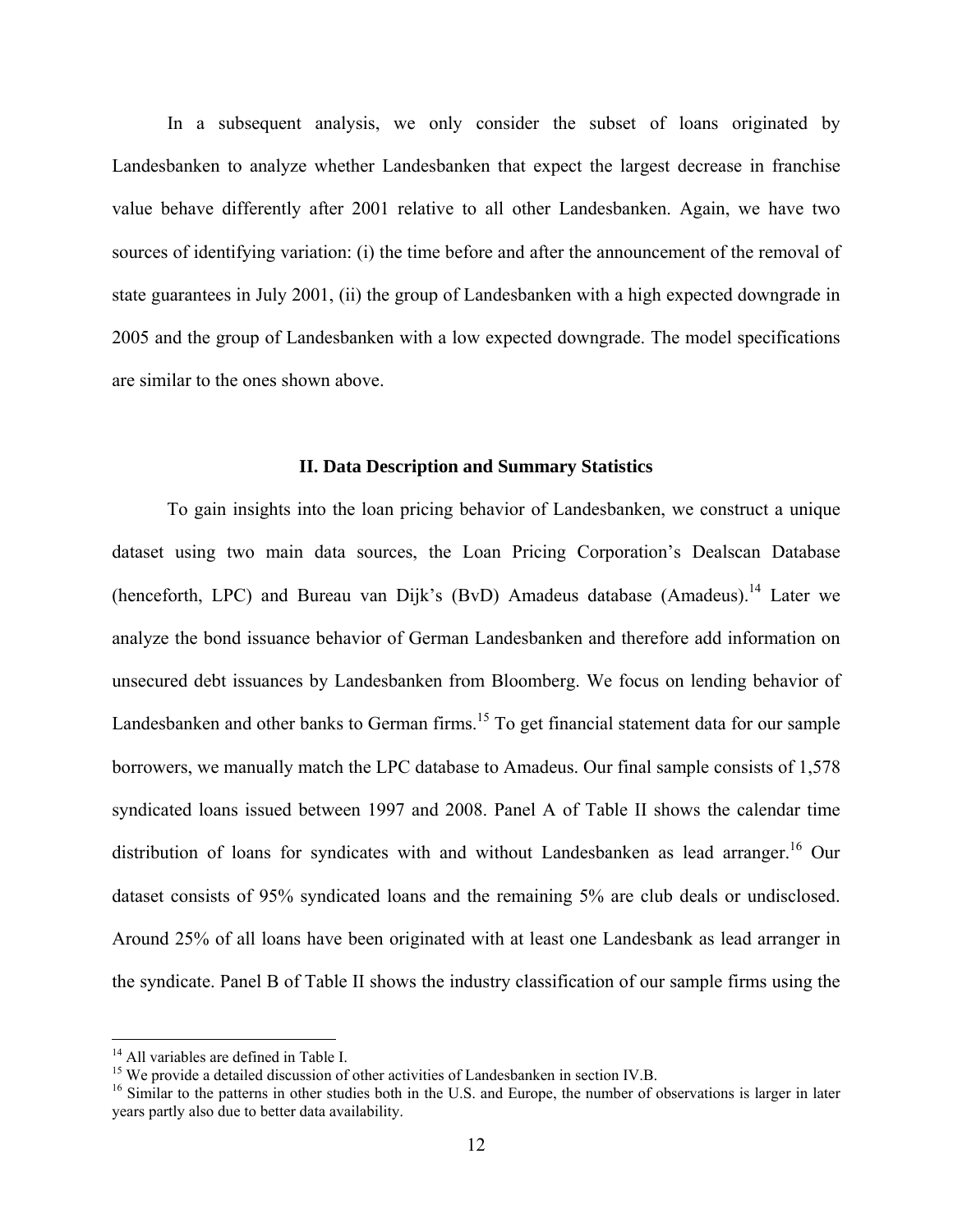In a subsequent analysis, we only consider the subset of loans originated by Landesbanken to analyze whether Landesbanken that expect the largest decrease in franchise value behave differently after 2001 relative to all other Landesbanken. Again, we have two sources of identifying variation: (i) the time before and after the announcement of the removal of state guarantees in July 2001, (ii) the group of Landesbanken with a high expected downgrade in 2005 and the group of Landesbanken with a low expected downgrade. The model specifications are similar to the ones shown above.

#### **II. Data Description and Summary Statistics**

To gain insights into the loan pricing behavior of Landesbanken, we construct a unique dataset using two main data sources, the Loan Pricing Corporation's Dealscan Database (henceforth, LPC) and Bureau van Dijk's (BvD) Amadeus database (Amadeus).14 Later we analyze the bond issuance behavior of German Landesbanken and therefore add information on unsecured debt issuances by Landesbanken from Bloomberg. We focus on lending behavior of Landesbanken and other banks to German firms.<sup>15</sup> To get financial statement data for our sample borrowers, we manually match the LPC database to Amadeus. Our final sample consists of 1,578 syndicated loans issued between 1997 and 2008. Panel A of Table II shows the calendar time distribution of loans for syndicates with and without Landesbanken as lead arranger.<sup>16</sup> Our dataset consists of 95% syndicated loans and the remaining 5% are club deals or undisclosed. Around 25% of all loans have been originated with at least one Landesbank as lead arranger in the syndicate. Panel B of Table II shows the industry classification of our sample firms using the

<sup>&</sup>lt;sup>14</sup> All variables are defined in Table I.

<sup>&</sup>lt;sup>15</sup> We provide a detailed discussion of other activities of Landesbanken in section IV.B.

 $16$  Similar to the patterns in other studies both in the U.S. and Europe, the number of observations is larger in later years partly also due to better data availability.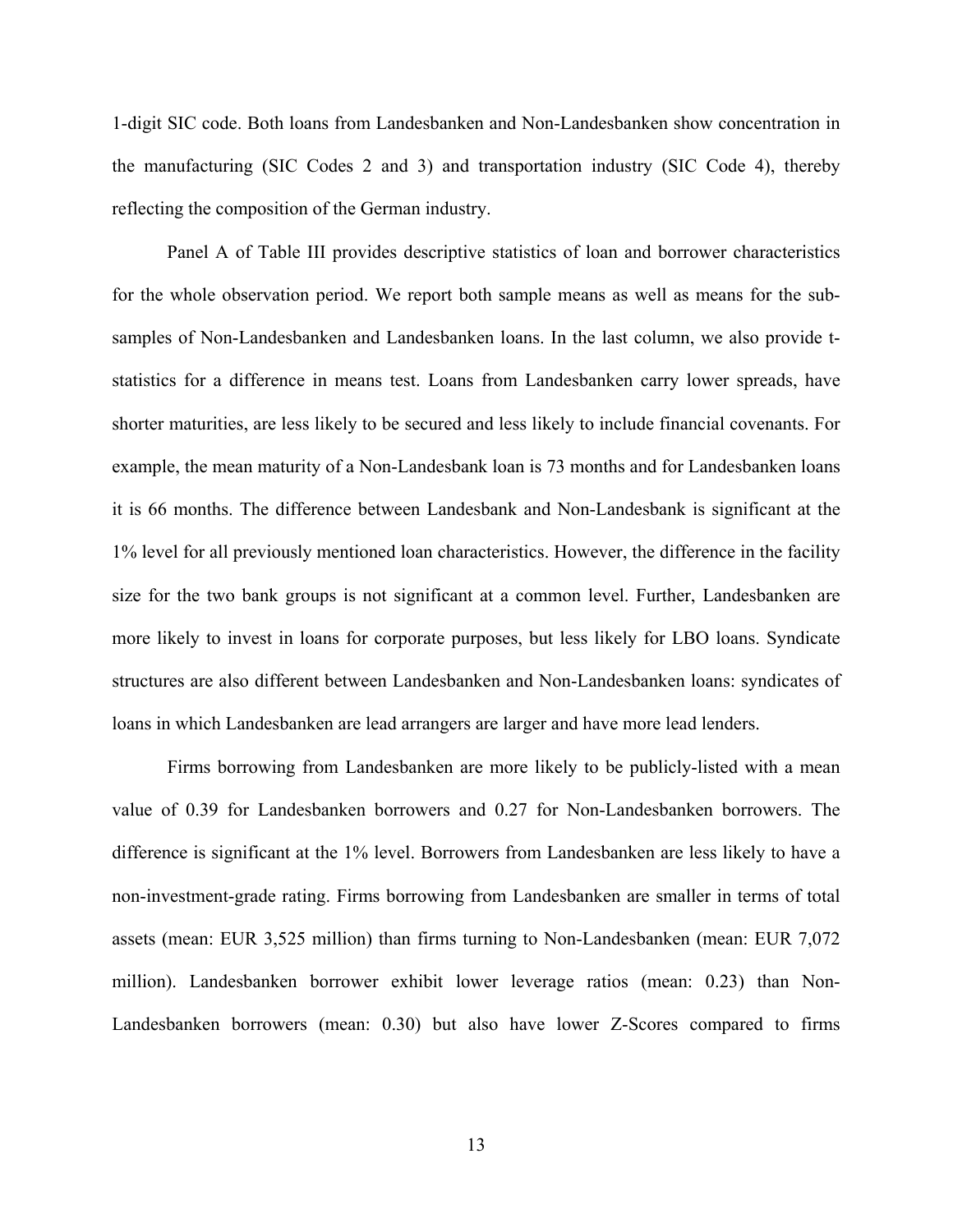1-digit SIC code. Both loans from Landesbanken and Non-Landesbanken show concentration in the manufacturing (SIC Codes 2 and 3) and transportation industry (SIC Code 4), thereby reflecting the composition of the German industry.

Panel A of Table III provides descriptive statistics of loan and borrower characteristics for the whole observation period. We report both sample means as well as means for the subsamples of Non-Landesbanken and Landesbanken loans. In the last column, we also provide tstatistics for a difference in means test. Loans from Landesbanken carry lower spreads, have shorter maturities, are less likely to be secured and less likely to include financial covenants. For example, the mean maturity of a Non-Landesbank loan is 73 months and for Landesbanken loans it is 66 months. The difference between Landesbank and Non-Landesbank is significant at the 1% level for all previously mentioned loan characteristics. However, the difference in the facility size for the two bank groups is not significant at a common level. Further, Landesbanken are more likely to invest in loans for corporate purposes, but less likely for LBO loans. Syndicate structures are also different between Landesbanken and Non-Landesbanken loans: syndicates of loans in which Landesbanken are lead arrangers are larger and have more lead lenders.

Firms borrowing from Landesbanken are more likely to be publicly-listed with a mean value of 0.39 for Landesbanken borrowers and 0.27 for Non-Landesbanken borrowers. The difference is significant at the 1% level. Borrowers from Landesbanken are less likely to have a non-investment-grade rating. Firms borrowing from Landesbanken are smaller in terms of total assets (mean: EUR 3,525 million) than firms turning to Non-Landesbanken (mean: EUR 7,072 million). Landesbanken borrower exhibit lower leverage ratios (mean: 0.23) than Non-Landesbanken borrowers (mean: 0.30) but also have lower Z-Scores compared to firms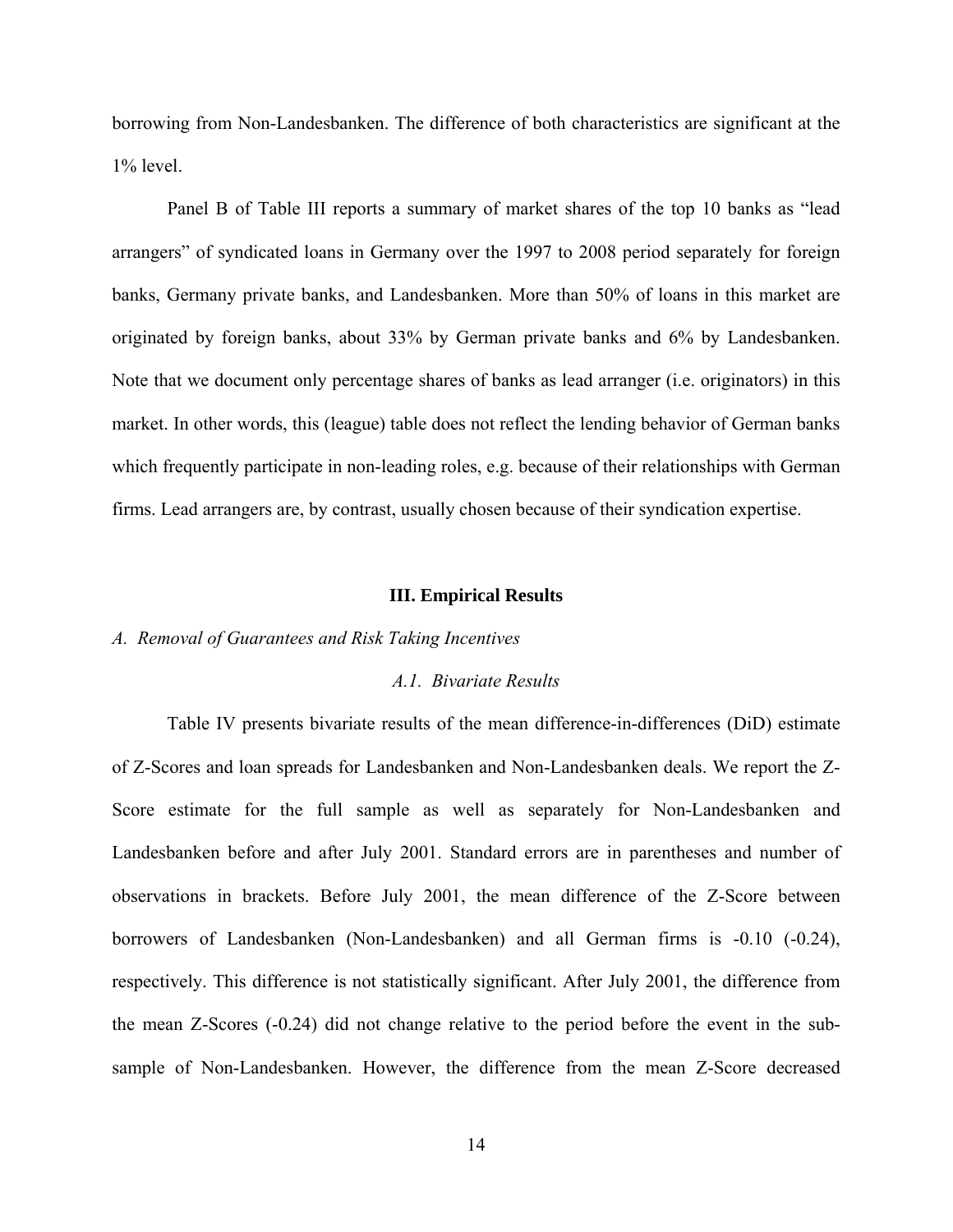borrowing from Non-Landesbanken. The difference of both characteristics are significant at the  $1\%$  level.

Panel B of Table III reports a summary of market shares of the top 10 banks as "lead arrangers" of syndicated loans in Germany over the 1997 to 2008 period separately for foreign banks, Germany private banks, and Landesbanken. More than 50% of loans in this market are originated by foreign banks, about 33% by German private banks and 6% by Landesbanken. Note that we document only percentage shares of banks as lead arranger (i.e. originators) in this market. In other words, this (league) table does not reflect the lending behavior of German banks which frequently participate in non-leading roles, e.g. because of their relationships with German firms. Lead arrangers are, by contrast, usually chosen because of their syndication expertise.

#### **III. Empirical Results**

### *A. Removal of Guarantees and Risk Taking Incentives*

#### *A.1. Bivariate Results*

Table IV presents bivariate results of the mean difference-in-differences (DiD) estimate of Z-Scores and loan spreads for Landesbanken and Non-Landesbanken deals. We report the Z-Score estimate for the full sample as well as separately for Non-Landesbanken and Landesbanken before and after July 2001. Standard errors are in parentheses and number of observations in brackets. Before July 2001, the mean difference of the Z-Score between borrowers of Landesbanken (Non-Landesbanken) and all German firms is -0.10 (-0.24), respectively. This difference is not statistically significant. After July 2001, the difference from the mean Z-Scores (-0.24) did not change relative to the period before the event in the subsample of Non-Landesbanken. However, the difference from the mean Z-Score decreased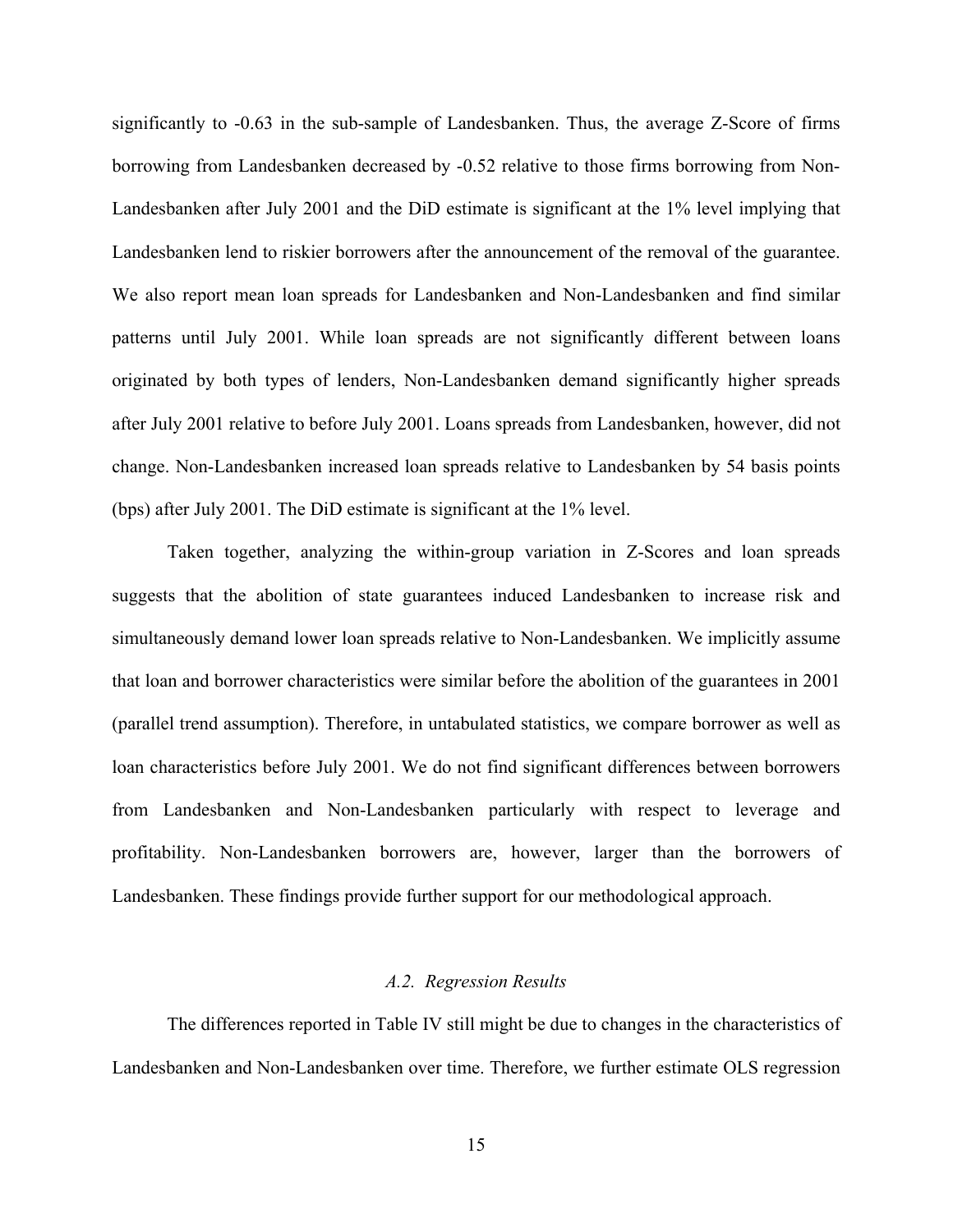significantly to -0.63 in the sub-sample of Landesbanken. Thus, the average Z-Score of firms borrowing from Landesbanken decreased by -0.52 relative to those firms borrowing from Non-Landesbanken after July 2001 and the DiD estimate is significant at the 1% level implying that Landesbanken lend to riskier borrowers after the announcement of the removal of the guarantee. We also report mean loan spreads for Landesbanken and Non-Landesbanken and find similar patterns until July 2001. While loan spreads are not significantly different between loans originated by both types of lenders, Non-Landesbanken demand significantly higher spreads after July 2001 relative to before July 2001. Loans spreads from Landesbanken, however, did not change. Non-Landesbanken increased loan spreads relative to Landesbanken by 54 basis points (bps) after July 2001. The DiD estimate is significant at the 1% level.

Taken together, analyzing the within-group variation in Z-Scores and loan spreads suggests that the abolition of state guarantees induced Landesbanken to increase risk and simultaneously demand lower loan spreads relative to Non-Landesbanken. We implicitly assume that loan and borrower characteristics were similar before the abolition of the guarantees in 2001 (parallel trend assumption). Therefore, in untabulated statistics, we compare borrower as well as loan characteristics before July 2001. We do not find significant differences between borrowers from Landesbanken and Non-Landesbanken particularly with respect to leverage and profitability. Non-Landesbanken borrowers are, however, larger than the borrowers of Landesbanken. These findings provide further support for our methodological approach.

#### *A.2. Regression Results*

The differences reported in Table IV still might be due to changes in the characteristics of Landesbanken and Non-Landesbanken over time. Therefore, we further estimate OLS regression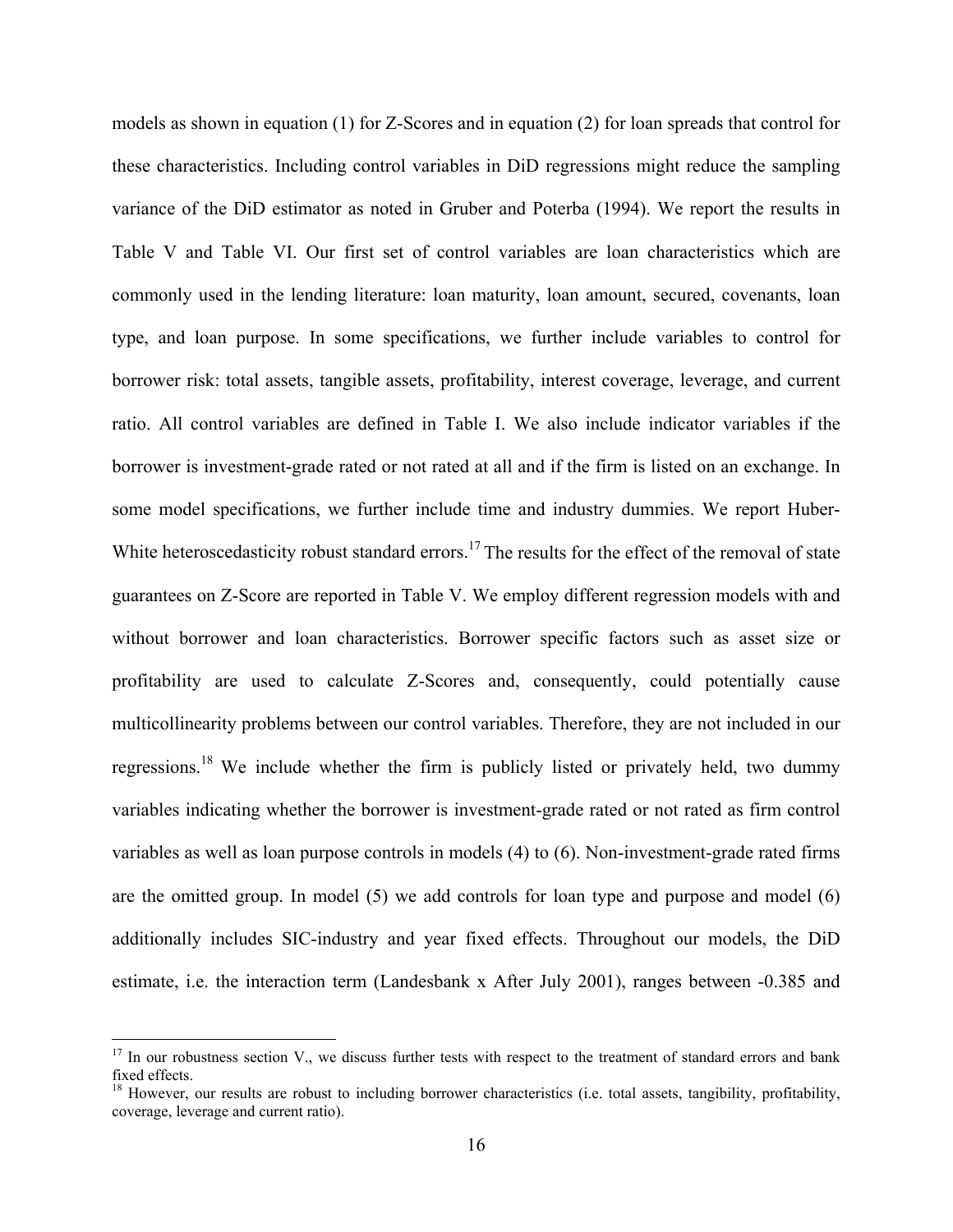models as shown in equation (1) for Z-Scores and in equation (2) for loan spreads that control for these characteristics. Including control variables in DiD regressions might reduce the sampling variance of the DiD estimator as noted in Gruber and Poterba (1994). We report the results in Table V and Table VI. Our first set of control variables are loan characteristics which are commonly used in the lending literature: loan maturity, loan amount, secured, covenants, loan type, and loan purpose. In some specifications, we further include variables to control for borrower risk: total assets, tangible assets, profitability, interest coverage, leverage, and current ratio. All control variables are defined in Table I. We also include indicator variables if the borrower is investment-grade rated or not rated at all and if the firm is listed on an exchange. In some model specifications, we further include time and industry dummies. We report Huber-White heteroscedasticity robust standard errors.<sup>17</sup> The results for the effect of the removal of state guarantees on Z-Score are reported in Table V. We employ different regression models with and without borrower and loan characteristics. Borrower specific factors such as asset size or profitability are used to calculate Z-Scores and, consequently, could potentially cause multicollinearity problems between our control variables. Therefore, they are not included in our regressions.18 We include whether the firm is publicly listed or privately held, two dummy variables indicating whether the borrower is investment-grade rated or not rated as firm control variables as well as loan purpose controls in models (4) to (6). Non-investment-grade rated firms are the omitted group. In model (5) we add controls for loan type and purpose and model (6) additionally includes SIC-industry and year fixed effects. Throughout our models, the DiD estimate, i.e. the interaction term (Landesbank x After July 2001), ranges between -0.385 and

<u>.</u>

 $17$  In our robustness section V., we discuss further tests with respect to the treatment of standard errors and bank fixed effects.

<sup>&</sup>lt;sup>18</sup> However, our results are robust to including borrower characteristics (i.e. total assets, tangibility, profitability, coverage, leverage and current ratio).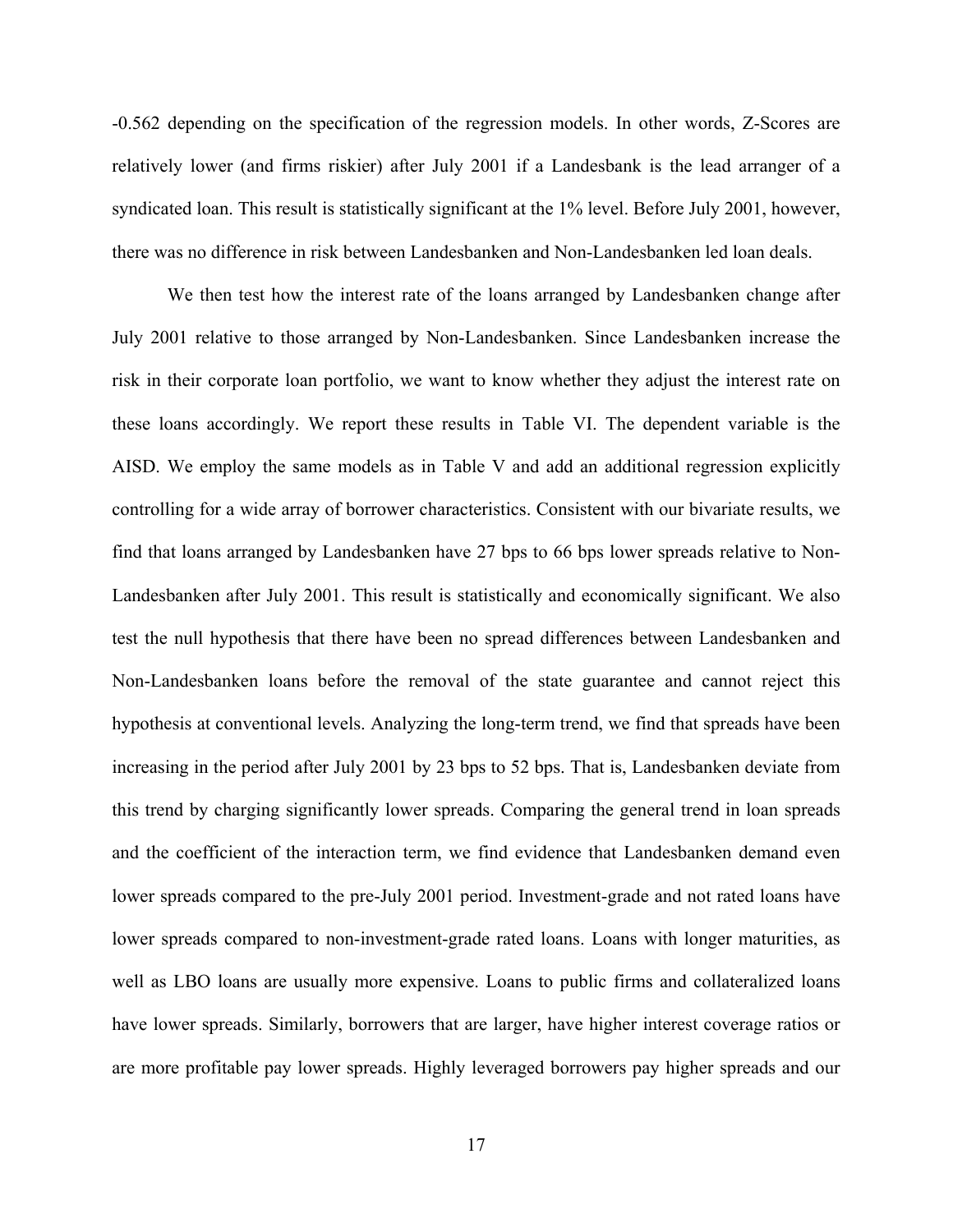-0.562 depending on the specification of the regression models. In other words, Z-Scores are relatively lower (and firms riskier) after July 2001 if a Landesbank is the lead arranger of a syndicated loan. This result is statistically significant at the 1% level. Before July 2001, however, there was no difference in risk between Landesbanken and Non-Landesbanken led loan deals.

We then test how the interest rate of the loans arranged by Landesbanken change after July 2001 relative to those arranged by Non-Landesbanken. Since Landesbanken increase the risk in their corporate loan portfolio, we want to know whether they adjust the interest rate on these loans accordingly. We report these results in Table VI. The dependent variable is the AISD. We employ the same models as in Table V and add an additional regression explicitly controlling for a wide array of borrower characteristics. Consistent with our bivariate results, we find that loans arranged by Landesbanken have 27 bps to 66 bps lower spreads relative to Non-Landesbanken after July 2001. This result is statistically and economically significant. We also test the null hypothesis that there have been no spread differences between Landesbanken and Non-Landesbanken loans before the removal of the state guarantee and cannot reject this hypothesis at conventional levels. Analyzing the long-term trend, we find that spreads have been increasing in the period after July 2001 by 23 bps to 52 bps. That is, Landesbanken deviate from this trend by charging significantly lower spreads. Comparing the general trend in loan spreads and the coefficient of the interaction term, we find evidence that Landesbanken demand even lower spreads compared to the pre-July 2001 period. Investment-grade and not rated loans have lower spreads compared to non-investment-grade rated loans. Loans with longer maturities, as well as LBO loans are usually more expensive. Loans to public firms and collateralized loans have lower spreads. Similarly, borrowers that are larger, have higher interest coverage ratios or are more profitable pay lower spreads. Highly leveraged borrowers pay higher spreads and our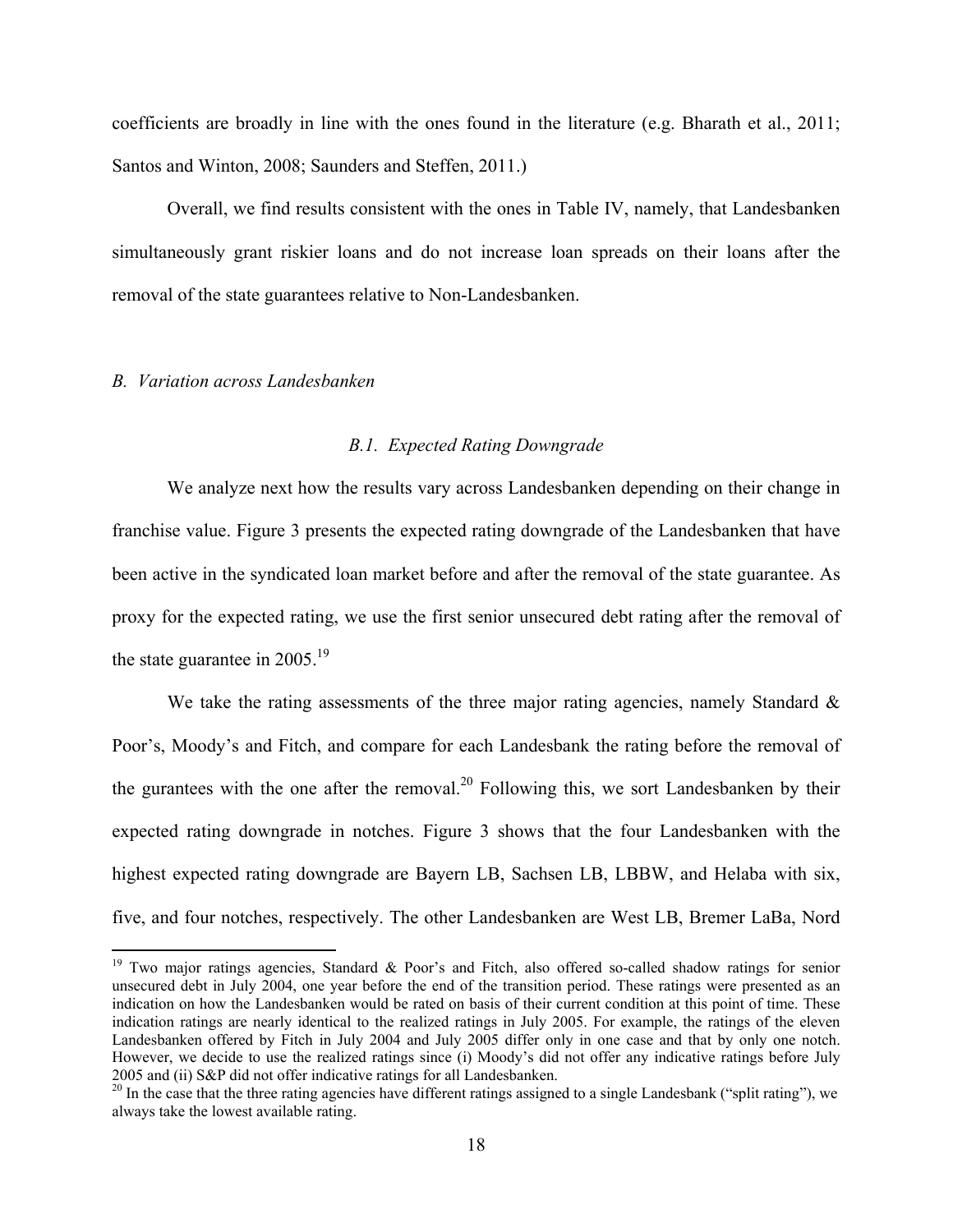coefficients are broadly in line with the ones found in the literature (e.g. Bharath et al., 2011; Santos and Winton, 2008; Saunders and Steffen, 2011.)

Overall, we find results consistent with the ones in Table IV, namely, that Landesbanken simultaneously grant riskier loans and do not increase loan spreads on their loans after the removal of the state guarantees relative to Non-Landesbanken.

### *B. Variation across Landesbanken*

 $\overline{a}$ 

## *B.1. Expected Rating Downgrade*

We analyze next how the results vary across Landesbanken depending on their change in franchise value. Figure 3 presents the expected rating downgrade of the Landesbanken that have been active in the syndicated loan market before and after the removal of the state guarantee. As proxy for the expected rating, we use the first senior unsecured debt rating after the removal of the state guarantee in  $2005.<sup>19</sup>$ 

We take the rating assessments of the three major rating agencies, namely Standard  $\&$ Poor's, Moody's and Fitch, and compare for each Landesbank the rating before the removal of the gurantees with the one after the removal.<sup>20</sup> Following this, we sort Landesbanken by their expected rating downgrade in notches. Figure 3 shows that the four Landesbanken with the highest expected rating downgrade are Bayern LB, Sachsen LB, LBBW, and Helaba with six, five, and four notches, respectively. The other Landesbanken are West LB, Bremer LaBa, Nord

<sup>&</sup>lt;sup>19</sup> Two major ratings agencies, Standard & Poor's and Fitch, also offered so-called shadow ratings for senior unsecured debt in July 2004, one year before the end of the transition period. These ratings were presented as an indication on how the Landesbanken would be rated on basis of their current condition at this point of time. These indication ratings are nearly identical to the realized ratings in July 2005. For example, the ratings of the eleven Landesbanken offered by Fitch in July 2004 and July 2005 differ only in one case and that by only one notch. However, we decide to use the realized ratings since (i) Moody's did not offer any indicative ratings before July 2005 and (ii) S&P did not offer indicative ratings for all Landesbanken.

<sup>&</sup>lt;sup>20</sup> In the case that the three rating agencies have different ratings assigned to a single Landesbank ("split rating"), we always take the lowest available rating.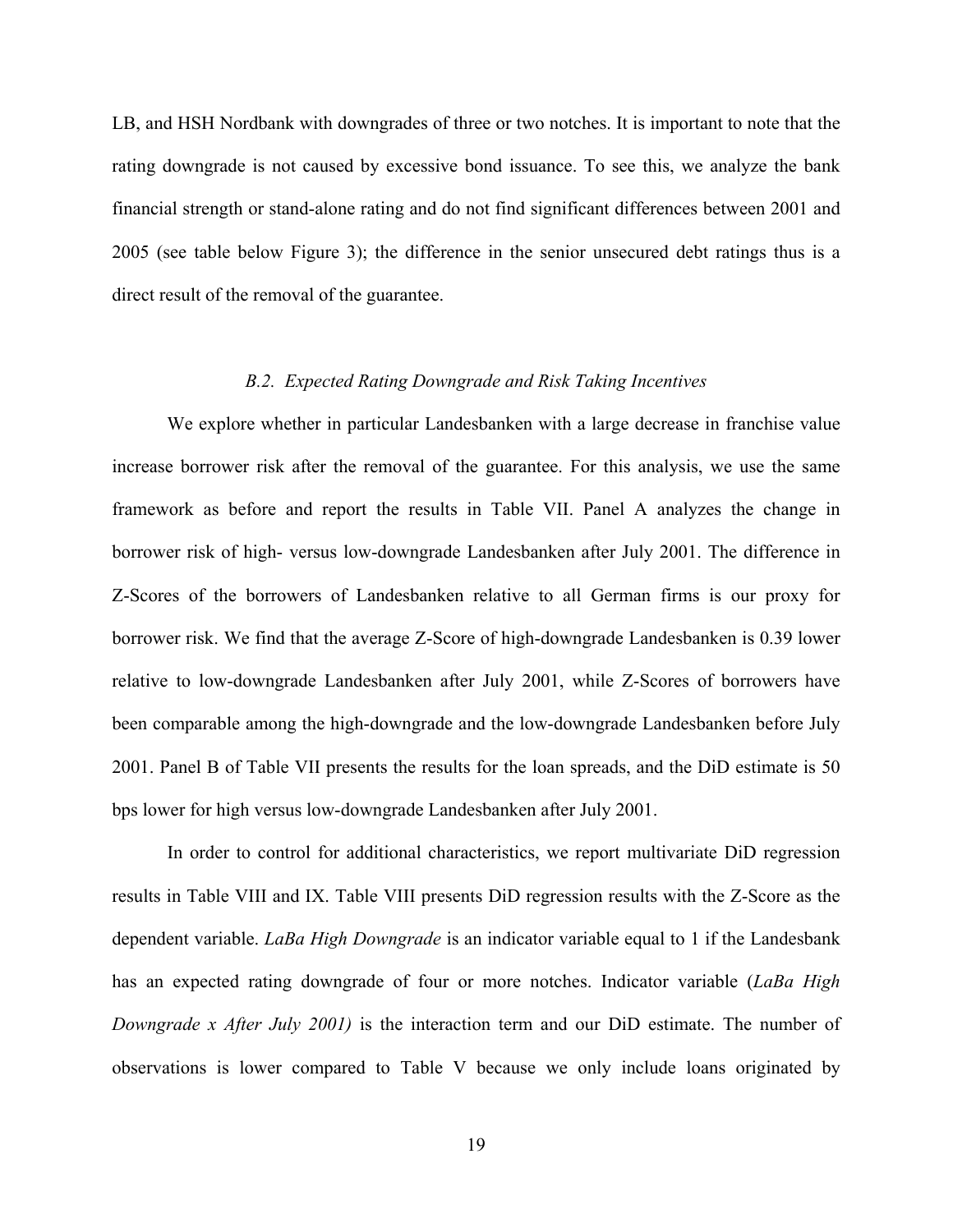LB, and HSH Nordbank with downgrades of three or two notches. It is important to note that the rating downgrade is not caused by excessive bond issuance. To see this, we analyze the bank financial strength or stand-alone rating and do not find significant differences between 2001 and 2005 (see table below Figure 3); the difference in the senior unsecured debt ratings thus is a direct result of the removal of the guarantee.

## *B.2. Expected Rating Downgrade and Risk Taking Incentives*

We explore whether in particular Landesbanken with a large decrease in franchise value increase borrower risk after the removal of the guarantee. For this analysis, we use the same framework as before and report the results in Table VII. Panel A analyzes the change in borrower risk of high- versus low-downgrade Landesbanken after July 2001. The difference in Z-Scores of the borrowers of Landesbanken relative to all German firms is our proxy for borrower risk. We find that the average Z-Score of high-downgrade Landesbanken is 0.39 lower relative to low-downgrade Landesbanken after July 2001, while Z-Scores of borrowers have been comparable among the high-downgrade and the low-downgrade Landesbanken before July 2001. Panel B of Table VII presents the results for the loan spreads, and the DiD estimate is 50 bps lower for high versus low-downgrade Landesbanken after July 2001.

In order to control for additional characteristics, we report multivariate DiD regression results in Table VIII and IX. Table VIII presents DiD regression results with the Z-Score as the dependent variable. *LaBa High Downgrade* is an indicator variable equal to 1 if the Landesbank has an expected rating downgrade of four or more notches. Indicator variable (*LaBa High Downgrade x After July 2001)* is the interaction term and our DiD estimate. The number of observations is lower compared to Table V because we only include loans originated by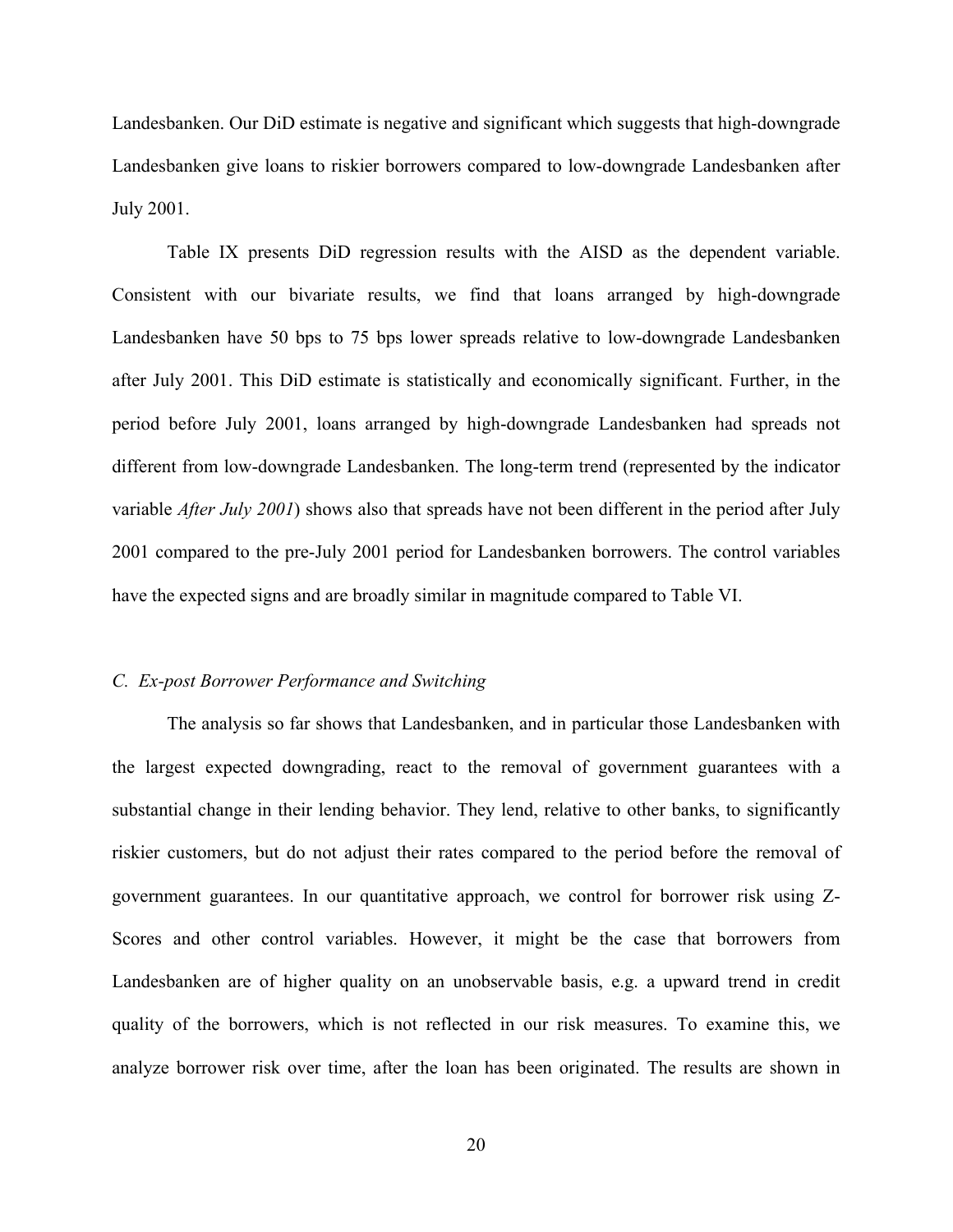Landesbanken. Our DiD estimate is negative and significant which suggests that high-downgrade Landesbanken give loans to riskier borrowers compared to low-downgrade Landesbanken after July 2001.

Table IX presents DiD regression results with the AISD as the dependent variable. Consistent with our bivariate results, we find that loans arranged by high-downgrade Landesbanken have 50 bps to 75 bps lower spreads relative to low-downgrade Landesbanken after July 2001. This DiD estimate is statistically and economically significant. Further, in the period before July 2001, loans arranged by high-downgrade Landesbanken had spreads not different from low-downgrade Landesbanken. The long-term trend (represented by the indicator variable *After July 2001*) shows also that spreads have not been different in the period after July 2001 compared to the pre-July 2001 period for Landesbanken borrowers. The control variables have the expected signs and are broadly similar in magnitude compared to Table VI.

### *C. Ex-post Borrower Performance and Switching*

The analysis so far shows that Landesbanken, and in particular those Landesbanken with the largest expected downgrading, react to the removal of government guarantees with a substantial change in their lending behavior. They lend, relative to other banks, to significantly riskier customers, but do not adjust their rates compared to the period before the removal of government guarantees. In our quantitative approach, we control for borrower risk using Z-Scores and other control variables. However, it might be the case that borrowers from Landesbanken are of higher quality on an unobservable basis, e.g. a upward trend in credit quality of the borrowers, which is not reflected in our risk measures. To examine this, we analyze borrower risk over time, after the loan has been originated. The results are shown in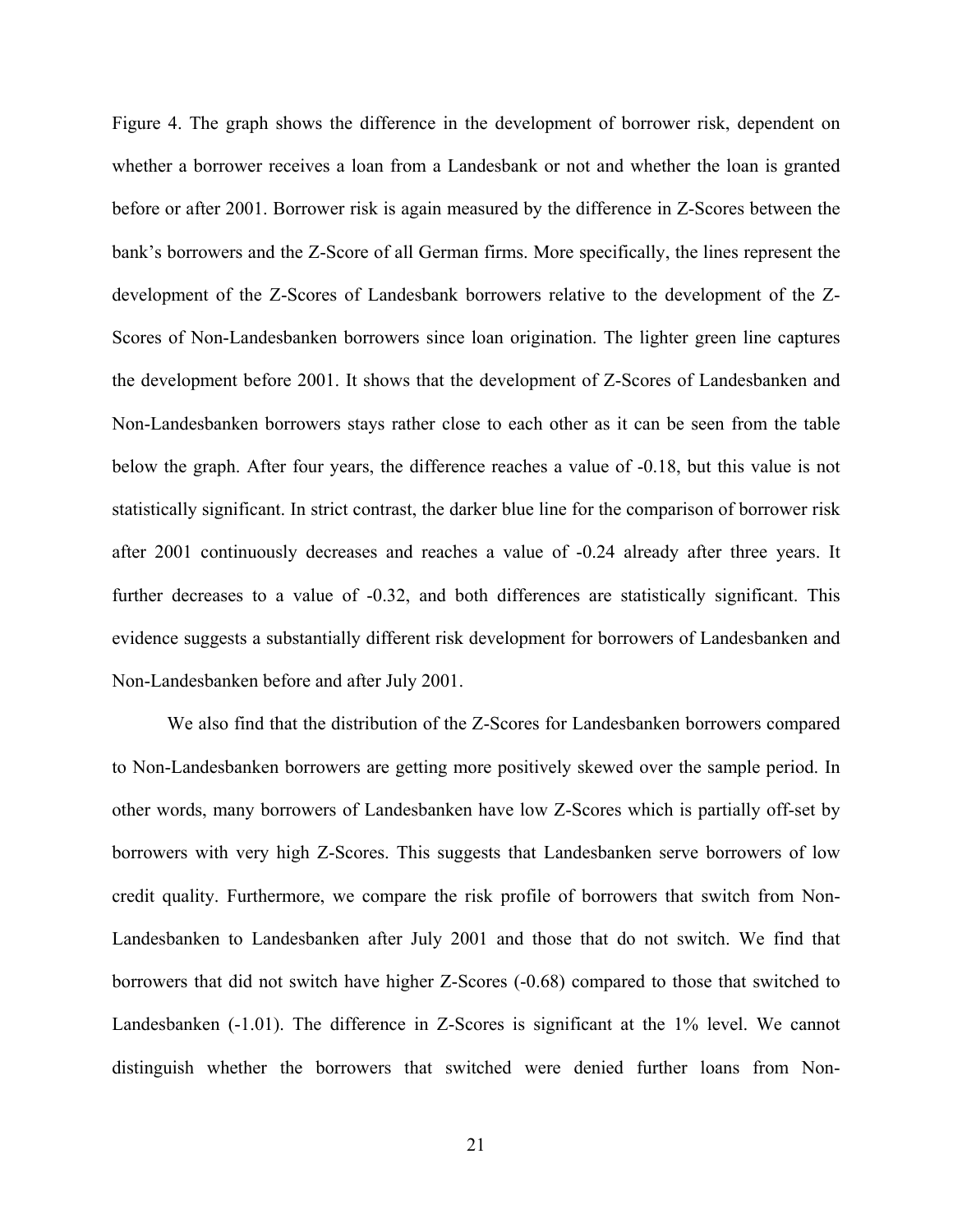Figure 4. The graph shows the difference in the development of borrower risk, dependent on whether a borrower receives a loan from a Landesbank or not and whether the loan is granted before or after 2001. Borrower risk is again measured by the difference in Z-Scores between the bank's borrowers and the Z-Score of all German firms. More specifically, the lines represent the development of the Z-Scores of Landesbank borrowers relative to the development of the Z-Scores of Non-Landesbanken borrowers since loan origination. The lighter green line captures the development before 2001. It shows that the development of Z-Scores of Landesbanken and Non-Landesbanken borrowers stays rather close to each other as it can be seen from the table below the graph. After four years, the difference reaches a value of -0.18, but this value is not statistically significant. In strict contrast, the darker blue line for the comparison of borrower risk after 2001 continuously decreases and reaches a value of -0.24 already after three years. It further decreases to a value of  $-0.32$ , and both differences are statistically significant. This evidence suggests a substantially different risk development for borrowers of Landesbanken and Non-Landesbanken before and after July 2001.

We also find that the distribution of the Z-Scores for Landesbanken borrowers compared to Non-Landesbanken borrowers are getting more positively skewed over the sample period. In other words, many borrowers of Landesbanken have low Z-Scores which is partially off-set by borrowers with very high Z-Scores. This suggests that Landesbanken serve borrowers of low credit quality. Furthermore, we compare the risk profile of borrowers that switch from Non-Landesbanken to Landesbanken after July 2001 and those that do not switch. We find that borrowers that did not switch have higher Z-Scores (-0.68) compared to those that switched to Landesbanken (-1.01). The difference in Z-Scores is significant at the 1% level. We cannot distinguish whether the borrowers that switched were denied further loans from Non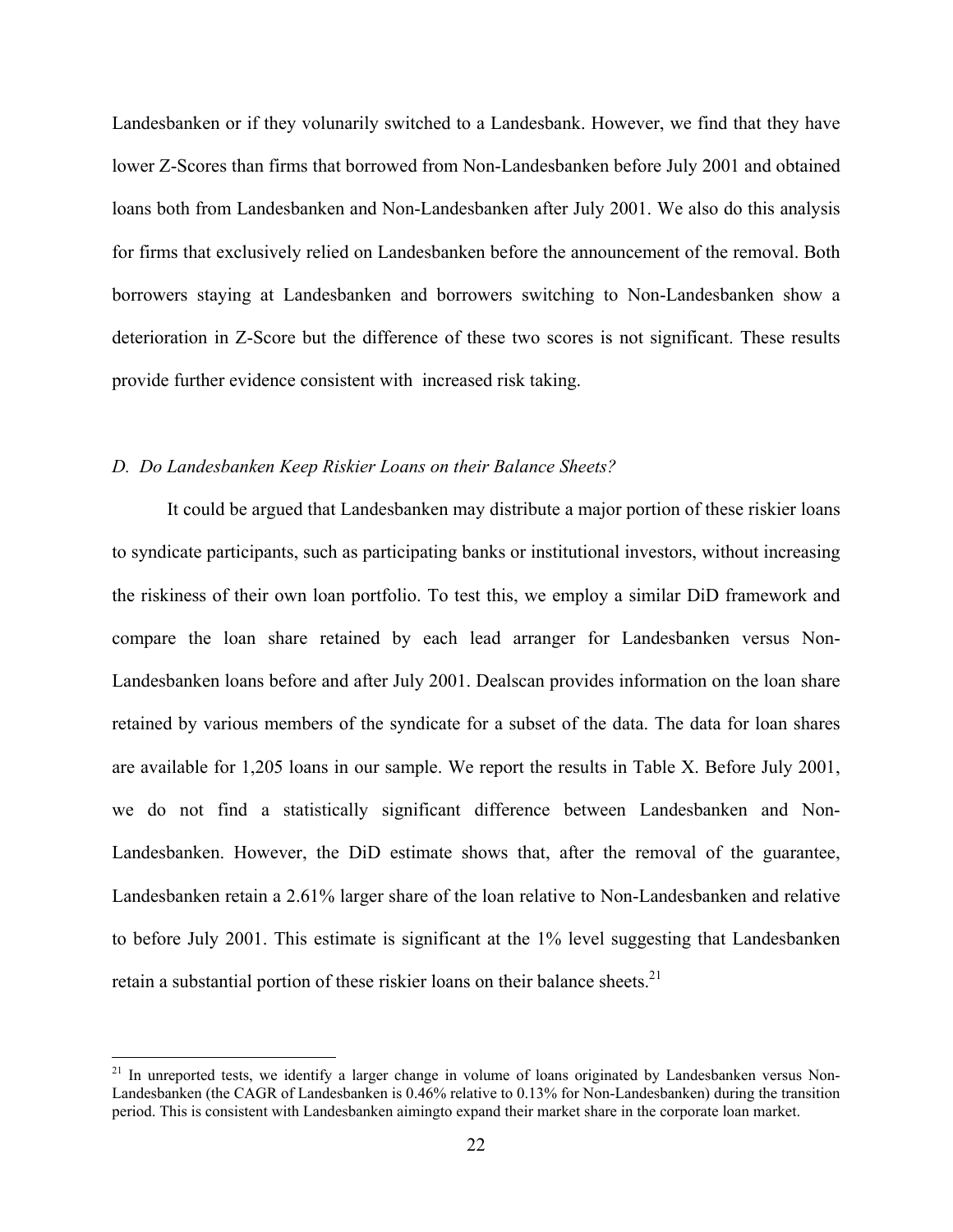Landesbanken or if they volunarily switched to a Landesbank. However, we find that they have lower Z-Scores than firms that borrowed from Non-Landesbanken before July 2001 and obtained loans both from Landesbanken and Non-Landesbanken after July 2001. We also do this analysis for firms that exclusively relied on Landesbanken before the announcement of the removal. Both borrowers staying at Landesbanken and borrowers switching to Non-Landesbanken show a deterioration in Z-Score but the difference of these two scores is not significant. These results provide further evidence consistent with increased risk taking.

## *D. Do Landesbanken Keep Riskier Loans on their Balance Sheets?*

 $\overline{a}$ 

It could be argued that Landesbanken may distribute a major portion of these riskier loans to syndicate participants, such as participating banks or institutional investors, without increasing the riskiness of their own loan portfolio. To test this, we employ a similar DiD framework and compare the loan share retained by each lead arranger for Landesbanken versus Non-Landesbanken loans before and after July 2001. Dealscan provides information on the loan share retained by various members of the syndicate for a subset of the data. The data for loan shares are available for 1,205 loans in our sample. We report the results in Table X. Before July 2001, we do not find a statistically significant difference between Landesbanken and Non-Landesbanken. However, the DiD estimate shows that, after the removal of the guarantee, Landesbanken retain a 2.61% larger share of the loan relative to Non-Landesbanken and relative to before July 2001. This estimate is significant at the 1% level suggesting that Landesbanken retain a substantial portion of these riskier loans on their balance sheets.<sup>21</sup>

<sup>&</sup>lt;sup>21</sup> In unreported tests, we identify a larger change in volume of loans originated by Landesbanken versus Non-Landesbanken (the CAGR of Landesbanken is 0.46% relative to 0.13% for Non-Landesbanken) during the transition period. This is consistent with Landesbanken aimingto expand their market share in the corporate loan market.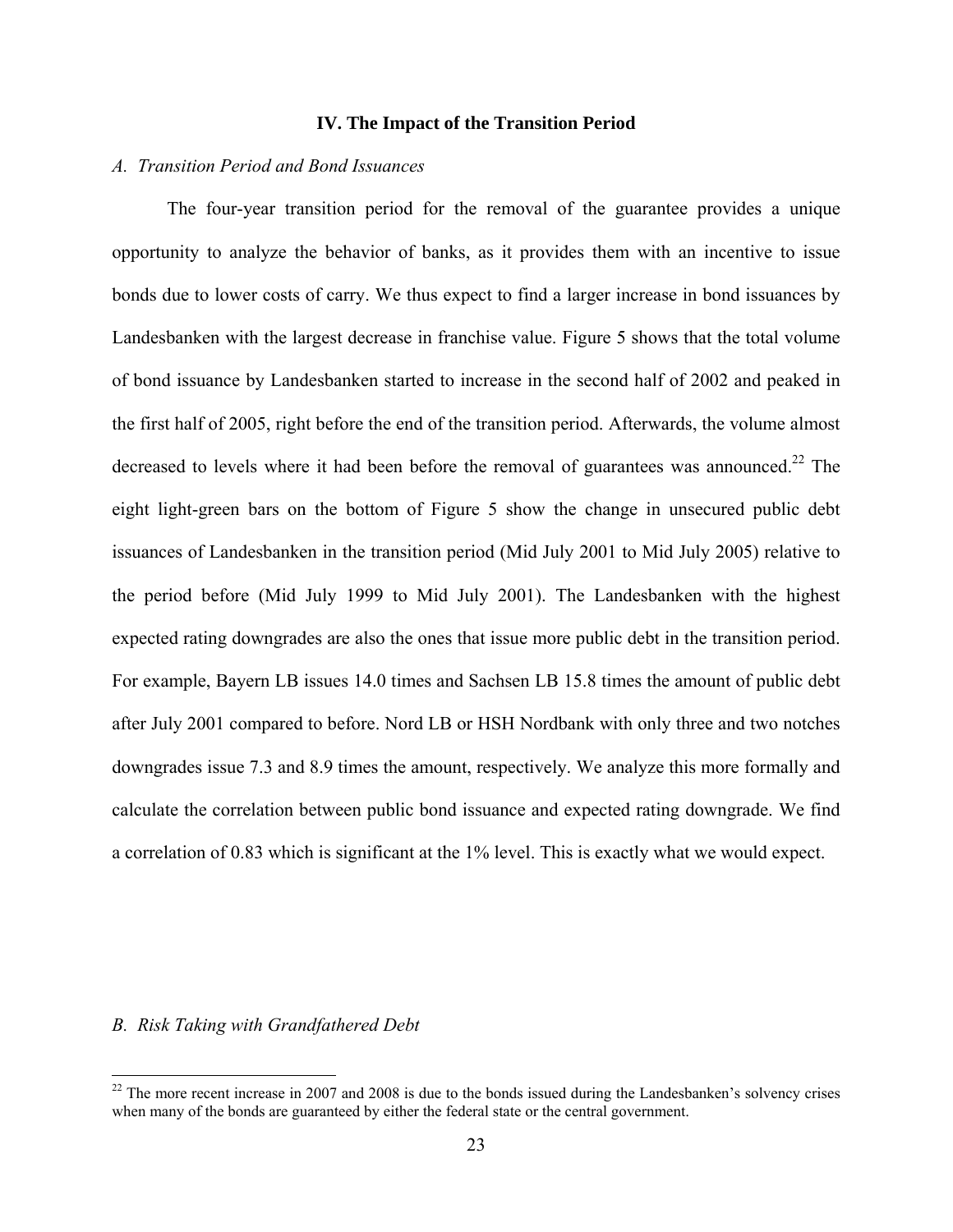### **IV. The Impact of the Transition Period**

### *A. Transition Period and Bond Issuances*

The four-year transition period for the removal of the guarantee provides a unique opportunity to analyze the behavior of banks, as it provides them with an incentive to issue bonds due to lower costs of carry. We thus expect to find a larger increase in bond issuances by Landesbanken with the largest decrease in franchise value. Figure 5 shows that the total volume of bond issuance by Landesbanken started to increase in the second half of 2002 and peaked in the first half of 2005, right before the end of the transition period. Afterwards, the volume almost decreased to levels where it had been before the removal of guarantees was announced.<sup>22</sup> The eight light-green bars on the bottom of Figure 5 show the change in unsecured public debt issuances of Landesbanken in the transition period (Mid July 2001 to Mid July 2005) relative to the period before (Mid July 1999 to Mid July 2001). The Landesbanken with the highest expected rating downgrades are also the ones that issue more public debt in the transition period. For example, Bayern LB issues 14.0 times and Sachsen LB 15.8 times the amount of public debt after July 2001 compared to before. Nord LB or HSH Nordbank with only three and two notches downgrades issue 7.3 and 8.9 times the amount, respectively. We analyze this more formally and calculate the correlation between public bond issuance and expected rating downgrade. We find a correlation of 0.83 which is significant at the 1% level. This is exactly what we would expect.

### *B. Risk Taking with Grandfathered Debt*

 $22$  The more recent increase in 2007 and 2008 is due to the bonds issued during the Landesbanken's solvency crises when many of the bonds are guaranteed by either the federal state or the central government.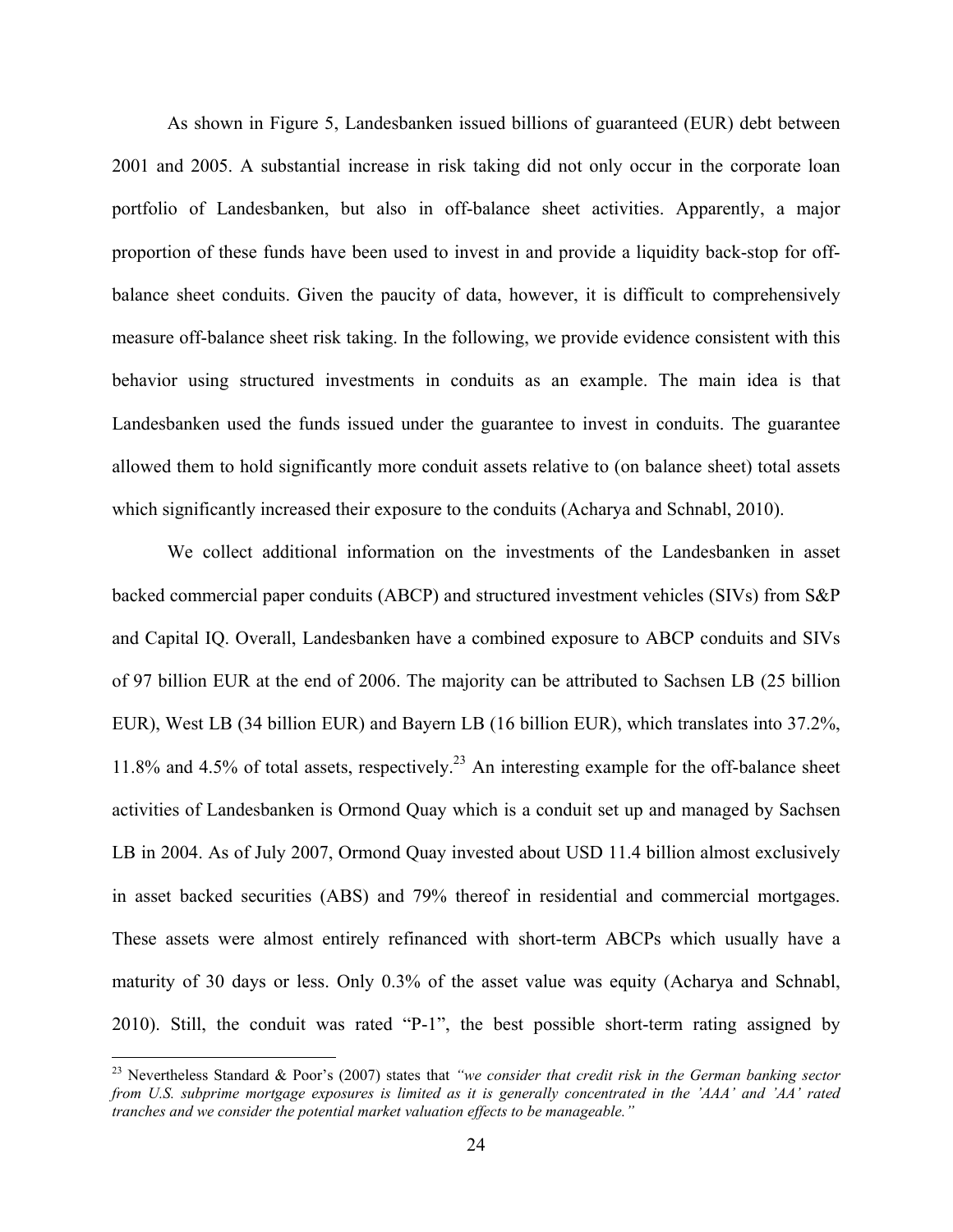As shown in Figure 5, Landesbanken issued billions of guaranteed (EUR) debt between 2001 and 2005. A substantial increase in risk taking did not only occur in the corporate loan portfolio of Landesbanken, but also in off-balance sheet activities. Apparently, a major proportion of these funds have been used to invest in and provide a liquidity back-stop for offbalance sheet conduits. Given the paucity of data, however, it is difficult to comprehensively measure off-balance sheet risk taking. In the following, we provide evidence consistent with this behavior using structured investments in conduits as an example. The main idea is that Landesbanken used the funds issued under the guarantee to invest in conduits. The guarantee allowed them to hold significantly more conduit assets relative to (on balance sheet) total assets which significantly increased their exposure to the conduits (Acharya and Schnabl, 2010).

We collect additional information on the investments of the Landesbanken in asset backed commercial paper conduits (ABCP) and structured investment vehicles (SIVs) from S&P and Capital IQ. Overall, Landesbanken have a combined exposure to ABCP conduits and SIVs of 97 billion EUR at the end of 2006. The majority can be attributed to Sachsen LB (25 billion EUR), West LB (34 billion EUR) and Bayern LB (16 billion EUR), which translates into 37.2%, 11.8% and 4.5% of total assets, respectively.23 An interesting example for the off-balance sheet activities of Landesbanken is Ormond Quay which is a conduit set up and managed by Sachsen LB in 2004. As of July 2007, Ormond Quay invested about USD 11.4 billion almost exclusively in asset backed securities (ABS) and 79% thereof in residential and commercial mortgages. These assets were almost entirely refinanced with short-term ABCPs which usually have a maturity of 30 days or less. Only 0.3% of the asset value was equity (Acharya and Schnabl, 2010). Still, the conduit was rated "P-1", the best possible short-term rating assigned by

<sup>23</sup> Nevertheless Standard & Poor's (2007) states that *"we consider that credit risk in the German banking sector from U.S. subprime mortgage exposures is limited as it is generally concentrated in the 'AAA' and 'AA' rated tranches and we consider the potential market valuation effects to be manageable."*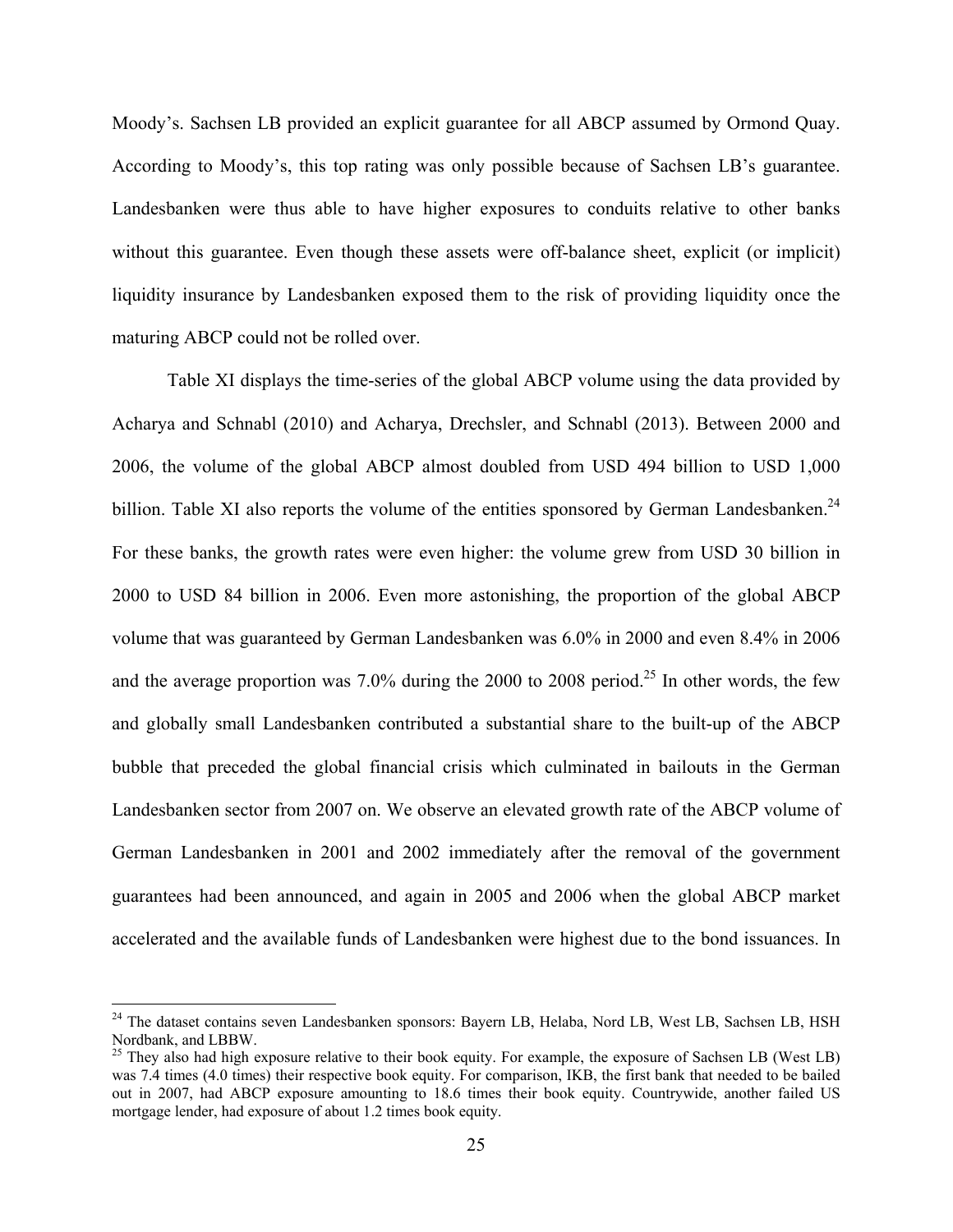Moody's. Sachsen LB provided an explicit guarantee for all ABCP assumed by Ormond Quay. According to Moody's, this top rating was only possible because of Sachsen LB's guarantee. Landesbanken were thus able to have higher exposures to conduits relative to other banks without this guarantee. Even though these assets were off-balance sheet, explicit (or implicit) liquidity insurance by Landesbanken exposed them to the risk of providing liquidity once the maturing ABCP could not be rolled over.

Table XI displays the time-series of the global ABCP volume using the data provided by Acharya and Schnabl (2010) and Acharya, Drechsler, and Schnabl (2013). Between 2000 and 2006, the volume of the global ABCP almost doubled from USD 494 billion to USD 1,000 billion. Table XI also reports the volume of the entities sponsored by German Landesbanken.<sup>24</sup> For these banks, the growth rates were even higher: the volume grew from USD 30 billion in 2000 to USD 84 billion in 2006. Even more astonishing, the proportion of the global ABCP volume that was guaranteed by German Landesbanken was 6.0% in 2000 and even 8.4% in 2006 and the average proportion was  $7.0\%$  during the 2000 to 2008 period.<sup>25</sup> In other words, the few and globally small Landesbanken contributed a substantial share to the built-up of the ABCP bubble that preceded the global financial crisis which culminated in bailouts in the German Landesbanken sector from 2007 on. We observe an elevated growth rate of the ABCP volume of German Landesbanken in 2001 and 2002 immediately after the removal of the government guarantees had been announced, and again in 2005 and 2006 when the global ABCP market accelerated and the available funds of Landesbanken were highest due to the bond issuances. In

<sup>&</sup>lt;sup>24</sup> The dataset contains seven Landesbanken sponsors: Bayern LB, Helaba, Nord LB, West LB, Sachsen LB, HSH Nordbank, and LBBW.

<sup>&</sup>lt;sup>25</sup> They also had high exposure relative to their book equity. For example, the exposure of Sachsen LB (West LB) was 7.4 times (4.0 times) their respective book equity. For comparison, IKB, the first bank that needed to be bailed out in 2007, had ABCP exposure amounting to 18.6 times their book equity. Countrywide, another failed US mortgage lender, had exposure of about 1.2 times book equity.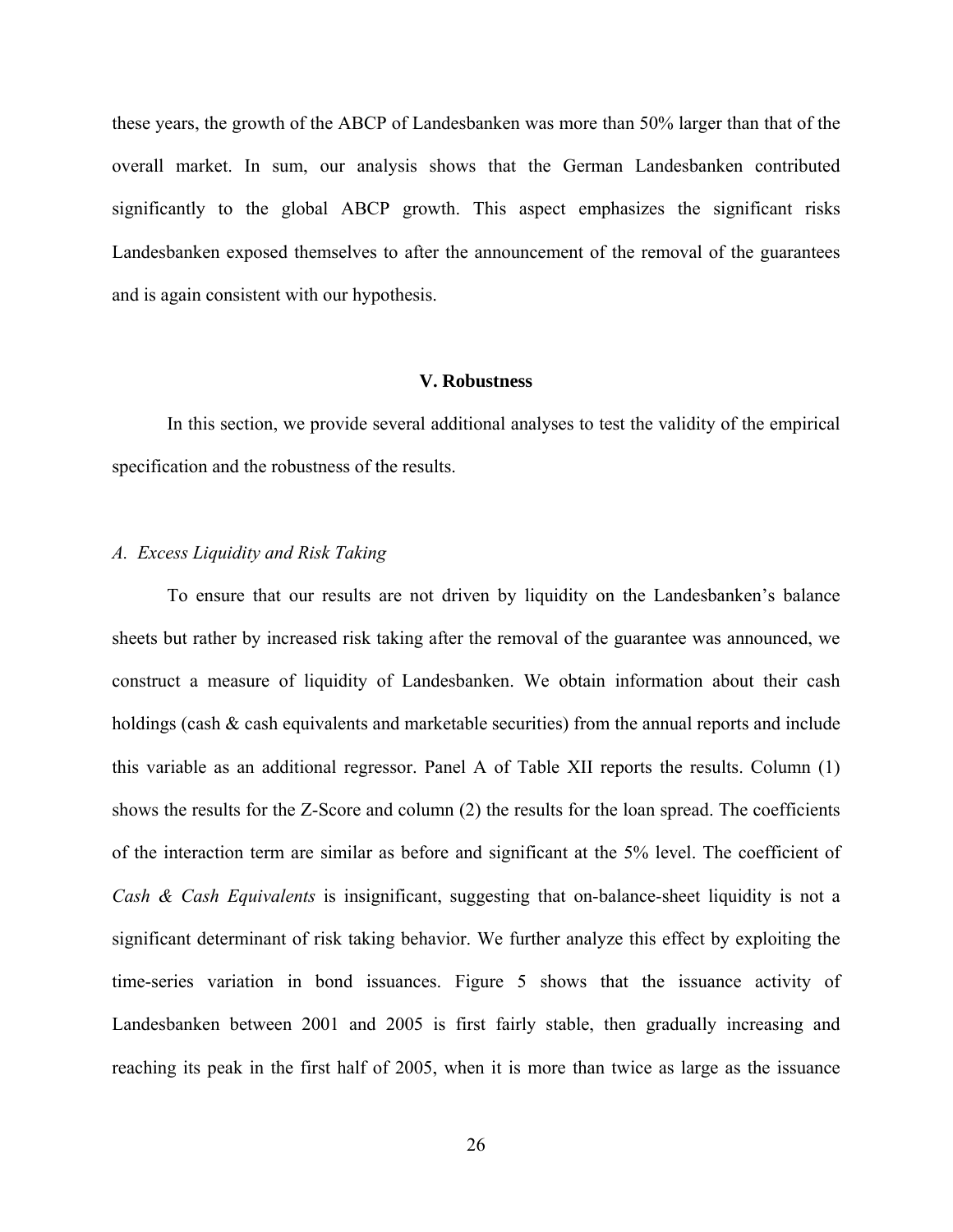these years, the growth of the ABCP of Landesbanken was more than 50% larger than that of the overall market. In sum, our analysis shows that the German Landesbanken contributed significantly to the global ABCP growth. This aspect emphasizes the significant risks Landesbanken exposed themselves to after the announcement of the removal of the guarantees and is again consistent with our hypothesis.

## **V. Robustness**

In this section, we provide several additional analyses to test the validity of the empirical specification and the robustness of the results.

#### *A. Excess Liquidity and Risk Taking*

To ensure that our results are not driven by liquidity on the Landesbanken's balance sheets but rather by increased risk taking after the removal of the guarantee was announced, we construct a measure of liquidity of Landesbanken. We obtain information about their cash holdings (cash  $\&$  cash equivalents and marketable securities) from the annual reports and include this variable as an additional regressor. Panel A of Table XII reports the results. Column (1) shows the results for the Z-Score and column (2) the results for the loan spread. The coefficients of the interaction term are similar as before and significant at the 5% level. The coefficient of *Cash & Cash Equivalents* is insignificant, suggesting that on-balance-sheet liquidity is not a significant determinant of risk taking behavior. We further analyze this effect by exploiting the time-series variation in bond issuances. Figure 5 shows that the issuance activity of Landesbanken between 2001 and 2005 is first fairly stable, then gradually increasing and reaching its peak in the first half of 2005, when it is more than twice as large as the issuance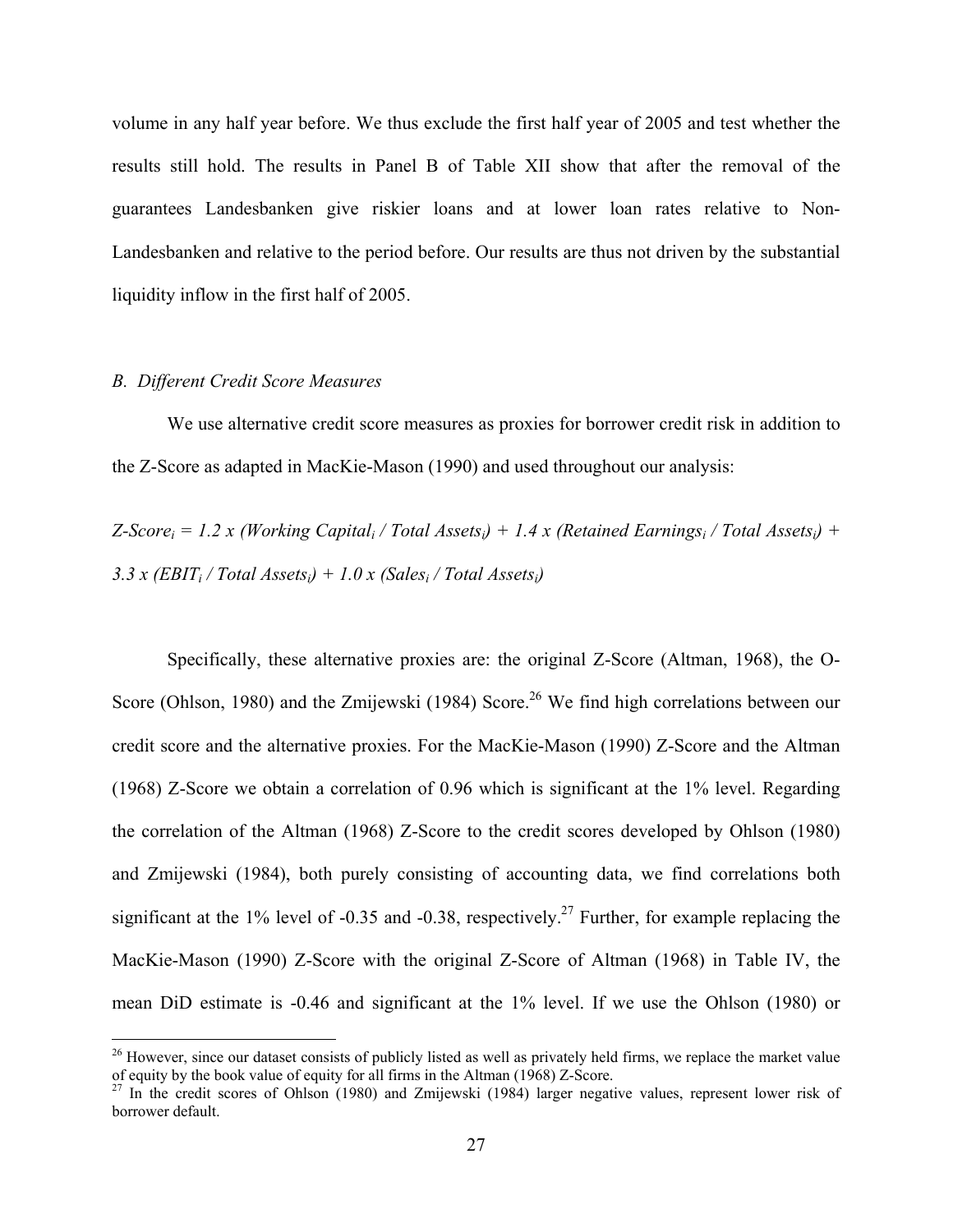volume in any half year before. We thus exclude the first half year of 2005 and test whether the results still hold. The results in Panel B of Table XII show that after the removal of the guarantees Landesbanken give riskier loans and at lower loan rates relative to Non-Landesbanken and relative to the period before. Our results are thus not driven by the substantial liquidity inflow in the first half of 2005.

### *B. Different Credit Score Measures*

 $\overline{a}$ 

We use alternative credit score measures as proxies for borrower credit risk in addition to the Z-Score as adapted in MacKie-Mason (1990) and used throughout our analysis:

 $Z-Score_i = 1.2 x$  (Working Capital<sub>i</sub> / Total Assets<sub>i</sub>) + 1.4 x (Retained Earnings<sub>i</sub> / Total Assets<sub>i</sub>) + 3.3 x (EBIT<sub>i</sub> / Total Assets<sub>i</sub>) + 1.0 x (Sales<sub>i</sub> / Total Assets<sub>i</sub>)

Specifically, these alternative proxies are: the original Z-Score (Altman, 1968), the O-Score (Ohlson, 1980) and the Zmijewski (1984) Score.<sup>26</sup> We find high correlations between our credit score and the alternative proxies. For the MacKie-Mason (1990) Z-Score and the Altman (1968) Z-Score we obtain a correlation of 0.96 which is significant at the 1% level. Regarding the correlation of the Altman (1968) Z-Score to the credit scores developed by Ohlson (1980) and Zmijewski (1984), both purely consisting of accounting data, we find correlations both significant at the 1% level of -0.35 and -0.38, respectively.<sup>27</sup> Further, for example replacing the MacKie-Mason (1990) Z-Score with the original Z-Score of Altman (1968) in Table IV, the mean DiD estimate is -0.46 and significant at the 1% level. If we use the Ohlson (1980) or

 $26$  However, since our dataset consists of publicly listed as well as privately held firms, we replace the market value of equity by the book value of equity for all firms in the Altman (1968) Z-Score.<br><sup>27</sup> In the credit scores of Ohlson (1980) and Zmijewski (1984) larger negative values, represent lower risk of

borrower default.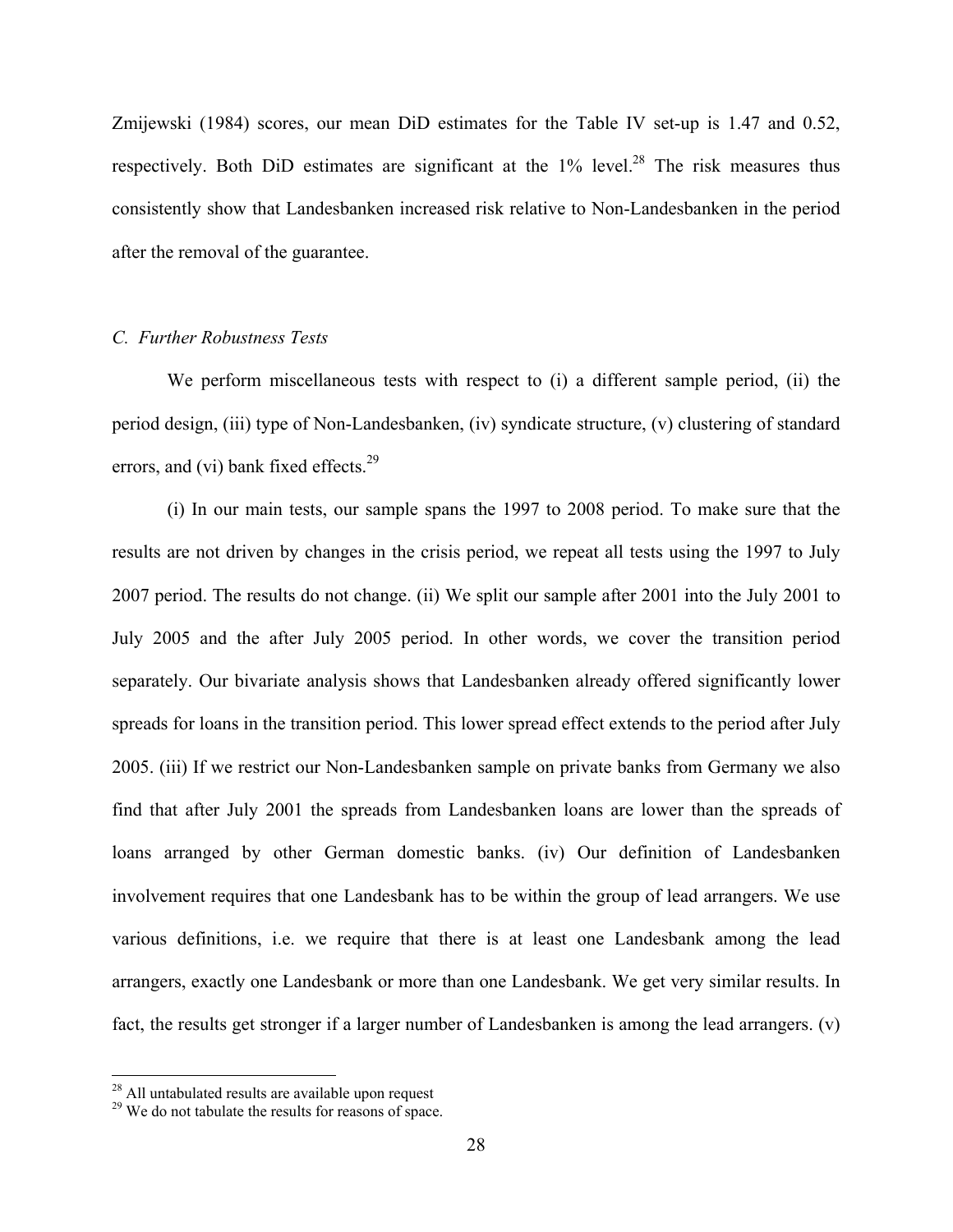Zmijewski (1984) scores, our mean DiD estimates for the Table IV set-up is 1.47 and 0.52, respectively. Both DiD estimates are significant at the  $1\%$  level.<sup>28</sup> The risk measures thus consistently show that Landesbanken increased risk relative to Non-Landesbanken in the period after the removal of the guarantee.

## *C. Further Robustness Tests*

We perform miscellaneous tests with respect to (i) a different sample period, (ii) the period design, (iii) type of Non-Landesbanken, (iv) syndicate structure, (v) clustering of standard errors, and (vi) bank fixed effects. $29$ 

(i) In our main tests, our sample spans the 1997 to 2008 period. To make sure that the results are not driven by changes in the crisis period, we repeat all tests using the 1997 to July 2007 period. The results do not change. (ii) We split our sample after 2001 into the July 2001 to July 2005 and the after July 2005 period. In other words, we cover the transition period separately. Our bivariate analysis shows that Landesbanken already offered significantly lower spreads for loans in the transition period. This lower spread effect extends to the period after July 2005. (iii) If we restrict our Non-Landesbanken sample on private banks from Germany we also find that after July 2001 the spreads from Landesbanken loans are lower than the spreads of loans arranged by other German domestic banks. (iv) Our definition of Landesbanken involvement requires that one Landesbank has to be within the group of lead arrangers. We use various definitions, i.e. we require that there is at least one Landesbank among the lead arrangers, exactly one Landesbank or more than one Landesbank. We get very similar results. In fact, the results get stronger if a larger number of Landesbanken is among the lead arrangers. (v)

<sup>&</sup>lt;sup>28</sup> All untabulated results are available upon request

<sup>&</sup>lt;sup>29</sup> We do not tabulate the results for reasons of space.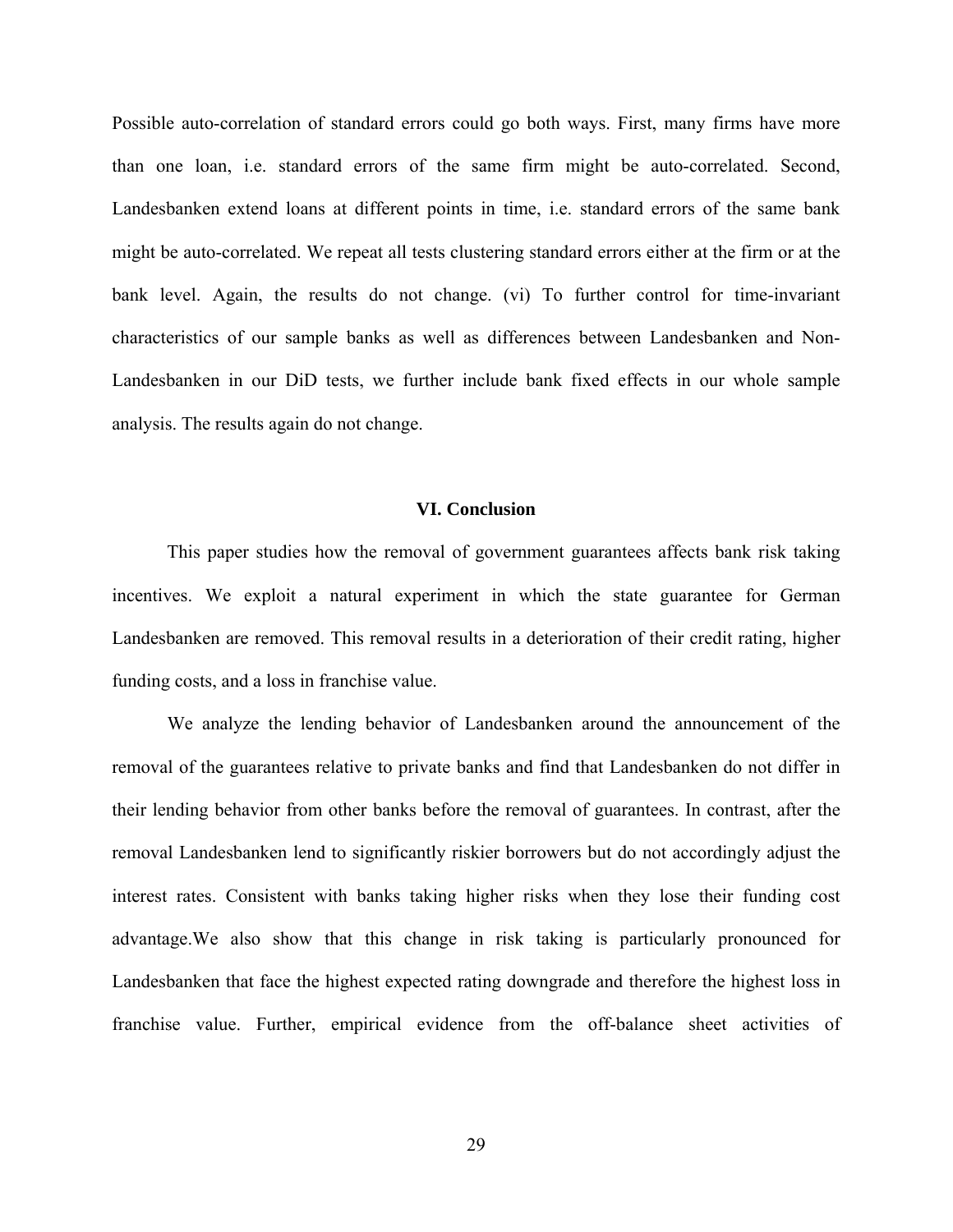Possible auto-correlation of standard errors could go both ways. First, many firms have more than one loan, i.e. standard errors of the same firm might be auto-correlated. Second, Landesbanken extend loans at different points in time, i.e. standard errors of the same bank might be auto-correlated. We repeat all tests clustering standard errors either at the firm or at the bank level. Again, the results do not change. (vi) To further control for time-invariant characteristics of our sample banks as well as differences between Landesbanken and Non-Landesbanken in our DiD tests, we further include bank fixed effects in our whole sample analysis. The results again do not change.

#### **VI. Conclusion**

This paper studies how the removal of government guarantees affects bank risk taking incentives. We exploit a natural experiment in which the state guarantee for German Landesbanken are removed. This removal results in a deterioration of their credit rating, higher funding costs, and a loss in franchise value.

We analyze the lending behavior of Landesbanken around the announcement of the removal of the guarantees relative to private banks and find that Landesbanken do not differ in their lending behavior from other banks before the removal of guarantees. In contrast, after the removal Landesbanken lend to significantly riskier borrowers but do not accordingly adjust the interest rates. Consistent with banks taking higher risks when they lose their funding cost advantage.We also show that this change in risk taking is particularly pronounced for Landesbanken that face the highest expected rating downgrade and therefore the highest loss in franchise value. Further, empirical evidence from the off-balance sheet activities of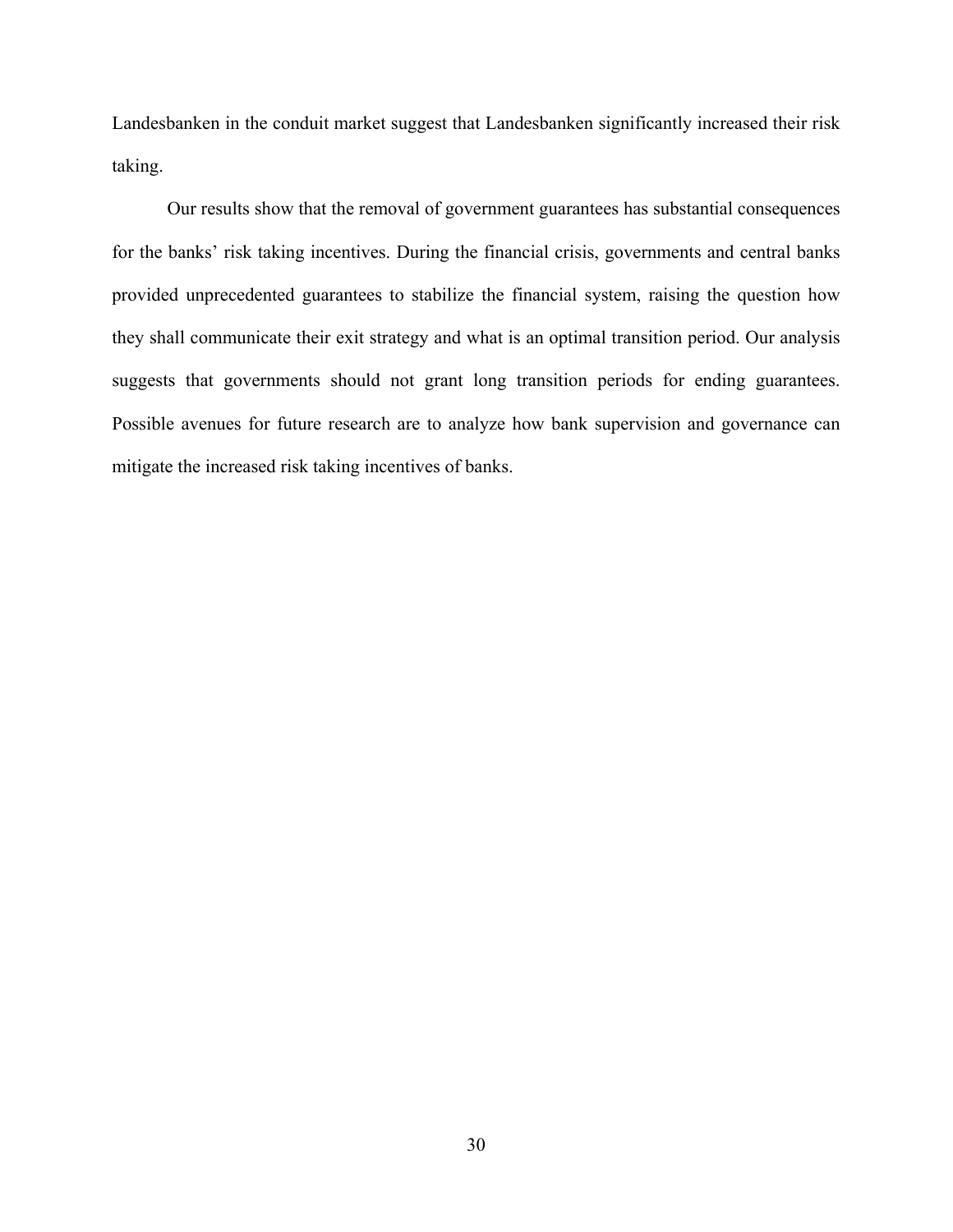Landesbanken in the conduit market suggest that Landesbanken significantly increased their risk taking.

Our results show that the removal of government guarantees has substantial consequences for the banks' risk taking incentives. During the financial crisis, governments and central banks provided unprecedented guarantees to stabilize the financial system, raising the question how they shall communicate their exit strategy and what is an optimal transition period. Our analysis suggests that governments should not grant long transition periods for ending guarantees. Possible avenues for future research are to analyze how bank supervision and governance can mitigate the increased risk taking incentives of banks.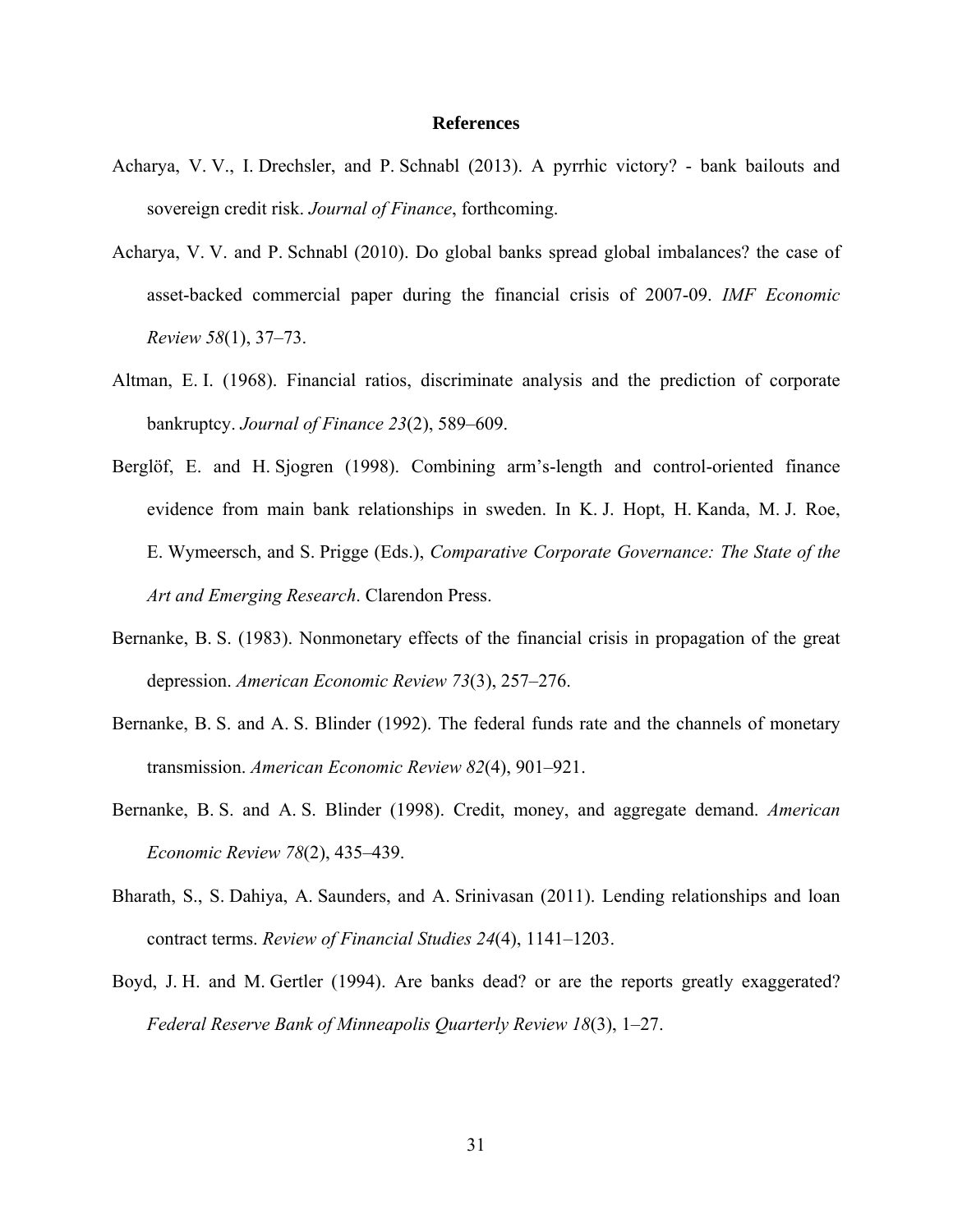#### **References**

- Acharya, V. V., I. Drechsler, and P. Schnabl (2013). A pyrrhic victory? bank bailouts and sovereign credit risk. *Journal of Finance*, forthcoming.
- Acharya, V. V. and P. Schnabl (2010). Do global banks spread global imbalances? the case of asset-backed commercial paper during the financial crisis of 2007-09. *IMF Economic Review 58*(1), 37–73.
- Altman, E. I. (1968). Financial ratios, discriminate analysis and the prediction of corporate bankruptcy. *Journal of Finance 23*(2), 589–609.
- Berglöf, E. and H. Sjogren (1998). Combining arm's-length and control-oriented finance evidence from main bank relationships in sweden. In K. J. Hopt, H. Kanda, M. J. Roe, E. Wymeersch, and S. Prigge (Eds.), *Comparative Corporate Governance: The State of the Art and Emerging Research*. Clarendon Press.
- Bernanke, B. S. (1983). Nonmonetary effects of the financial crisis in propagation of the great depression. *American Economic Review 73*(3), 257–276.
- Bernanke, B. S. and A. S. Blinder (1992). The federal funds rate and the channels of monetary transmission. *American Economic Review 82*(4), 901–921.
- Bernanke, B. S. and A. S. Blinder (1998). Credit, money, and aggregate demand. *American Economic Review 78*(2), 435–439.
- Bharath, S., S. Dahiya, A. Saunders, and A. Srinivasan (2011). Lending relationships and loan contract terms. *Review of Financial Studies 24*(4), 1141–1203.
- Boyd, J. H. and M. Gertler (1994). Are banks dead? or are the reports greatly exaggerated? *Federal Reserve Bank of Minneapolis Quarterly Review 18*(3), 1–27.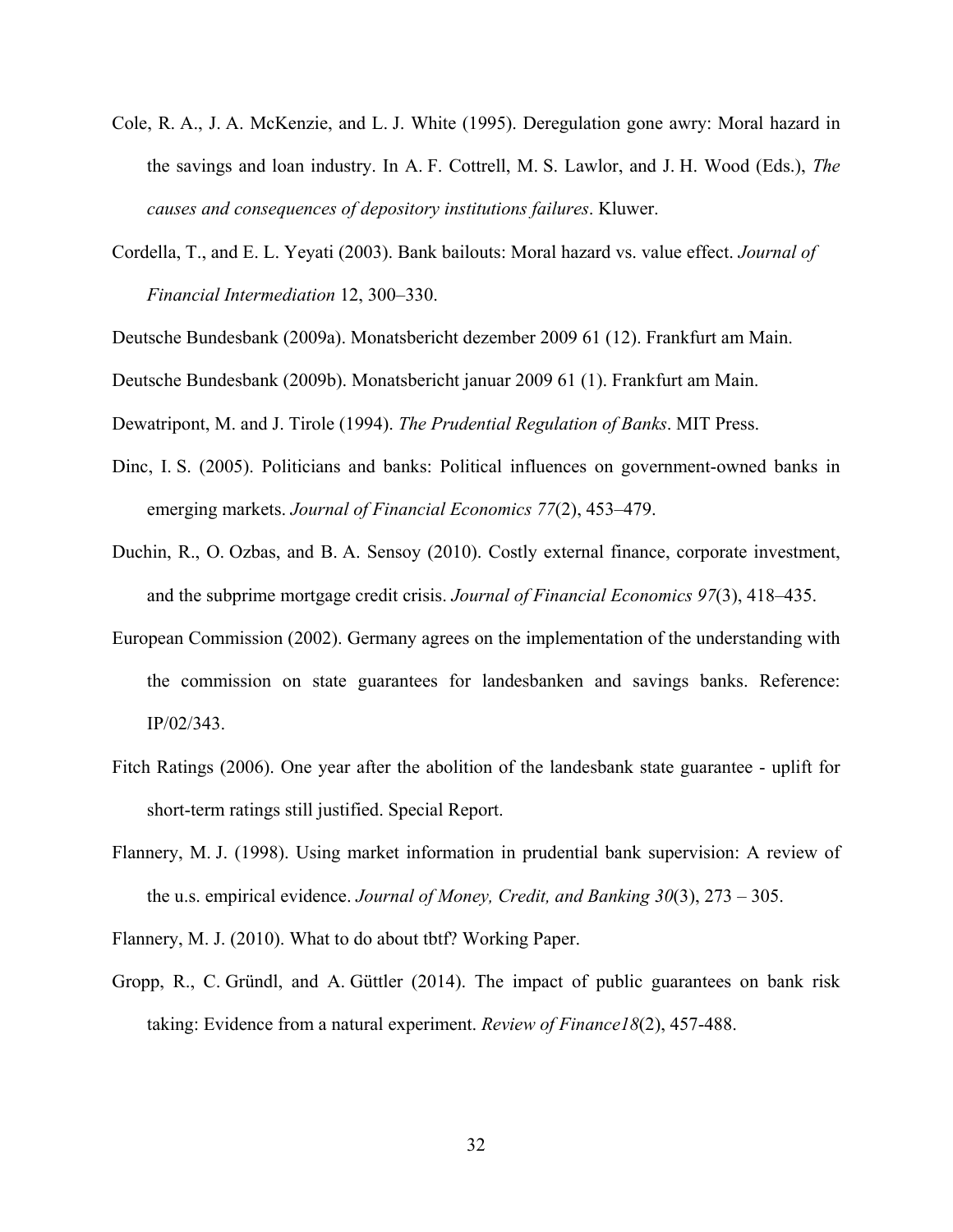- Cole, R. A., J. A. McKenzie, and L. J. White (1995). Deregulation gone awry: Moral hazard in the savings and loan industry. In A. F. Cottrell, M. S. Lawlor, and J. H. Wood (Eds.), *The causes and consequences of depository institutions failures*. Kluwer.
- Cordella, T., and E. L. Yeyati (2003). Bank bailouts: Moral hazard vs. value effect. *Journal of Financial Intermediation* 12, 300–330.
- Deutsche Bundesbank (2009a). Monatsbericht dezember 2009 61 (12). Frankfurt am Main.
- Deutsche Bundesbank (2009b). Monatsbericht januar 2009 61 (1). Frankfurt am Main.

Dewatripont, M. and J. Tirole (1994). *The Prudential Regulation of Banks*. MIT Press.

- Dinc, I. S. (2005). Politicians and banks: Political influences on government-owned banks in emerging markets. *Journal of Financial Economics 77*(2), 453–479.
- Duchin, R., O. Ozbas, and B. A. Sensoy (2010). Costly external finance, corporate investment, and the subprime mortgage credit crisis. *Journal of Financial Economics 97*(3), 418–435.
- European Commission (2002). Germany agrees on the implementation of the understanding with the commission on state guarantees for landesbanken and savings banks. Reference: IP/02/343.
- Fitch Ratings (2006). One year after the abolition of the landesbank state guarantee uplift for short-term ratings still justified. Special Report.
- Flannery, M. J. (1998). Using market information in prudential bank supervision: A review of the u.s. empirical evidence. *Journal of Money, Credit, and Banking 30*(3), 273 – 305.
- Flannery, M. J. (2010). What to do about tbtf? Working Paper.
- Gropp, R., C. Gründl, and A. Güttler (2014). The impact of public guarantees on bank risk taking: Evidence from a natural experiment. *Review of Finance18*(2), 457-488.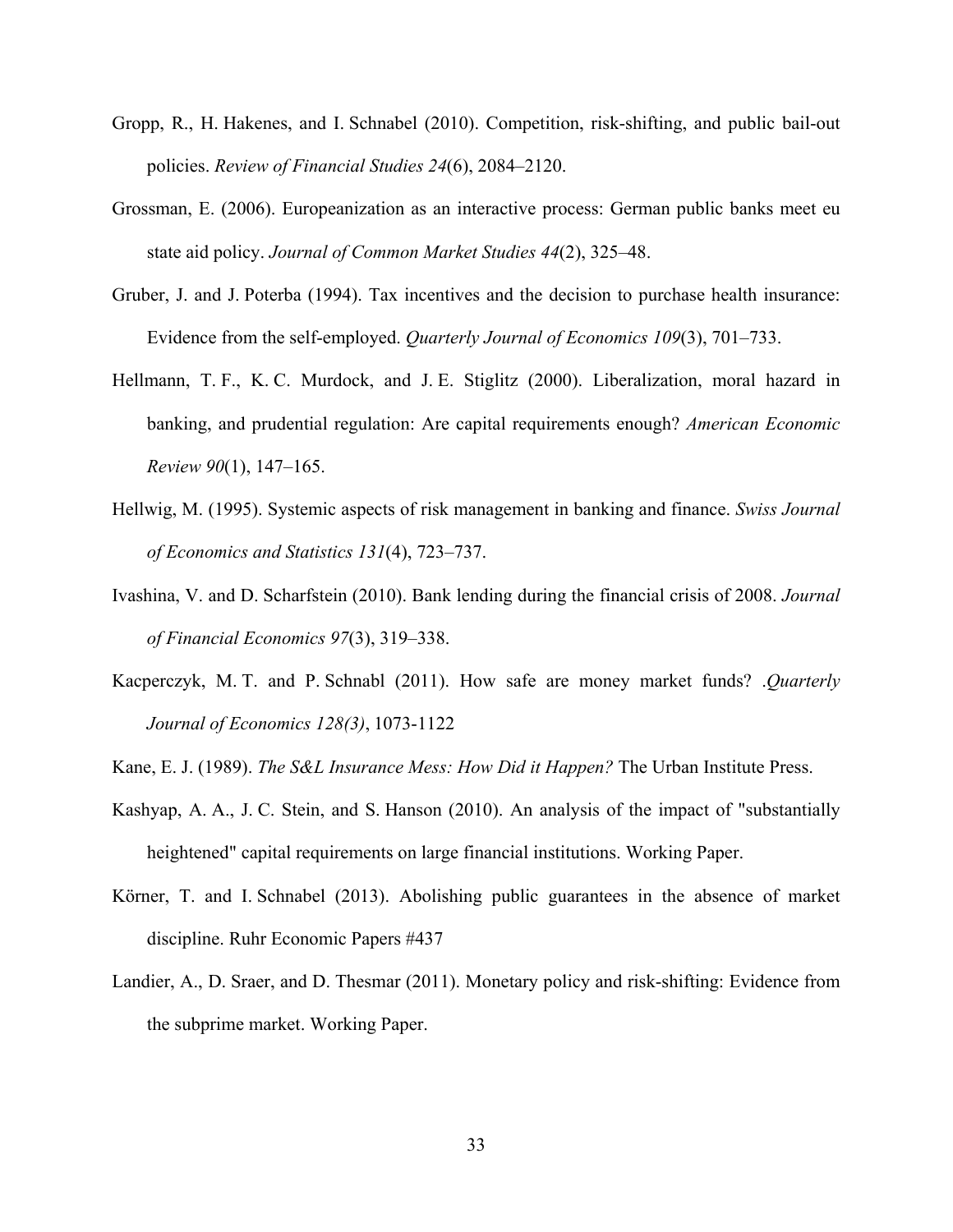- Gropp, R., H. Hakenes, and I. Schnabel (2010). Competition, risk-shifting, and public bail-out policies. *Review of Financial Studies 24*(6), 2084–2120.
- Grossman, E. (2006). Europeanization as an interactive process: German public banks meet eu state aid policy. *Journal of Common Market Studies 44*(2), 325–48.
- Gruber, J. and J. Poterba (1994). Tax incentives and the decision to purchase health insurance: Evidence from the self-employed. *Quarterly Journal of Economics 109*(3), 701–733.
- Hellmann, T. F., K. C. Murdock, and J. E. Stiglitz (2000). Liberalization, moral hazard in banking, and prudential regulation: Are capital requirements enough? *American Economic Review 90*(1), 147–165.
- Hellwig, M. (1995). Systemic aspects of risk management in banking and finance. *Swiss Journal of Economics and Statistics 131*(4), 723–737.
- Ivashina, V. and D. Scharfstein (2010). Bank lending during the financial crisis of 2008. *Journal of Financial Economics 97*(3), 319–338.
- Kacperczyk, M. T. and P. Schnabl (2011). How safe are money market funds? .*Quarterly Journal of Economics 128(3)*, 1073-1122
- Kane, E. J. (1989). *The S&L Insurance Mess: How Did it Happen?* The Urban Institute Press.
- Kashyap, A. A., J. C. Stein, and S. Hanson (2010). An analysis of the impact of "substantially heightened" capital requirements on large financial institutions. Working Paper.
- Körner, T. and I. Schnabel (2013). Abolishing public guarantees in the absence of market discipline. Ruhr Economic Papers #437
- Landier, A., D. Sraer, and D. Thesmar (2011). Monetary policy and risk-shifting: Evidence from the subprime market. Working Paper.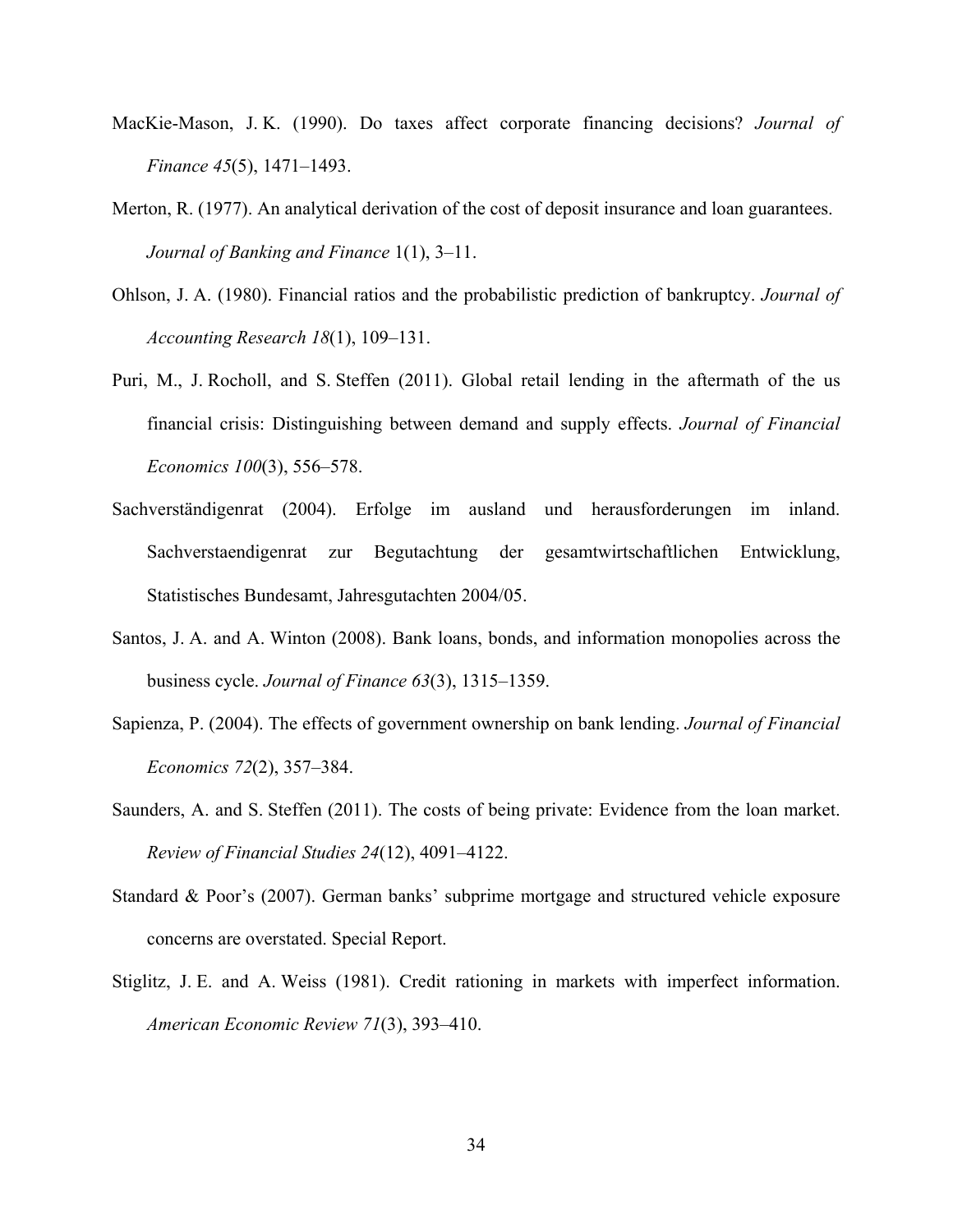- MacKie-Mason, J. K. (1990). Do taxes affect corporate financing decisions? *Journal of Finance 45*(5), 1471–1493.
- Merton, R. (1977). An analytical derivation of the cost of deposit insurance and loan guarantees. *Journal of Banking and Finance* 1(1), 3–11.
- Ohlson, J. A. (1980). Financial ratios and the probabilistic prediction of bankruptcy. *Journal of Accounting Research 18*(1), 109–131.
- Puri, M., J. Rocholl, and S. Steffen (2011). Global retail lending in the aftermath of the us financial crisis: Distinguishing between demand and supply effects. *Journal of Financial Economics 100*(3), 556–578.
- Sachverständigenrat (2004). Erfolge im ausland und herausforderungen im inland. Sachverstaendigenrat zur Begutachtung der gesamtwirtschaftlichen Entwicklung, Statistisches Bundesamt, Jahresgutachten 2004/05.
- Santos, J. A. and A. Winton (2008). Bank loans, bonds, and information monopolies across the business cycle. *Journal of Finance 63*(3), 1315–1359.
- Sapienza, P. (2004). The effects of government ownership on bank lending. *Journal of Financial Economics 72*(2), 357–384.
- Saunders, A. and S. Steffen (2011). The costs of being private: Evidence from the loan market. *Review of Financial Studies 24*(12), 4091–4122.
- Standard & Poor's (2007). German banks' subprime mortgage and structured vehicle exposure concerns are overstated. Special Report.
- Stiglitz, J. E. and A. Weiss (1981). Credit rationing in markets with imperfect information. *American Economic Review 71*(3), 393–410.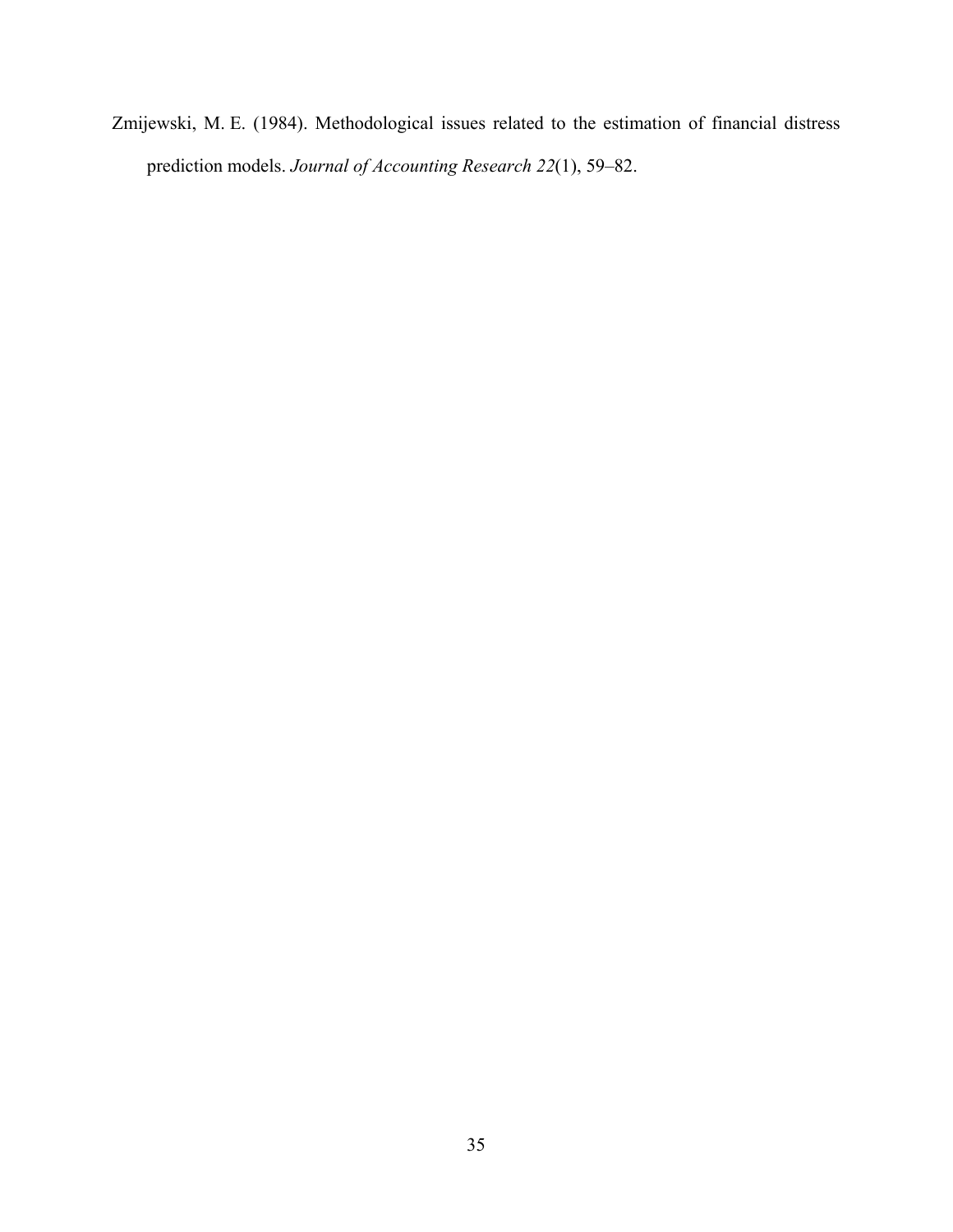Zmijewski, M. E. (1984). Methodological issues related to the estimation of financial distress prediction models. *Journal of Accounting Research 22*(1), 59–82.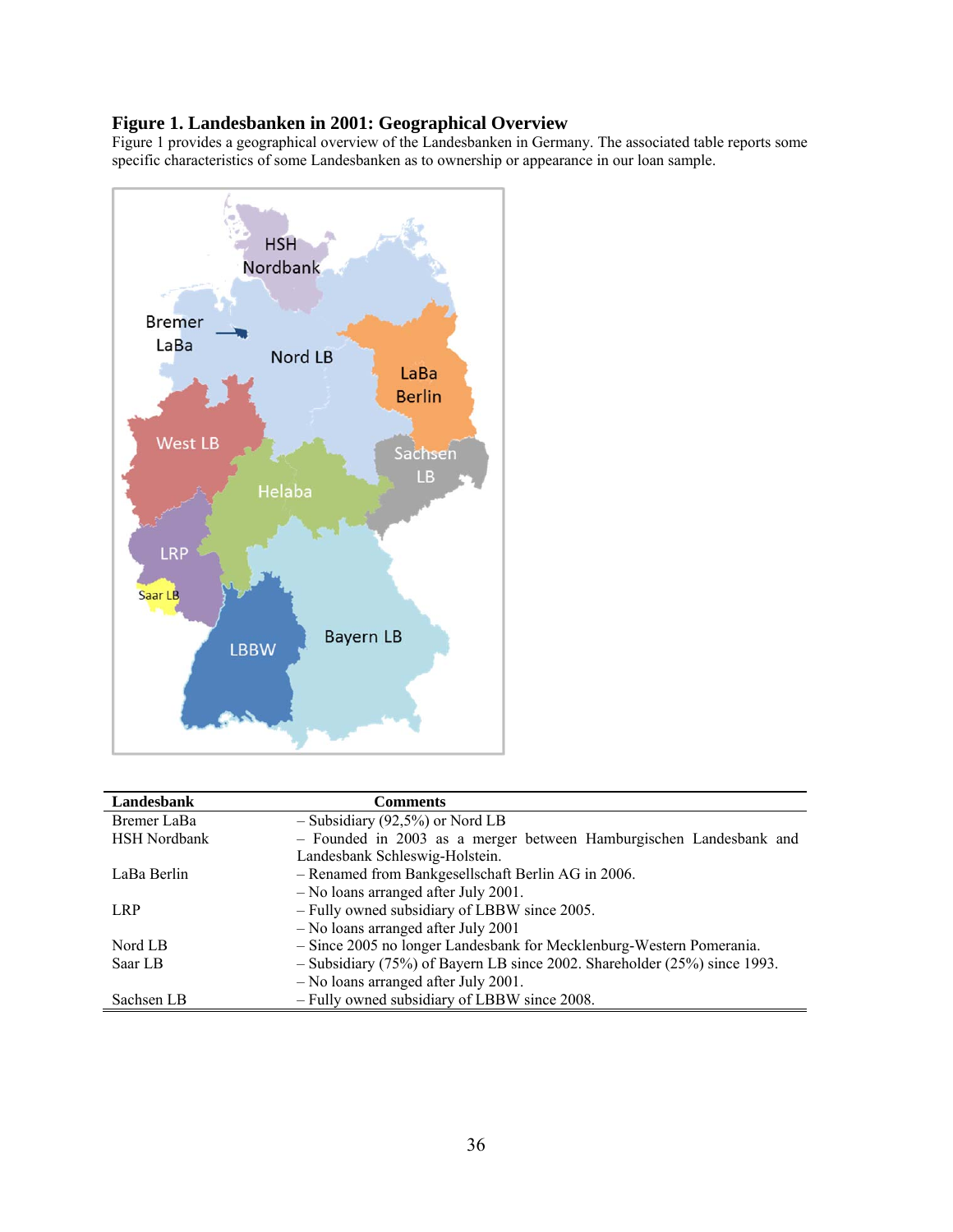## **Figure 1. Landesbanken in 2001: Geographical Overview**

Figure 1 provides a geographical overview of the Landesbanken in Germany. The associated table reports some specific characteristics of some Landesbanken as to ownership or appearance in our loan sample.



| Landesbank          | <b>Comments</b>                                                           |
|---------------------|---------------------------------------------------------------------------|
| Bremer LaBa         | $-$ Subsidiary (92,5%) or Nord LB                                         |
| <b>HSH</b> Nordbank | - Founded in 2003 as a merger between Hamburgischen Landesbank and        |
|                     | Landesbank Schleswig-Holstein.                                            |
| LaBa Berlin         | - Renamed from Bankgesellschaft Berlin AG in 2006.                        |
|                     | - No loans arranged after July 2001.                                      |
| LRP                 | - Fully owned subsidiary of LBBW since 2005.                              |
|                     | - No loans arranged after July 2001                                       |
| Nord LB             | - Since 2005 no longer Landesbank for Mecklenburg-Western Pomerania.      |
| Saar LB             | - Subsidiary (75%) of Bayern LB since 2002. Shareholder (25%) since 1993. |
|                     | - No loans arranged after July 2001.                                      |
| Sachsen LB          | - Fully owned subsidiary of LBBW since 2008.                              |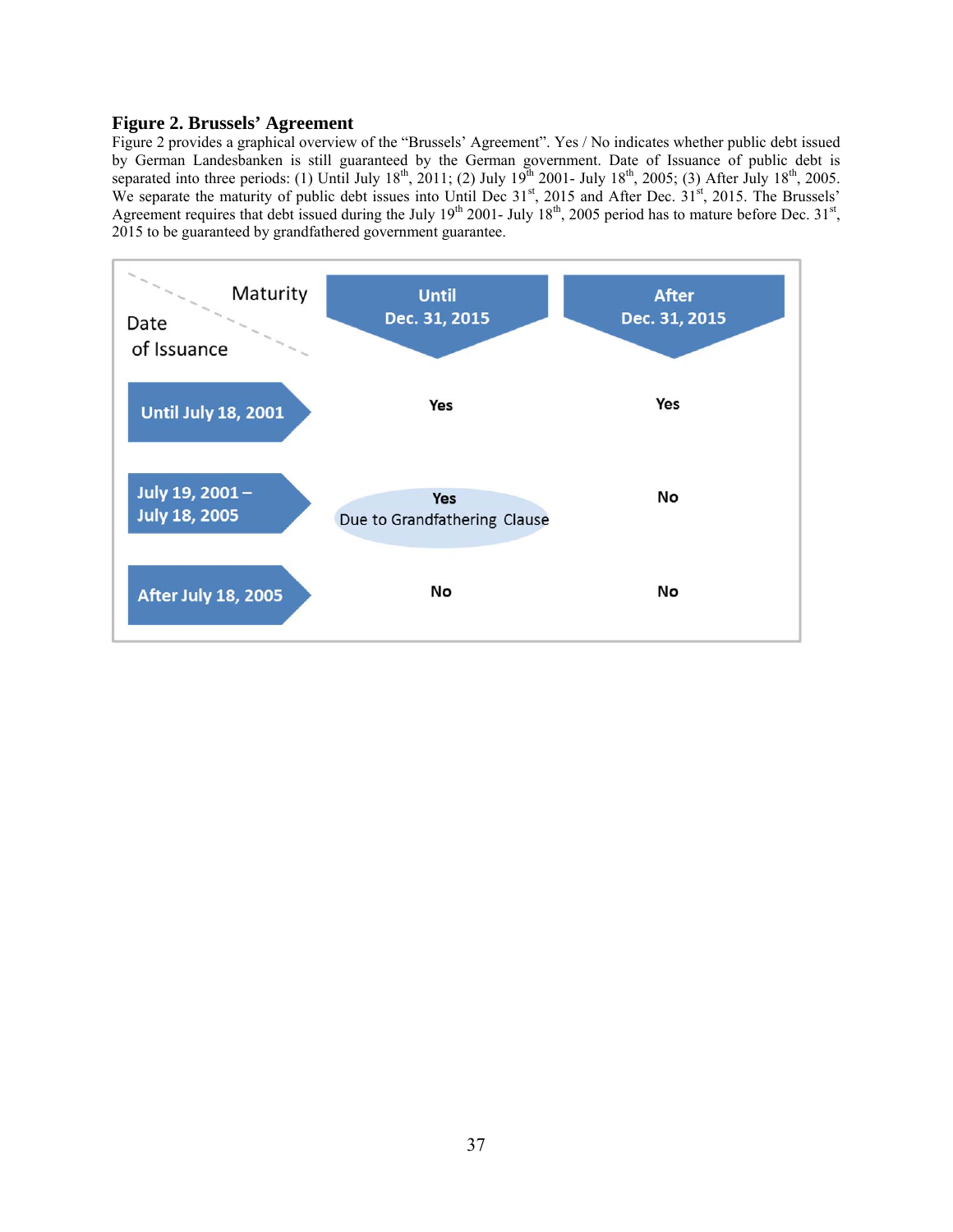## **Figure 2. Brussels' Agreement**

Figure 2 provides a graphical overview of the "Brussels' Agreement". Yes / No indicates whether public debt issued by German Landesbanken is still guaranteed by the German government. Date of Issuance of public debt is separated into three periods: (1) Until July  $18^{th}$ , 2011; (2) July  $19^{th}$  2001- July  $18^{th}$ , 2005; (3) After July  $18^{th}$ , 2005. We separate the maturity of public debt issues into Until Dec 31<sup>st</sup>, 2015 and After Dec. 31<sup>st</sup>, 2015. The Brussels' Agreement requires that debt issued during the July  $19<sup>th</sup>$  2001- July  $18<sup>th</sup>$ , 2005 period has to mature before Dec.  $31<sup>st</sup>$ , 2015 to be guaranteed by grandfathered government guarantee.

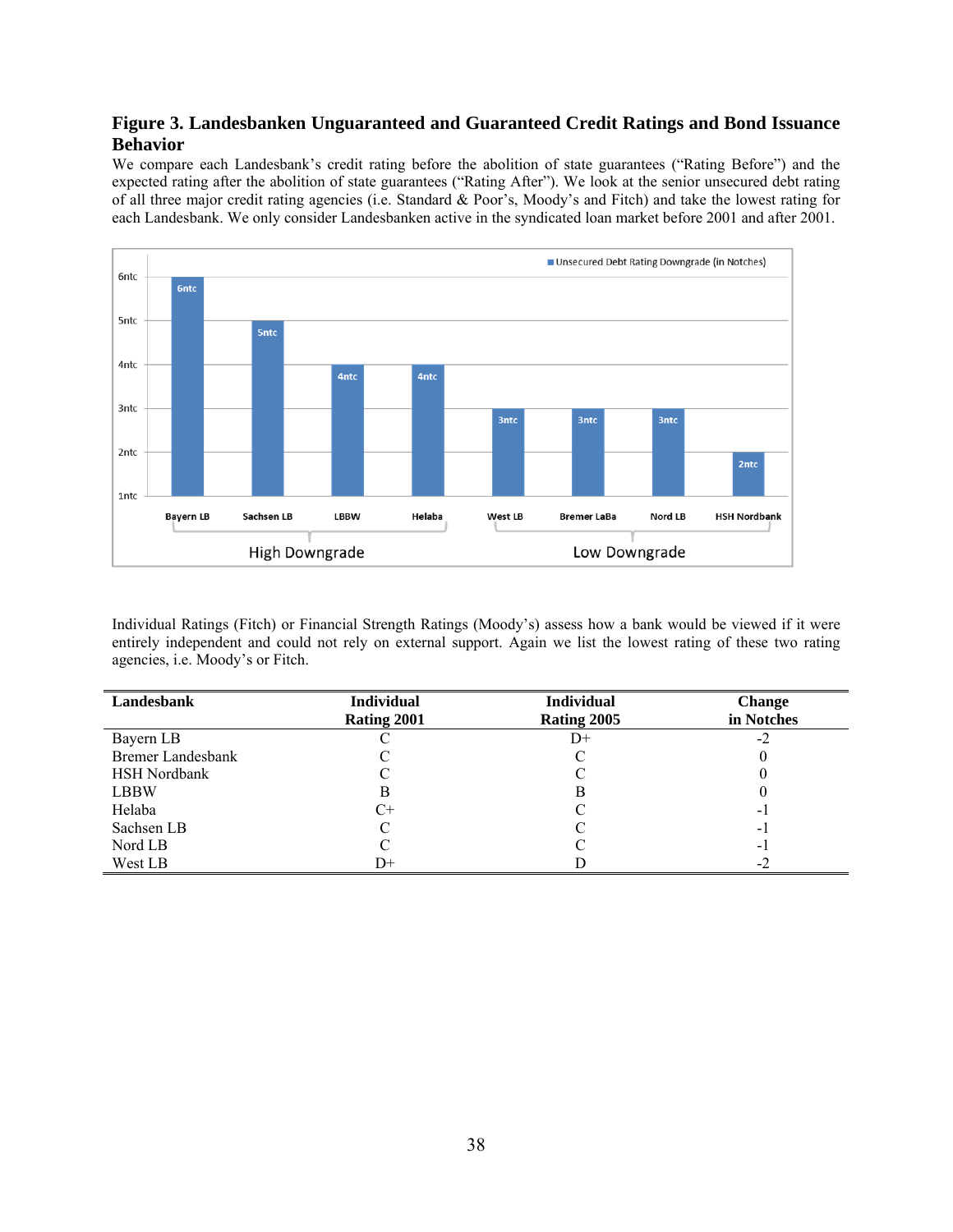## **Figure 3. Landesbanken Unguaranteed and Guaranteed Credit Ratings and Bond Issuance Behavior**

We compare each Landesbank's credit rating before the abolition of state guarantees ("Rating Before") and the expected rating after the abolition of state guarantees ("Rating After"). We look at the senior unsecured debt rating of all three major credit rating agencies (i.e. Standard & Poor's, Moody's and Fitch) and take the lowest rating for each Landesbank. We only consider Landesbanken active in the syndicated loan market before 2001 and after 2001.



Individual Ratings (Fitch) or Financial Strength Ratings (Moody's) assess how a bank would be viewed if it were entirely independent and could not rely on external support. Again we list the lowest rating of these two rating agencies, i.e. Moody's or Fitch.

| Landesbank               | <b>Individual</b> | <b>Individual</b> | <b>Change</b>  |
|--------------------------|-------------------|-------------------|----------------|
|                          | Rating 2001       | Rating 2005       | in Notches     |
| Bayern LB                |                   | D+                | $-2$           |
| <b>Bremer Landesbank</b> |                   |                   |                |
| <b>HSH Nordbank</b>      |                   |                   |                |
| <b>LBBW</b>              | В                 | В                 |                |
| Helaba                   | C+                |                   | - 1            |
| Sachsen LB               |                   |                   | $\blacksquare$ |
| Nord LB                  |                   |                   | - 1            |
| West LB                  | D+                |                   | $-2$           |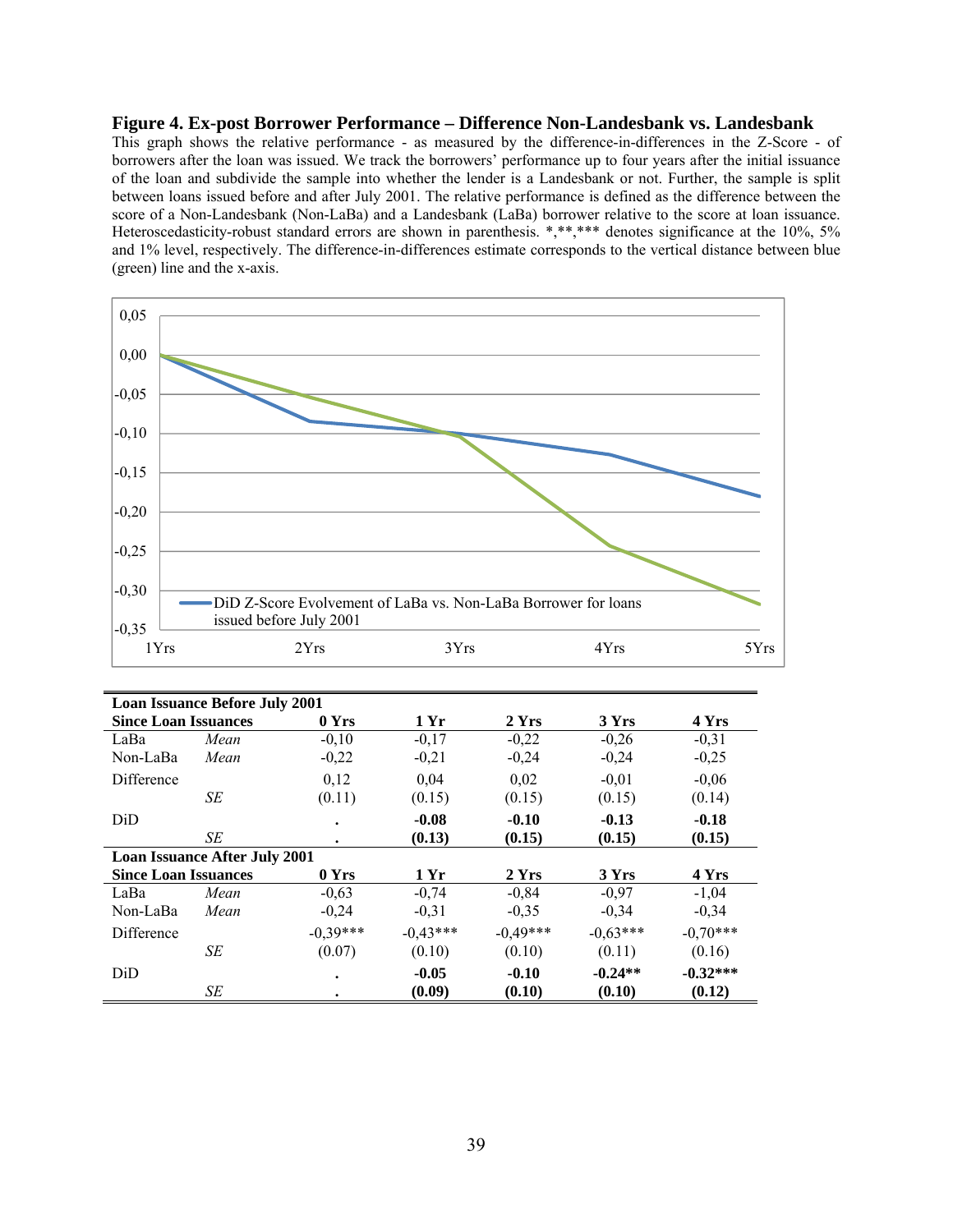#### **Figure 4. Ex-post Borrower Performance – Difference Non-Landesbank vs. Landesbank**

This graph shows the relative performance - as measured by the difference-in-differences in the Z-Score - of borrowers after the loan was issued. We track the borrowers' performance up to four years after the initial issuance of the loan and subdivide the sample into whether the lender is a Landesbank or not. Further, the sample is split between loans issued before and after July 2001. The relative performance is defined as the difference between the score of a Non-Landesbank (Non-LaBa) and a Landesbank (LaBa) borrower relative to the score at loan issuance. Heteroscedasticity-robust standard errors are shown in parenthesis. \*,\*\*,\*\*\* denotes significance at the 10%, 5% and 1% level, respectively. The difference-in-differences estimate corresponds to the vertical distance between blue (green) line and the x-axis.



| <b>Loan Issuance Before July 2001</b> |                                      |            |            |            |            |            |  |  |
|---------------------------------------|--------------------------------------|------------|------------|------------|------------|------------|--|--|
| <b>Since Loan Issuances</b>           |                                      | 0 Yrs      | 1 Yr       | 2Yrs       | 3 Yrs      | 4 Yrs      |  |  |
| LaBa                                  | Mean                                 | $-0,10$    | $-0,17$    | $-0,22$    | $-0,26$    | $-0,31$    |  |  |
| Non-LaBa                              | Mean                                 | $-0,22$    | $-0,21$    | $-0,24$    | $-0,24$    | $-0,25$    |  |  |
| Difference                            |                                      | 0.12       | 0.04       | 0.02       | $-0.01$    | $-0,06$    |  |  |
|                                       | SE                                   | (0.11)     | (0.15)     | (0.15)     | (0.15)     | (0.14)     |  |  |
| DiD                                   |                                      | $\bullet$  | $-0.08$    | $-0.10$    | $-0.13$    | $-0.18$    |  |  |
|                                       | SE                                   | $\bullet$  | (0.13)     | (0.15)     | (0.15)     | (0.15)     |  |  |
|                                       | <b>Loan Issuance After July 2001</b> |            |            |            |            |            |  |  |
| <b>Since Loan Issuances</b>           |                                      | 0 Yrs      | 1 Yr       | 2 Yrs      | 3 Yrs      | 4 Yrs      |  |  |
| LaBa                                  | Mean                                 | $-0,63$    | $-0,74$    | $-0,84$    | $-0,97$    | $-1,04$    |  |  |
| Non-LaBa                              | Mean                                 | $-0.24$    | $-0,31$    | $-0.35$    | $-0.34$    | $-0,34$    |  |  |
| <b>Difference</b>                     |                                      | $-0.39***$ | $-0.43***$ | $-0.49***$ | $-0.63***$ | $-0,70***$ |  |  |
|                                       | SE                                   | (0.07)     | (0.10)     | (0.10)     | (0.11)     | (0.16)     |  |  |
| DiD                                   |                                      | $\bullet$  | $-0.05$    | $-0.10$    | $-0.24**$  | $-0.32***$ |  |  |
|                                       | SE                                   | ٠          | (0.09)     | (0.10)     | (0.10)     | (0.12)     |  |  |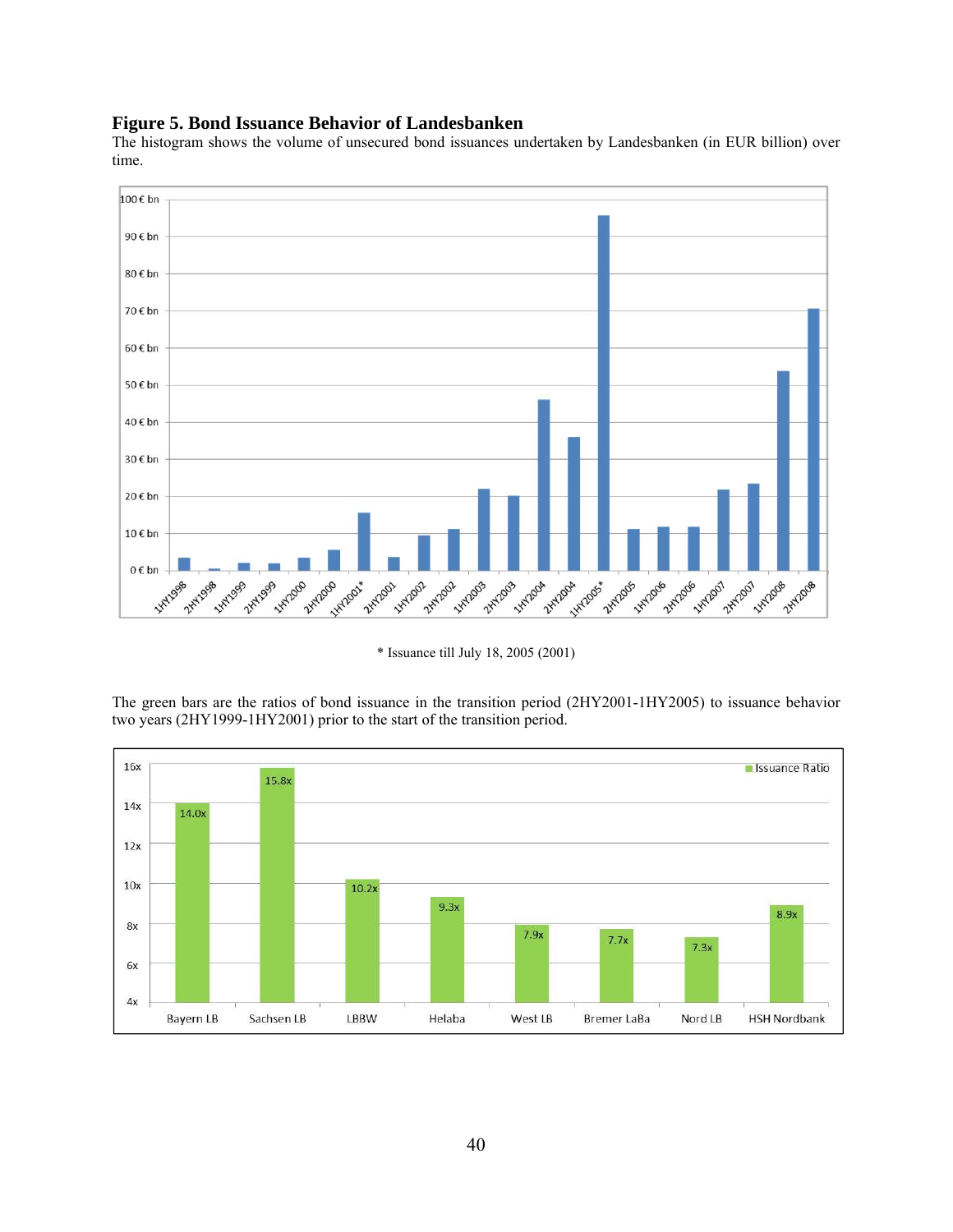## **Figure 5. Bond Issuance Behavior of Landesbanken**

The histogram shows the volume of unsecured bond issuances undertaken by Landesbanken (in EUR billion) over time.



\* Issuance till July 18, 2005 (2001)

The green bars are the ratios of bond issuance in the transition period (2HY2001-1HY2005) to issuance behavior two years (2HY1999-1HY2001) prior to the start of the transition period.

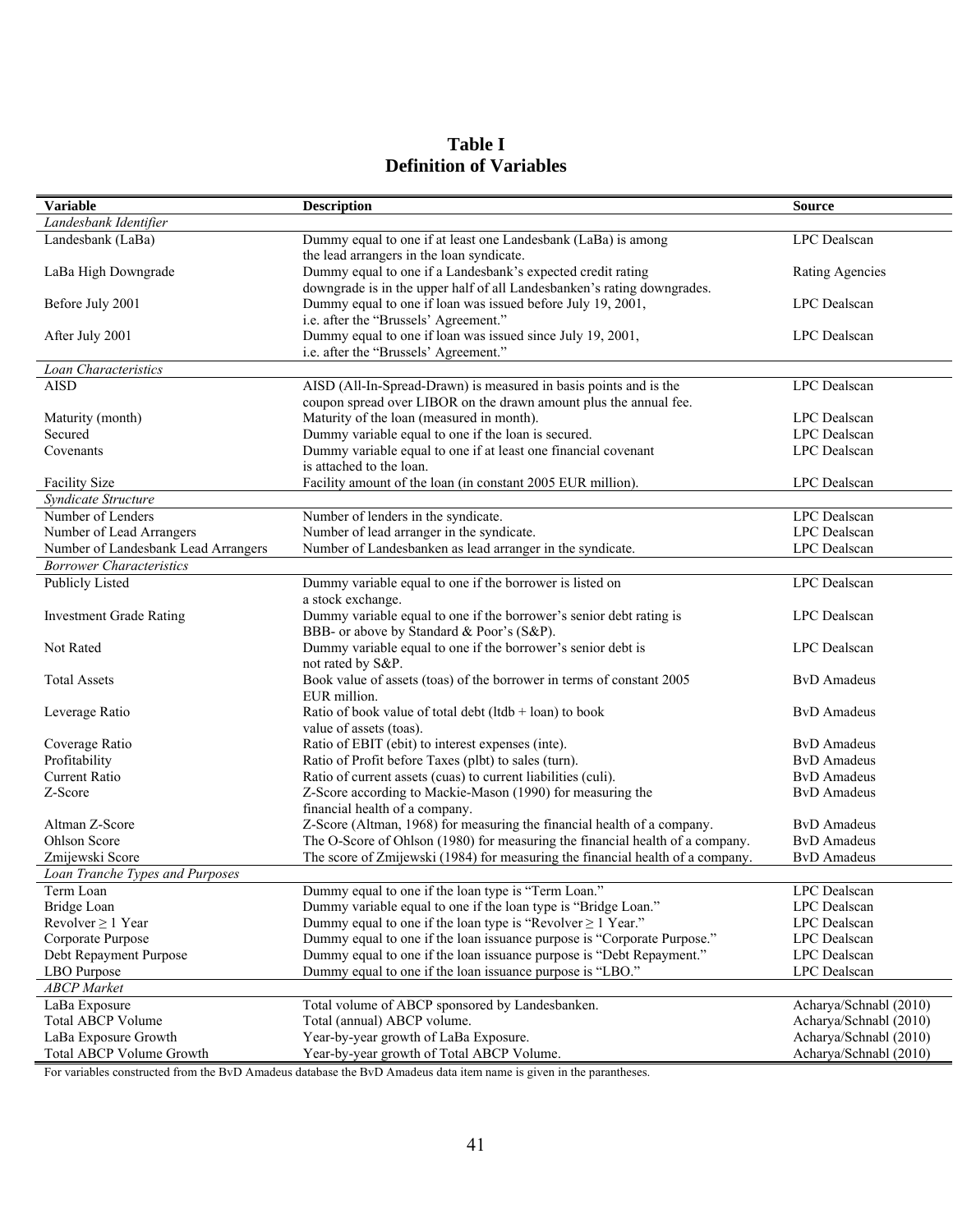| Table I                        |  |  |  |  |  |
|--------------------------------|--|--|--|--|--|
| <b>Definition of Variables</b> |  |  |  |  |  |

| <b>Variable</b>                             | <b>Description</b>                                                                                                                     | <b>Source</b>          |
|---------------------------------------------|----------------------------------------------------------------------------------------------------------------------------------------|------------------------|
| Landesbank Identifier                       |                                                                                                                                        |                        |
| Landesbank (LaBa)                           | Dummy equal to one if at least one Landesbank (LaBa) is among<br>the lead arrangers in the loan syndicate.                             | LPC Dealscan           |
| LaBa High Downgrade                         | Dummy equal to one if a Landesbank's expected credit rating<br>downgrade is in the upper half of all Landesbanken's rating downgrades. | <b>Rating Agencies</b> |
| Before July 2001                            | Dummy equal to one if loan was issued before July 19, 2001,<br>i.e. after the "Brussels' Agreement."                                   | LPC Dealscan           |
| After July 2001                             | Dummy equal to one if loan was issued since July 19, 2001,<br>i.e. after the "Brussels' Agreement."                                    | LPC Dealscan           |
| Loan Characteristics                        |                                                                                                                                        |                        |
| <b>AISD</b>                                 | AISD (All-In-Spread-Drawn) is measured in basis points and is the                                                                      | LPC Dealscan           |
|                                             | coupon spread over LIBOR on the drawn amount plus the annual fee.                                                                      |                        |
| Maturity (month)                            | Maturity of the loan (measured in month).                                                                                              | LPC Dealscan           |
| Secured                                     | Dummy variable equal to one if the loan is secured.                                                                                    | LPC Dealscan           |
| Covenants                                   | Dummy variable equal to one if at least one financial covenant                                                                         | LPC Dealscan           |
|                                             | is attached to the loan.                                                                                                               |                        |
| <b>Facility Size</b><br>Syndicate Structure | Facility amount of the loan (in constant 2005 EUR million).                                                                            | LPC Dealscan           |
| Number of Lenders                           |                                                                                                                                        | LPC Dealscan           |
| Number of Lead Arrangers                    | Number of lenders in the syndicate.<br>Number of lead arranger in the syndicate.                                                       | LPC Dealscan           |
| Number of Landesbank Lead Arrangers         | Number of Landesbanken as lead arranger in the syndicate.                                                                              | LPC Dealscan           |
| <b>Borrower Characteristics</b>             |                                                                                                                                        |                        |
| Publicly Listed                             | Dummy variable equal to one if the borrower is listed on                                                                               | <b>LPC</b> Dealscan    |
|                                             | a stock exchange.                                                                                                                      |                        |
| <b>Investment Grade Rating</b>              | Dummy variable equal to one if the borrower's senior debt rating is                                                                    | LPC Dealscan           |
| Not Rated                                   | BBB- or above by Standard & Poor's (S&P).                                                                                              | LPC Dealscan           |
|                                             | Dummy variable equal to one if the borrower's senior debt is<br>not rated by S&P.                                                      |                        |
| <b>Total Assets</b>                         | Book value of assets (toas) of the borrower in terms of constant 2005<br>EUR million.                                                  | <b>BvD</b> Amadeus     |
| Leverage Ratio                              | Ratio of book value of total debt (ltdb + loan) to book<br>value of assets (toas).                                                     | <b>ByD</b> Amadeus     |
| Coverage Ratio                              | Ratio of EBIT (ebit) to interest expenses (inte).                                                                                      | <b>ByD</b> Amadeus     |
| Profitability                               | Ratio of Profit before Taxes (plbt) to sales (turn).                                                                                   | <b>ByD</b> Amadeus     |
| <b>Current Ratio</b>                        | Ratio of current assets (cuas) to current liabilities (culi).                                                                          | <b>BvD</b> Amadeus     |
| Z-Score                                     | Z-Score according to Mackie-Mason (1990) for measuring the                                                                             | <b>BvD</b> Amadeus     |
|                                             | financial health of a company.                                                                                                         |                        |
| Altman Z-Score                              | Z-Score (Altman, 1968) for measuring the financial health of a company.                                                                | <b>BvD</b> Amadeus     |
| Ohlson Score                                | The O-Score of Ohlson (1980) for measuring the financial health of a company.                                                          | <b>BvD</b> Amadeus     |
| Zmijewski Score                             | The score of Zmijewski (1984) for measuring the financial health of a company.                                                         | <b>BvD</b> Amadeus     |
| Loan Tranche Types and Purposes             |                                                                                                                                        |                        |
| Term Loan                                   | Dummy equal to one if the loan type is "Term Loan."                                                                                    | LPC Dealscan           |
| Bridge Loan                                 | Dummy variable equal to one if the loan type is "Bridge Loan."                                                                         | LPC Dealscan           |
| Revolver $\geq 1$ Year                      | Dummy equal to one if the loan type is "Revolver $\geq 1$ Year."                                                                       | LPC Dealscan           |
| Corporate Purpose                           | Dummy equal to one if the loan issuance purpose is "Corporate Purpose."                                                                | LPC Dealscan           |
| Debt Repayment Purpose                      | Dummy equal to one if the loan issuance purpose is "Debt Repayment."                                                                   | LPC Dealscan           |
| LBO Purpose                                 | Dummy equal to one if the loan issuance purpose is "LBO."                                                                              | LPC Dealscan           |
| <b>ABCP</b> Market                          |                                                                                                                                        |                        |
| LaBa Exposure                               | Total volume of ABCP sponsored by Landesbanken.                                                                                        | Acharya/Schnabl (2010) |
| <b>Total ABCP Volume</b>                    | Total (annual) ABCP volume.                                                                                                            | Acharya/Schnabl (2010) |
| LaBa Exposure Growth                        | Year-by-year growth of LaBa Exposure.                                                                                                  | Acharya/Schnabl (2010) |
| Total ABCP Volume Growth                    | Year-by-year growth of Total ABCP Volume.                                                                                              | Acharya/Schnabl (2010) |

For variables constructed from the BvD Amadeus database the BvD Amadeus data item name is given in the parantheses.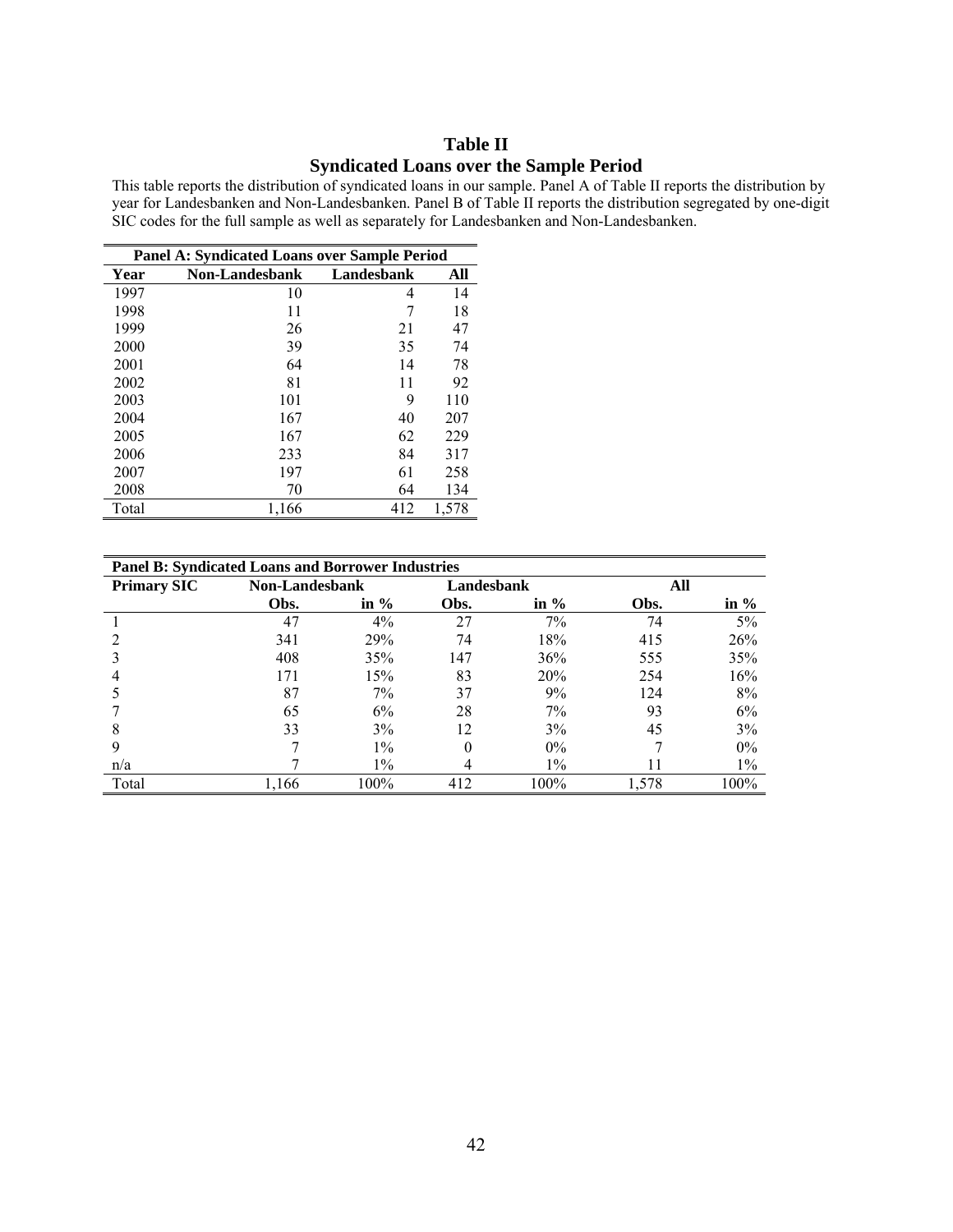# **Table II**

### **Syndicated Loans over the Sample Period**

This table reports the distribution of syndicated loans in our sample. Panel A of Table II reports the distribution by year for Landesbanken and Non-Landesbanken. Panel B of Table II reports the distribution segregated by one-digit SIC codes for the full sample as well as separately for Landesbanken and Non-Landesbanken.

| <b>Panel A: Syndicated Loans over Sample Period</b> |                |            |       |  |  |  |  |
|-----------------------------------------------------|----------------|------------|-------|--|--|--|--|
| Year                                                | Non-Landesbank | Landesbank | All   |  |  |  |  |
| 1997                                                | 10             | 4          | 14    |  |  |  |  |
| 1998                                                | 11             | 7          | 18    |  |  |  |  |
| 1999                                                | 26             | 21         | 47    |  |  |  |  |
| 2000                                                | 39             | 35         | 74    |  |  |  |  |
| 2001                                                | 64             | 14         | 78    |  |  |  |  |
| 2002                                                | 81             | 11         | 92    |  |  |  |  |
| 2003                                                | 101            | 9          | 110   |  |  |  |  |
| 2004                                                | 167            | 40         | 207   |  |  |  |  |
| 2005                                                | 167            | 62         | 229   |  |  |  |  |
| 2006                                                | 233            | 84         | 317   |  |  |  |  |
| 2007                                                | 197            | 61         | 258   |  |  |  |  |
| 2008                                                | 70             | 64         | 134   |  |  |  |  |
| Total                                               | 1,166          | 412        | 1,578 |  |  |  |  |

| <b>Panel B: Syndicated Loans and Borrower Industries</b> |                       |         |            |         |       |         |  |  |
|----------------------------------------------------------|-----------------------|---------|------------|---------|-------|---------|--|--|
| <b>Primary SIC</b>                                       | <b>Non-Landesbank</b> |         | Landesbank |         | All   |         |  |  |
|                                                          | Obs.                  | in $\%$ | Obs.       | in $\%$ | Obs.  | in $\%$ |  |  |
|                                                          | 47                    | 4%      | 27         | 7%      | 74    | 5%      |  |  |
|                                                          | 341                   | 29%     | 74         | 18%     | 415   | 26%     |  |  |
|                                                          | 408                   | 35%     | 147        | 36%     | 555   | 35%     |  |  |
|                                                          | 171                   | 15%     | 83         | 20%     | 254   | 16%     |  |  |
|                                                          | 87                    | 7%      | 37         | 9%      | 124   | 8%      |  |  |
|                                                          | 65                    | 6%      | 28         | $7\%$   | 93    | 6%      |  |  |
| 8                                                        | 33                    | 3%      | 12         | 3%      | 45    | 3%      |  |  |
| 9                                                        |                       | $1\%$   | $\Omega$   | $0\%$   |       | $0\%$   |  |  |
| n/a                                                      |                       | $1\%$   | 4          | $1\%$   | 11    | $1\%$   |  |  |
| Total                                                    | 1,166                 | 100%    | 412        | 100%    | 1,578 | 100%    |  |  |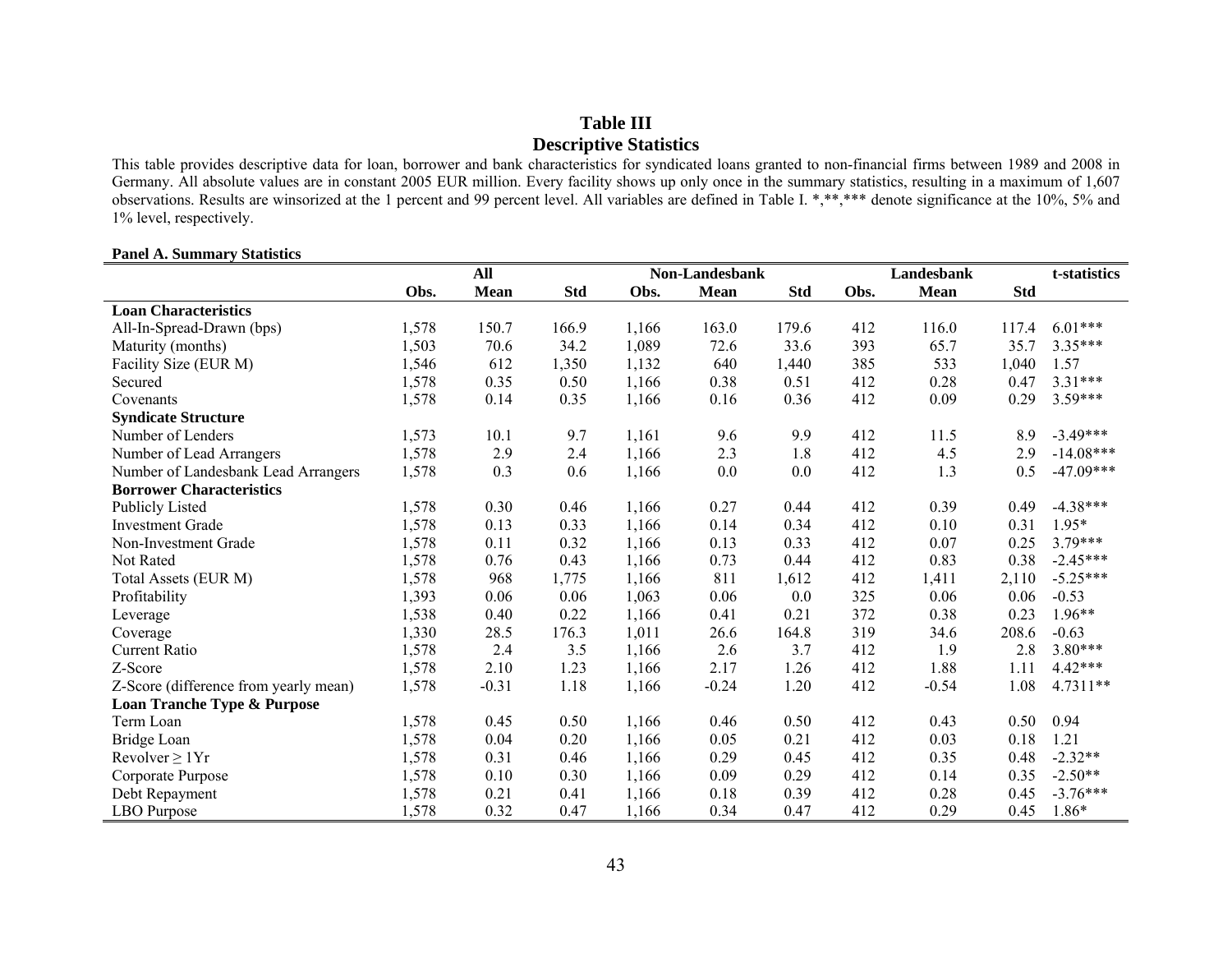## **Table III Descriptive Statistics**

This table provides descriptive data for loan, borrower and bank characteristics for syndicated loans granted to non-financial firms between 1989 and 2008 in Germany. All absolute values are in constant 2005 EUR million. Every facility shows up only once in the summary statistics, resulting in a maximum of 1,607 observations. Results are winsorized at the 1 percent and 99 percent level. All variables are defined in Table I. \*,\*\*,\*\*\* denote significance at the 10%, 5% and 1% level, respectively.

#### **Panel A. Summary Statistics**

|                                       |       | Landesbank<br>All<br><b>Non-Landesbank</b> |            |       | t-statistics |            |      |             |            |             |
|---------------------------------------|-------|--------------------------------------------|------------|-------|--------------|------------|------|-------------|------------|-------------|
|                                       | Obs.  | <b>Mean</b>                                | <b>Std</b> | Obs.  | <b>Mean</b>  | <b>Std</b> | Obs. | <b>Mean</b> | <b>Std</b> |             |
| <b>Loan Characteristics</b>           |       |                                            |            |       |              |            |      |             |            |             |
| All-In-Spread-Drawn (bps)             | 1,578 | 150.7                                      | 166.9      | 1,166 | 163.0        | 179.6      | 412  | 116.0       | 117.4      | $6.01***$   |
| Maturity (months)                     | 1,503 | 70.6                                       | 34.2       | 1,089 | 72.6         | 33.6       | 393  | 65.7        | 35.7       | 3.35***     |
| Facility Size (EUR M)                 | 1,546 | 612                                        | 1,350      | 1,132 | 640          | 1,440      | 385  | 533         | 1,040      | 1.57        |
| Secured                               | 1,578 | 0.35                                       | 0.50       | 1,166 | 0.38         | 0.51       | 412  | 0.28        | 0.47       | $3.31***$   |
| Covenants                             | 1,578 | 0.14                                       | 0.35       | 1,166 | 0.16         | 0.36       | 412  | 0.09        | 0.29       | 3.59***     |
| <b>Syndicate Structure</b>            |       |                                            |            |       |              |            |      |             |            |             |
| Number of Lenders                     | 1,573 | 10.1                                       | 9.7        | 1,161 | 9.6          | 9.9        | 412  | 11.5        | 8.9        | $-3.49***$  |
| Number of Lead Arrangers              | 1,578 | 2.9                                        | 2.4        | 1,166 | 2.3          | 1.8        | 412  | 4.5         | 2.9        | $-14.08***$ |
| Number of Landesbank Lead Arrangers   | 1,578 | 0.3                                        | 0.6        | 1,166 | 0.0          | 0.0        | 412  | 1.3         | 0.5        | $-47.09***$ |
| <b>Borrower Characteristics</b>       |       |                                            |            |       |              |            |      |             |            |             |
| <b>Publicly Listed</b>                | 1,578 | 0.30                                       | 0.46       | 1,166 | 0.27         | 0.44       | 412  | 0.39        | 0.49       | $-4.38***$  |
| <b>Investment Grade</b>               | 1,578 | 0.13                                       | 0.33       | 1,166 | 0.14         | 0.34       | 412  | 0.10        | 0.31       | $1.95*$     |
| Non-Investment Grade                  | 1,578 | 0.11                                       | 0.32       | 1,166 | 0.13         | 0.33       | 412  | 0.07        | 0.25       | 3.79***     |
| Not Rated                             | 1,578 | 0.76                                       | 0.43       | 1,166 | 0.73         | 0.44       | 412  | 0.83        | 0.38       | $-2.45***$  |
| Total Assets (EUR M)                  | 1,578 | 968                                        | 1,775      | 1,166 | 811          | 1,612      | 412  | 1,411       | 2,110      | $-5.25***$  |
| Profitability                         | 1,393 | 0.06                                       | 0.06       | 1,063 | 0.06         | 0.0        | 325  | 0.06        | 0.06       | $-0.53$     |
| Leverage                              | 1,538 | 0.40                                       | 0.22       | 1,166 | 0.41         | 0.21       | 372  | 0.38        | 0.23       | $1.96**$    |
| Coverage                              | 1,330 | 28.5                                       | 176.3      | 1,011 | 26.6         | 164.8      | 319  | 34.6        | 208.6      | $-0.63$     |
| <b>Current Ratio</b>                  | 1,578 | 2.4                                        | 3.5        | 1,166 | 2.6          | 3.7        | 412  | 1.9         | 2.8        | 3.80***     |
| Z-Score                               | 1,578 | 2.10                                       | 1.23       | 1,166 | 2.17         | 1.26       | 412  | 1.88        | 1.11       | $4.42***$   |
| Z-Score (difference from yearly mean) | 1,578 | $-0.31$                                    | 1.18       | 1,166 | $-0.24$      | 1.20       | 412  | $-0.54$     | 1.08       | 4.7311**    |
| Loan Tranche Type & Purpose           |       |                                            |            |       |              |            |      |             |            |             |
| Term Loan                             | 1,578 | 0.45                                       | 0.50       | 1,166 | 0.46         | 0.50       | 412  | 0.43        | 0.50       | 0.94        |
| Bridge Loan                           | 1,578 | 0.04                                       | 0.20       | 1,166 | 0.05         | 0.21       | 412  | 0.03        | 0.18       | 1.21        |
| Revolver $\geq 1Yr$                   | 1,578 | 0.31                                       | 0.46       | 1,166 | 0.29         | 0.45       | 412  | 0.35        | 0.48       | $-2.32**$   |
| Corporate Purpose                     | 1,578 | 0.10                                       | 0.30       | 1,166 | 0.09         | 0.29       | 412  | 0.14        | 0.35       | $-2.50**$   |
| Debt Repayment                        | 1,578 | 0.21                                       | 0.41       | 1,166 | 0.18         | 0.39       | 412  | 0.28        | 0.45       | $-3.76***$  |
| <b>LBO</b> Purpose                    | 1,578 | 0.32                                       | 0.47       | 1,166 | 0.34         | 0.47       | 412  | 0.29        | 0.45       | $1.86*$     |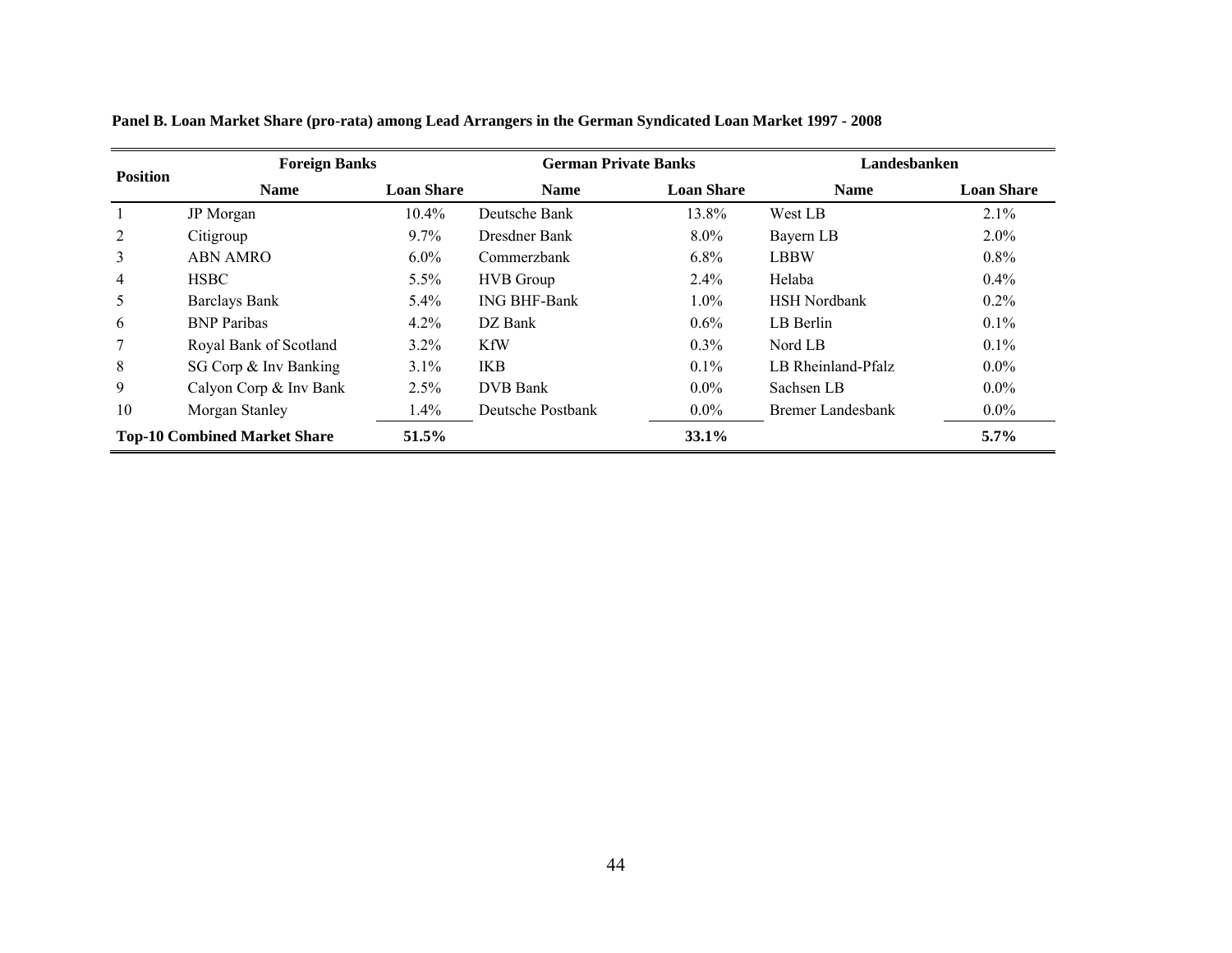|                                     | <b>Foreign Banks</b>   |                   | <b>German Private Banks</b> |                   | Landesbanken        |                   |  |
|-------------------------------------|------------------------|-------------------|-----------------------------|-------------------|---------------------|-------------------|--|
| <b>Position</b>                     | <b>Name</b>            | <b>Loan Share</b> | <b>Name</b>                 | <b>Loan Share</b> | <b>Name</b>         | <b>Loan Share</b> |  |
|                                     | JP Morgan              | $10.4\%$          | Deutsche Bank               | 13.8%             | West LB             | 2.1%              |  |
| 2                                   | Citigroup              | $9.7\%$           | Dresdner Bank               | $8.0\%$           | Bayern LB           | $2.0\%$           |  |
| 3                                   | ABN AMRO               | $6.0\%$           | Commerzbank                 | $6.8\%$           | <b>LBBW</b>         | $0.8\%$           |  |
| 4                                   | <b>HSBC</b>            | $5.5\%$           | <b>HVB</b> Group            | $2.4\%$           | Helaba              | $0.4\%$           |  |
| 5                                   | <b>Barclays Bank</b>   | $5.4\%$           | <b>ING BHF-Bank</b>         | $1.0\%$           | <b>HSH</b> Nordbank | $0.2\%$           |  |
| 6                                   | <b>BNP</b> Paribas     | 4.2%              | DZ Bank                     | $0.6\%$           | LB Berlin           | 0.1%              |  |
| 7                                   | Royal Bank of Scotland | $3.2\%$           | <b>KfW</b>                  | $0.3\%$           | Nord LB             | 0.1%              |  |
| 8                                   | SG Corp & Inv Banking  | $3.1\%$           | IKB                         | $0.1\%$           | LB Rheinland-Pfalz  | $0.0\%$           |  |
| 9                                   | Calyon Corp & Inv Bank | 2.5%              | DVB Bank                    | $0.0\%$           | Sachsen LB          | $0.0\%$           |  |
| 10                                  | Morgan Stanley         | $1.4\%$           | Deutsche Postbank           | $0.0\%$           | Bremer Landesbank   | $0.0\%$           |  |
| <b>Top-10 Combined Market Share</b> |                        | 51.5%             |                             | 33.1%             |                     | $5.7\%$           |  |

**Panel B. Loan Market Share (pro-rata) among Lead Arrangers in the German Syndicated Loan Market 1997 - 2008**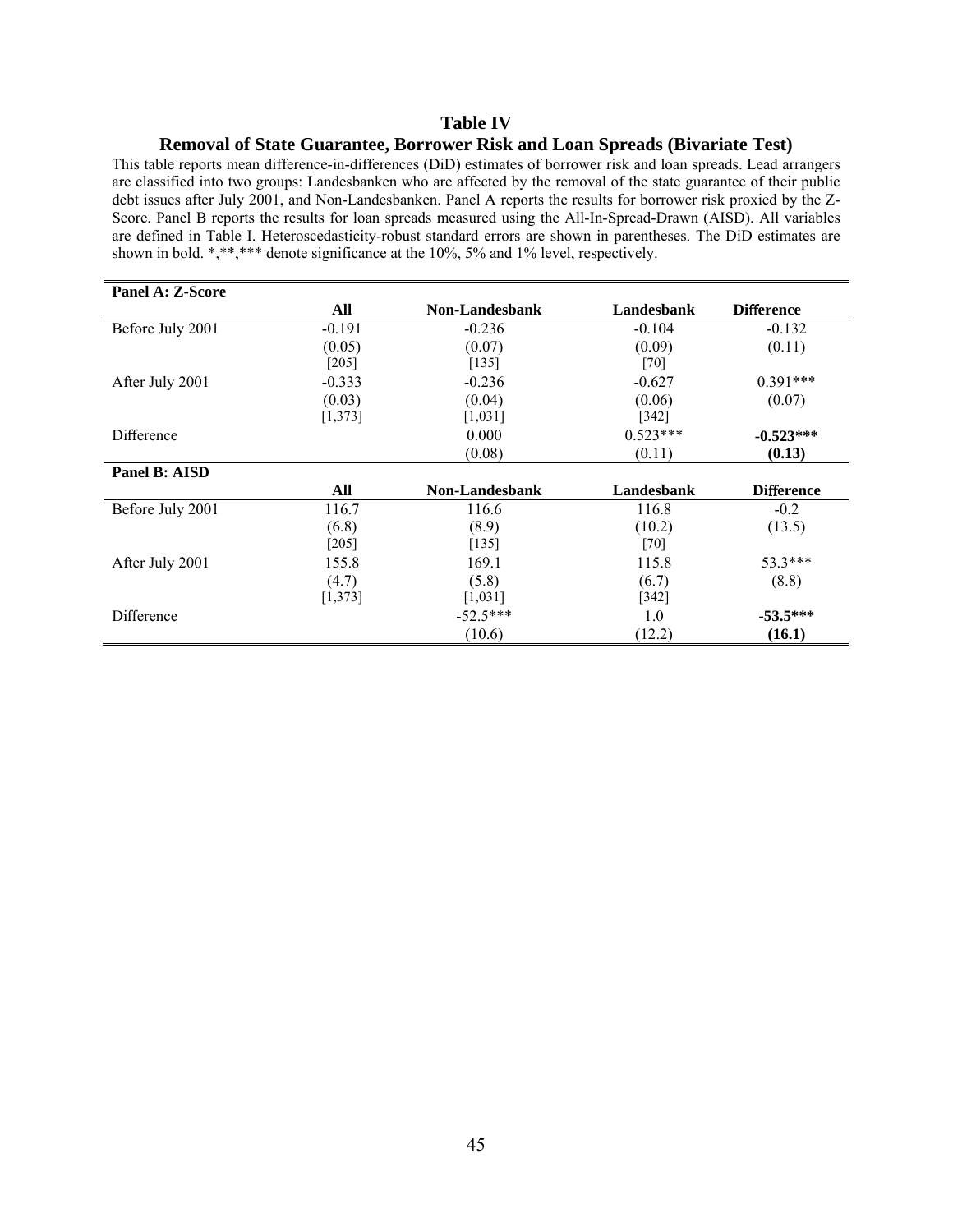## **Table IV**

#### **Removal of State Guarantee, Borrower Risk and Loan Spreads (Bivariate Test)**

This table reports mean difference-in-differences (DiD) estimates of borrower risk and loan spreads. Lead arrangers are classified into two groups: Landesbanken who are affected by the removal of the state guarantee of their public debt issues after July 2001, and Non-Landesbanken. Panel A reports the results for borrower risk proxied by the Z-Score. Panel B reports the results for loan spreads measured using the All-In-Spread-Drawn (AISD). All variables are defined in Table I. Heteroscedasticity-robust standard errors are shown in parentheses. The DiD estimates are shown in bold. \*,\*\*,\*\*\* denote significance at the 10%, 5% and 1% level, respectively.

| <b>Panel A: Z-Score</b> |          |                       |            |                   |
|-------------------------|----------|-----------------------|------------|-------------------|
|                         | All      | Non-Landesbank        | Landesbank | <b>Difference</b> |
| Before July 2001        | $-0.191$ | $-0.236$              | $-0.104$   | $-0.132$          |
|                         | (0.05)   | (0.07)                | (0.09)     | (0.11)            |
|                         | $[205]$  | $[135]$               | $[70]$     |                   |
| After July 2001         | $-0.333$ | $-0.236$              | $-0.627$   | $0.391***$        |
|                         | (0.03)   | (0.04)                | (0.06)     | (0.07)            |
|                         | [1, 373] | [1,031]               | $[342]$    |                   |
| Difference              |          | 0.000                 | $0.523***$ | $-0.523***$       |
|                         |          | (0.08)                | (0.11)     | (0.13)            |
| Panel B: AISD           |          |                       |            |                   |
|                         | All      | <b>Non-Landesbank</b> | Landesbank | <b>Difference</b> |
| Before July 2001        | 116.7    | 116.6                 | 116.8      | $-0.2$            |
|                         | (6.8)    | (8.9)                 | (10.2)     | (13.5)            |
|                         | $[205]$  | $[135]$               | $[70]$     |                   |
| After July 2001         | 155.8    | 169.1                 | 115.8      | 53.3***           |
|                         | (4.7)    | (5.8)                 | (6.7)      | (8.8)             |
|                         | [1,373]  | [1,031]               | $[342]$    |                   |
| Difference              |          | $-52.5***$            | 1.0        | $-53.5***$        |
|                         |          | (10.6)                | (12.2)     | (16.1)            |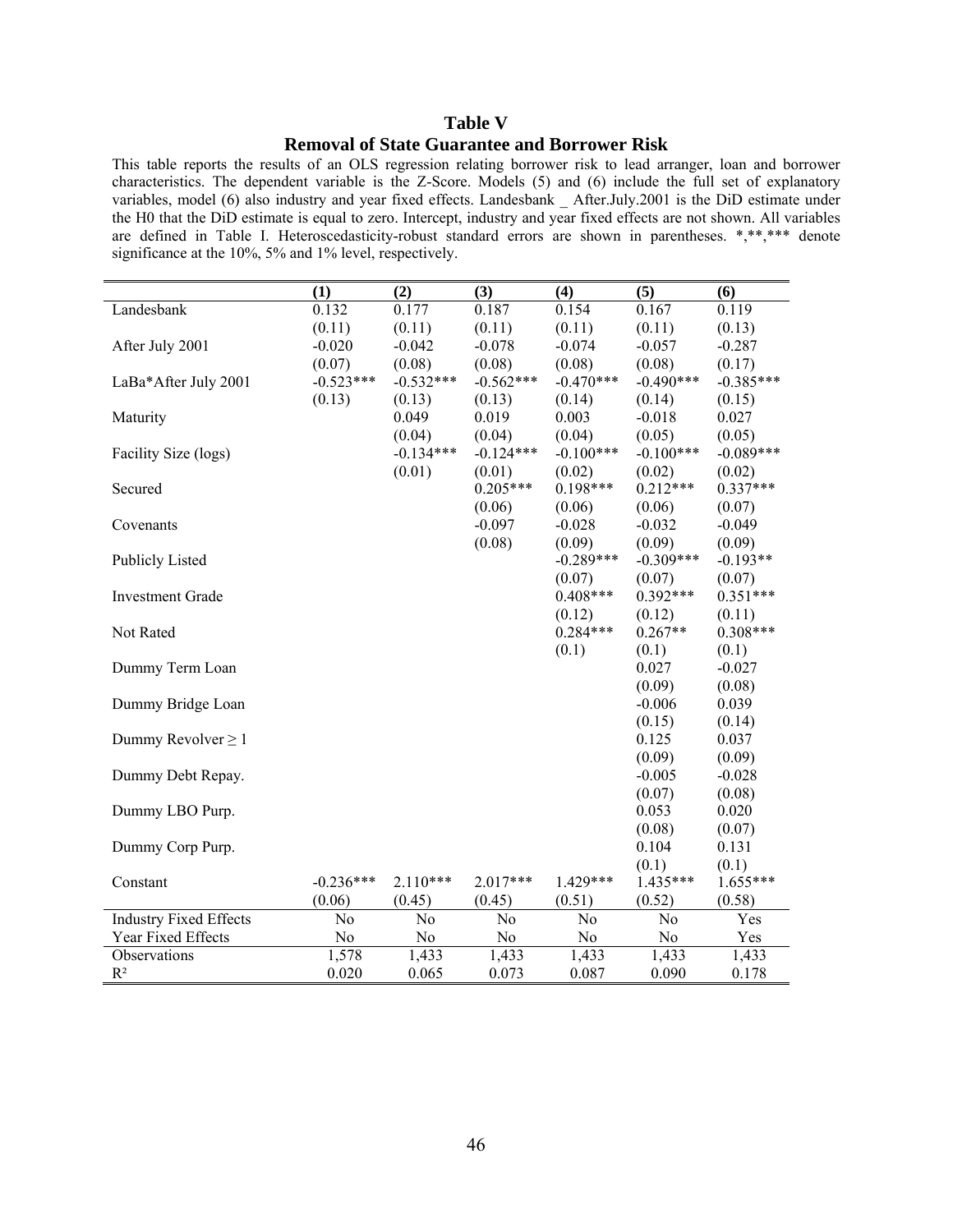## **Table V Removal of State Guarantee and Borrower Risk**

This table reports the results of an OLS regression relating borrower risk to lead arranger, loan and borrower characteristics. The dependent variable is the Z-Score. Models (5) and (6) include the full set of explanatory variables, model (6) also industry and year fixed effects. Landesbank \_ After.July.2001 is the DiD estimate under the H0 that the DiD estimate is equal to zero. Intercept, industry and year fixed effects are not shown. All variables are defined in Table I. Heteroscedasticity-robust standard errors are shown in parentheses. \*,\*\*,\*\*\* denote significance at the 10%, 5% and 1% level, respectively.

|                               | (1)         | (2)            | (3)            | (4)            | (5)            | (6)         |
|-------------------------------|-------------|----------------|----------------|----------------|----------------|-------------|
| Landesbank                    | 0.132       | 0.177          | 0.187          | 0.154          | 0.167          | 0.119       |
|                               | (0.11)      | (0.11)         | (0.11)         | (0.11)         | (0.11)         | (0.13)      |
| After July 2001               | $-0.020$    | $-0.042$       | $-0.078$       | $-0.074$       | $-0.057$       | $-0.287$    |
|                               | (0.07)      | (0.08)         | (0.08)         | (0.08)         | (0.08)         | (0.17)      |
| LaBa*After July 2001          | $-0.523***$ | $-0.532***$    | $-0.562***$    | $-0.470***$    | $-0.490***$    | $-0.385***$ |
|                               | (0.13)      | (0.13)         | (0.13)         | (0.14)         | (0.14)         | (0.15)      |
| Maturity                      |             | 0.049          | 0.019          | 0.003          | $-0.018$       | 0.027       |
|                               |             | (0.04)         | (0.04)         | (0.04)         | (0.05)         | (0.05)      |
| Facility Size (logs)          |             | $-0.134***$    | $-0.124***$    | $-0.100***$    | $-0.100***$    | $-0.089***$ |
|                               |             | (0.01)         | (0.01)         | (0.02)         | (0.02)         | (0.02)      |
| Secured                       |             |                | $0.205***$     | $0.198***$     | $0.212***$     | $0.337***$  |
|                               |             |                | (0.06)         | (0.06)         | (0.06)         | (0.07)      |
| Covenants                     |             |                | $-0.097$       | $-0.028$       | $-0.032$       | $-0.049$    |
|                               |             |                | (0.08)         | (0.09)         | (0.09)         | (0.09)      |
| <b>Publicly Listed</b>        |             |                |                | $-0.289***$    | $-0.309***$    | $-0.193**$  |
|                               |             |                |                | (0.07)         | (0.07)         | (0.07)      |
| <b>Investment Grade</b>       |             |                |                | $0.408***$     | $0.392***$     | $0.351***$  |
|                               |             |                |                | (0.12)         | (0.12)         | (0.11)      |
| Not Rated                     |             |                |                | $0.284***$     | $0.267**$      | $0.308***$  |
|                               |             |                |                | (0.1)          | (0.1)          | (0.1)       |
| Dummy Term Loan               |             |                |                |                | 0.027          | $-0.027$    |
|                               |             |                |                |                | (0.09)         | (0.08)      |
| Dummy Bridge Loan             |             |                |                |                | $-0.006$       | 0.039       |
|                               |             |                |                |                | (0.15)         | (0.14)      |
| Dummy Revolver $\geq 1$       |             |                |                |                | 0.125          | 0.037       |
|                               |             |                |                |                | (0.09)         | (0.09)      |
| Dummy Debt Repay.             |             |                |                |                | $-0.005$       | $-0.028$    |
|                               |             |                |                |                | (0.07)         | (0.08)      |
| Dummy LBO Purp.               |             |                |                |                | 0.053          | 0.020       |
|                               |             |                |                |                | (0.08)         | (0.07)      |
| Dummy Corp Purp.              |             |                |                |                | 0.104          | 0.131       |
|                               |             |                |                |                | (0.1)          | (0.1)       |
| Constant                      | $-0.236***$ | $2.110***$     | $2.017***$     | $1.429***$     | 1.435***       | $1.655***$  |
|                               | (0.06)      | (0.45)         | (0.45)         | (0.51)         | (0.52)         | (0.58)      |
| <b>Industry Fixed Effects</b> | No          | N <sub>o</sub> | N <sub>o</sub> | N <sub>0</sub> | N <sub>0</sub> | Yes         |
| Year Fixed Effects            | No          | No             | N <sub>o</sub> | No             | N <sub>0</sub> | Yes         |
| Observations                  | 1,578       | 1,433          | 1,433          | 1,433          | 1,433          | 1,433       |
| $R^2$                         | 0.020       | 0.065          | 0.073          | 0.087          | 0.090          | 0.178       |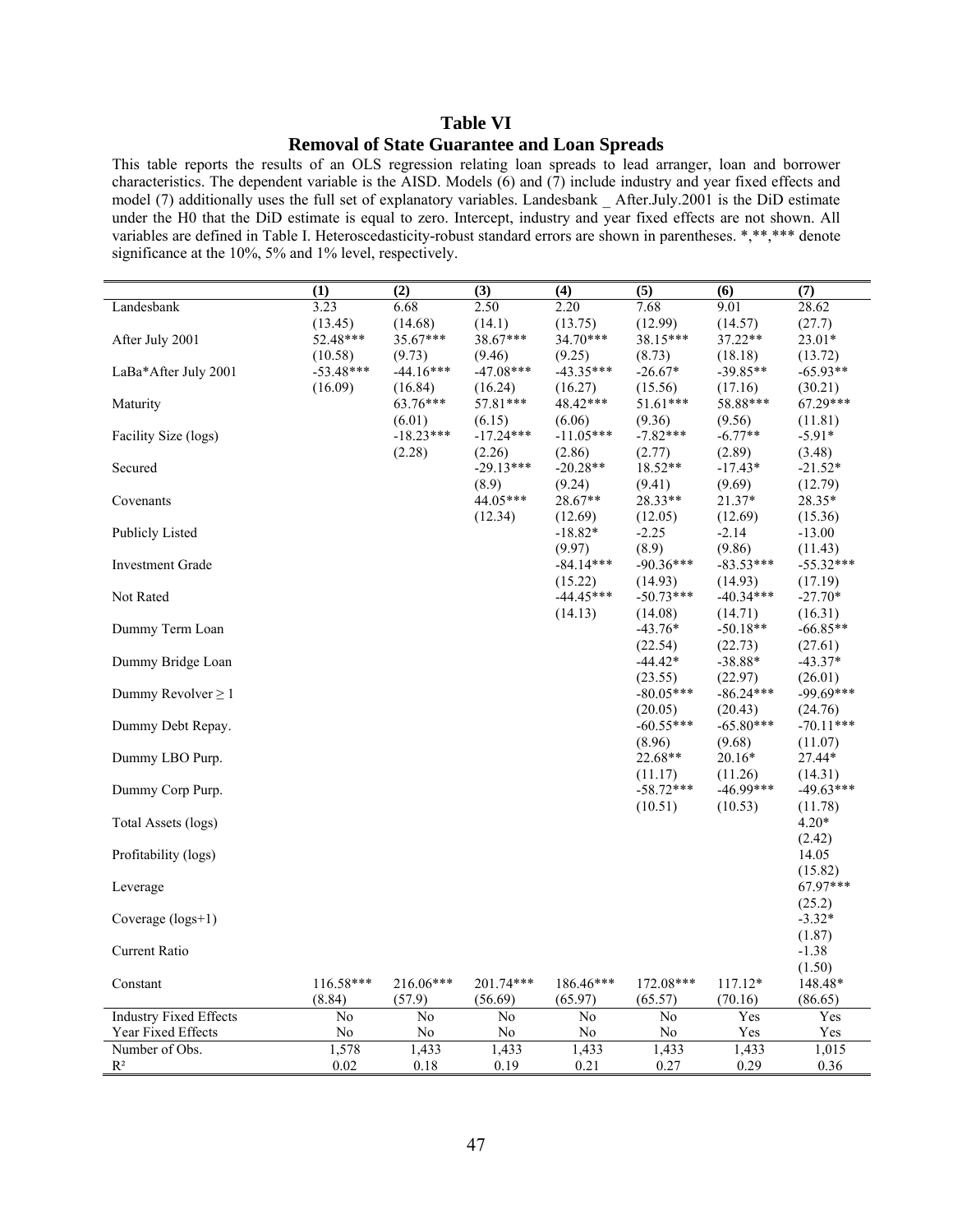## **Table VI Removal of State Guarantee and Loan Spreads**

This table reports the results of an OLS regression relating loan spreads to lead arranger, loan and borrower characteristics. The dependent variable is the AISD. Models (6) and (7) include industry and year fixed effects and model (7) additionally uses the full set of explanatory variables. Landesbank \_ After.July.2001 is the DiD estimate under the H0 that the DiD estimate is equal to zero. Intercept, industry and year fixed effects are not shown. All variables are defined in Table I. Heteroscedasticity-robust standard errors are shown in parentheses. \*,\*\*,\*\*\* denote significance at the 10%, 5% and 1% level, respectively.

|                               | (1)         | (2)         | (3)            | (4)            | (5)         | (6)         | (7)         |
|-------------------------------|-------------|-------------|----------------|----------------|-------------|-------------|-------------|
| Landesbank                    | 3.23        | 6.68        | 2.50           | 2.20           | 7.68        | 9.01        | 28.62       |
|                               | (13.45)     | (14.68)     | (14.1)         | (13.75)        | (12.99)     | (14.57)     | (27.7)      |
| After July 2001               | 52.48***    | 35.67***    | 38.67***       | 34.70***       | 38.15***    | $37.22**$   | 23.01*      |
|                               | (10.58)     | (9.73)      | (9.46)         | (9.25)         | (8.73)      | (18.18)     | (13.72)     |
| LaBa*After July 2001          | $-53.48***$ | $-44.16***$ | $-47.08***$    | $-43.35***$    | $-26.67*$   | $-39.85**$  | $-65.93**$  |
|                               | (16.09)     | (16.84)     | (16.24)        | (16.27)        | (15.56)     | (17.16)     | (30.21)     |
| Maturity                      |             | 63.76***    | 57.81***       | 48.42***       | 51.61***    | 58.88***    | 67.29***    |
|                               |             | (6.01)      | (6.15)         | (6.06)         | (9.36)      | (9.56)      | (11.81)     |
| Facility Size (logs)          |             | $-18.23***$ | $-17.24***$    | $-11.05***$    | $-7.82***$  | $-6.77**$   | $-5.91*$    |
|                               |             | (2.28)      | (2.26)         | (2.86)         | (2.77)      | (2.89)      | (3.48)      |
| Secured                       |             |             | $-29.13***$    | $-20.28**$     | 18.52**     | $-17.43*$   | $-21.52*$   |
|                               |             |             | (8.9)          | (9.24)         | (9.41)      | (9.69)      | (12.79)     |
| Covenants                     |             |             | 44.05***       | 28.67**        | 28.33**     | 21.37*      | 28.35*      |
|                               |             |             | (12.34)        | (12.69)        | (12.05)     | (12.69)     | (15.36)     |
| <b>Publicly Listed</b>        |             |             |                | $-18.82*$      | $-2.25$     | $-2.14$     | $-13.00$    |
|                               |             |             |                | (9.97)         | (8.9)       | (9.86)      | (11.43)     |
| <b>Investment Grade</b>       |             |             |                | $-84.14***$    | $-90.36***$ | $-83.53***$ | $-55.32***$ |
|                               |             |             |                | (15.22)        | (14.93)     | (14.93)     | (17.19)     |
| Not Rated                     |             |             |                | $-44.45***$    | $-50.73***$ | $-40.34***$ | $-27.70*$   |
|                               |             |             |                | (14.13)        | (14.08)     | (14.71)     | (16.31)     |
| Dummy Term Loan               |             |             |                |                | $-43.76*$   | $-50.18**$  | $-66.85**$  |
|                               |             |             |                |                | (22.54)     | (22.73)     | (27.61)     |
| Dummy Bridge Loan             |             |             |                |                | $-44.42*$   | $-38.88*$   | $-43.37*$   |
|                               |             |             |                |                | (23.55)     | (22.97)     | (26.01)     |
| Dummy Revolver $\geq 1$       |             |             |                |                | $-80.05***$ | $-86.24***$ | $-99.69***$ |
|                               |             |             |                |                | (20.05)     | (20.43)     | (24.76)     |
| Dummy Debt Repay.             |             |             |                |                | $-60.55***$ | $-65.80***$ | $-70.11***$ |
|                               |             |             |                |                | (8.96)      | (9.68)      | (11.07)     |
| Dummy LBO Purp.               |             |             |                |                | $22.68**$   | $20.16*$    | 27.44*      |
|                               |             |             |                |                | (11.17)     | (11.26)     | (14.31)     |
| Dummy Corp Purp.              |             |             |                |                | $-58.72***$ | $-46.99***$ | $-49.63***$ |
|                               |             |             |                |                | (10.51)     | (10.53)     | (11.78)     |
| Total Assets (logs)           |             |             |                |                |             |             | $4.20*$     |
|                               |             |             |                |                |             |             | (2.42)      |
| Profitability (logs)          |             |             |                |                |             |             | 14.05       |
|                               |             |             |                |                |             |             | (15.82)     |
| Leverage                      |             |             |                |                |             |             | 67.97***    |
|                               |             |             |                |                |             |             | (25.2)      |
| Coverage $(logs+1)$           |             |             |                |                |             |             | $-3.32*$    |
|                               |             |             |                |                |             |             | (1.87)      |
| Current Ratio                 |             |             |                |                |             |             | $-1.38$     |
|                               |             |             |                |                |             |             | (1.50)      |
| Constant                      | $116.58***$ | 216.06***   | 201.74***      | 186.46***      | 172.08***   | $117.12*$   | 148.48*     |
|                               | (8.84)      | (57.9)      | (56.69)        | (65.97)        | (65.57)     | (70.16)     | (86.65)     |
| <b>Industry Fixed Effects</b> | No          | No          | N <sub>0</sub> | N <sub>0</sub> | No          | Yes         | Yes         |
| Year Fixed Effects            | $\rm No$    | $\rm No$    | $\rm No$       | No             | No          | Yes         | Yes         |
| Number of Obs.                | 1,578       | 1,433       | 1,433          | 1,433          | 1,433       | 1,433       | 1,015       |
| $R^2$                         | 0.02        | 0.18        | 0.19           | 0.21           | 0.27        | 0.29        | 0.36        |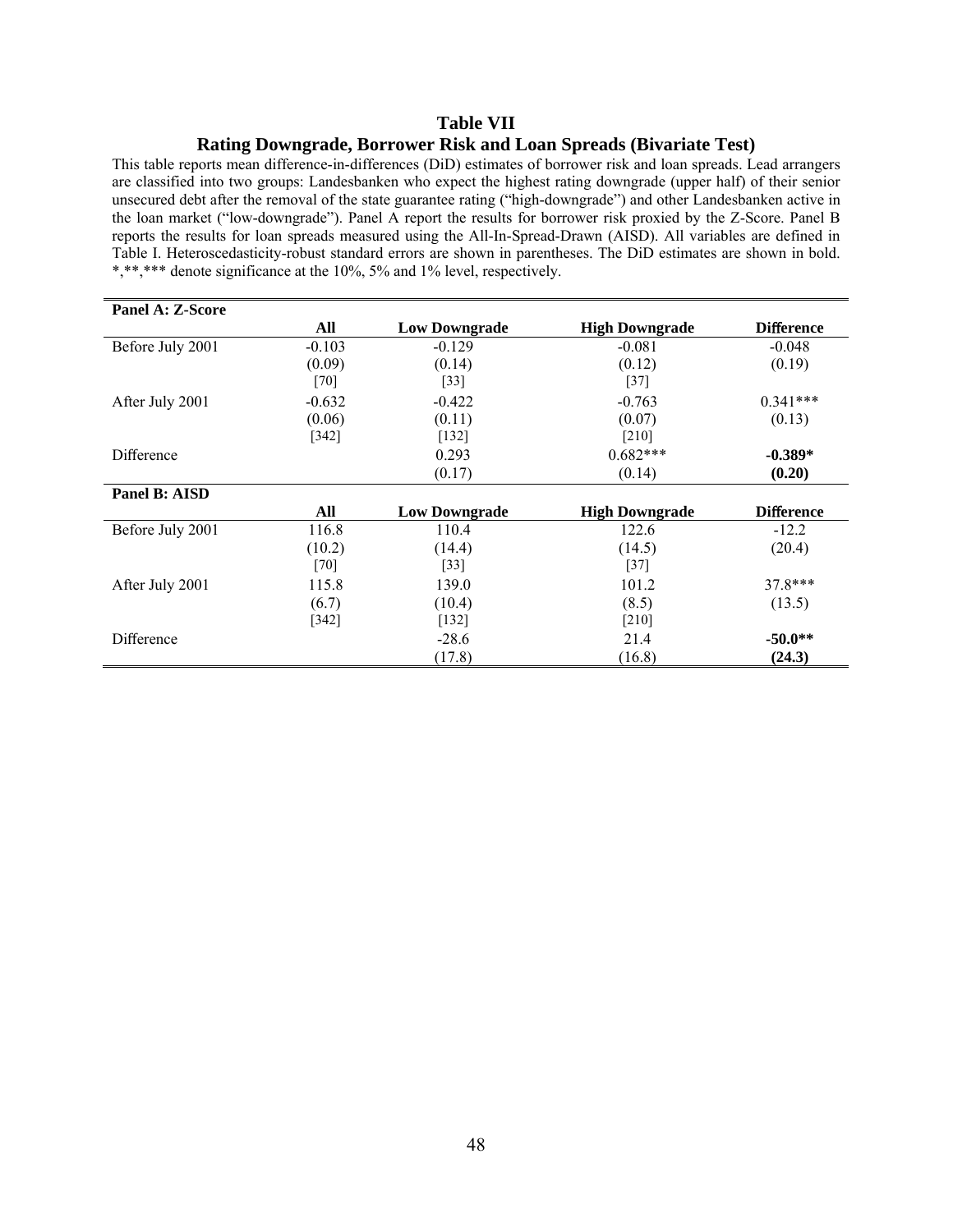### **Table VII Rating Downgrade, Borrower Risk and Loan Spreads (Bivariate Test)**

This table reports mean difference-in-differences (DiD) estimates of borrower risk and loan spreads. Lead arrangers are classified into two groups: Landesbanken who expect the highest rating downgrade (upper half) of their senior unsecured debt after the removal of the state guarantee rating ("high-downgrade") and other Landesbanken active in the loan market ("low-downgrade"). Panel A report the results for borrower risk proxied by the Z-Score. Panel B reports the results for loan spreads measured using the All-In-Spread-Drawn (AISD). All variables are defined in Table I. Heteroscedasticity-robust standard errors are shown in parentheses. The DiD estimates are shown in bold. \*,\*\*,\*\*\* denote significance at the 10%, 5% and 1% level, respectively.

| Panel A: Z-Score |          |                      |                       |                   |
|------------------|----------|----------------------|-----------------------|-------------------|
|                  | All      | <b>Low Downgrade</b> | <b>High Downgrade</b> | <b>Difference</b> |
| Before July 2001 | $-0.103$ | $-0.129$             | $-0.081$              | $-0.048$          |
|                  | (0.09)   | (0.14)               | (0.12)                | (0.19)            |
|                  | $[70]$   | $[33]$               | $[37]$                |                   |
| After July 2001  | $-0.632$ | $-0.422$             | $-0.763$              | $0.341***$        |
|                  | (0.06)   | (0.11)               | (0.07)                | (0.13)            |
|                  | $[342]$  | $[132]$              | $[210]$               |                   |
| Difference       |          | 0.293                | $0.682***$            | $-0.389*$         |
|                  |          | (0.17)               | (0.14)                | (0.20)            |
| Panel B: AISD    |          |                      |                       |                   |
|                  | All      | <b>Low Downgrade</b> | <b>High Downgrade</b> | <b>Difference</b> |
| Before July 2001 | 116.8    | 110.4                | 122.6                 | $-12.2$           |
|                  | (10.2)   | (14.4)               | (14.5)                | (20.4)            |
|                  | $[70]$   | $[33]$               | $[37]$                |                   |
| After July 2001  | 115.8    | 139.0                | 101.2                 | $378***$          |
|                  | (6.7)    | (10.4)               | (8.5)                 | (13.5)            |
|                  | $[342]$  | $[132]$              | $[210]$               |                   |
| Difference       |          | $-28.6$              | 21.4                  | $-50.0**$         |
|                  |          | (17.8)               | (16.8)                | (24.3)            |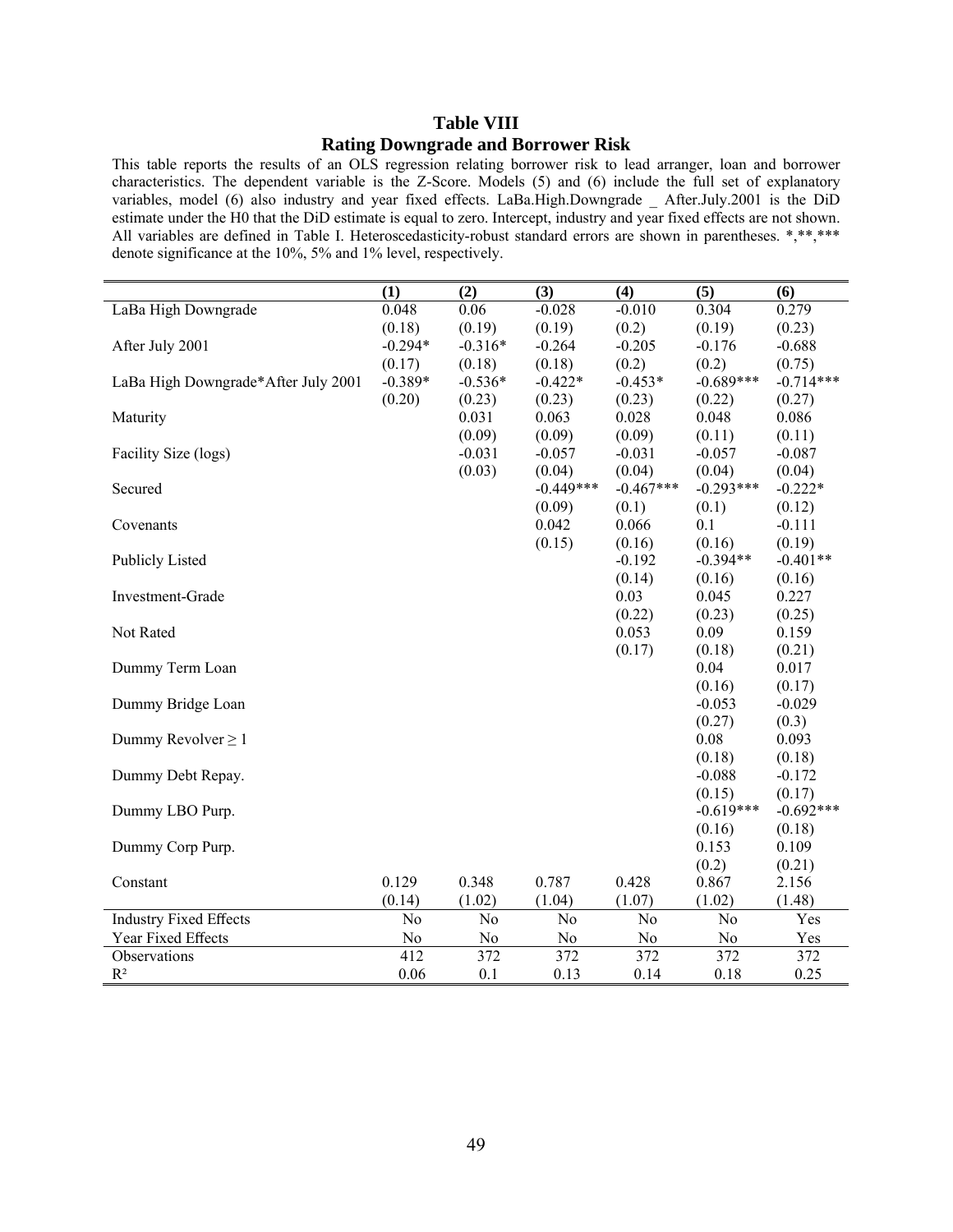## **Table VIII Rating Downgrade and Borrower Risk**

This table reports the results of an OLS regression relating borrower risk to lead arranger, loan and borrower characteristics. The dependent variable is the Z-Score. Models (5) and (6) include the full set of explanatory variables, model (6) also industry and year fixed effects. LaBa.High.Downgrade \_ After.July.2001 is the DiD estimate under the H0 that the DiD estimate is equal to zero. Intercept, industry and year fixed effects are not shown. All variables are defined in Table I. Heteroscedasticity-robust standard errors are shown in parentheses. \*,\*\*,\*\*\* denote significance at the 10%, 5% and 1% level, respectively.

|                                                     | (1)                   | (2)                    | (3)                                | (4)                    | (5)                                | (6)         |
|-----------------------------------------------------|-----------------------|------------------------|------------------------------------|------------------------|------------------------------------|-------------|
| LaBa High Downgrade                                 | 0.048                 | 0.06                   | $-0.028$                           | $-0.010$               | 0.304                              | 0.279       |
|                                                     | (0.18)                | (0.19)                 | (0.19)                             | (0.2)                  | (0.19)                             | (0.23)      |
| After July 2001                                     | $-0.294*$             | $-0.316*$              | $-0.264$                           | $-0.205$               | $-0.176$                           | $-0.688$    |
|                                                     | (0.17)                | (0.18)                 | (0.18)                             | (0.2)                  | (0.2)                              | (0.75)      |
| LaBa High Downgrade*After July 2001                 | $-0.389*$             | $-0.536*$              | $-0.422*$                          | $-0.453*$              | $-0.689***$                        | $-0.714***$ |
|                                                     | (0.20)                | (0.23)                 | (0.23)                             | (0.23)                 | (0.22)                             | (0.27)      |
| Maturity                                            |                       | 0.031                  | 0.063                              | 0.028                  | 0.048                              | 0.086       |
|                                                     |                       | (0.09)                 | (0.09)                             | (0.09)                 | (0.11)                             | (0.11)      |
| Facility Size (logs)                                |                       | $-0.031$               | $-0.057$                           | $-0.031$               | $-0.057$                           | $-0.087$    |
|                                                     |                       | (0.03)                 | (0.04)                             | (0.04)                 | (0.04)                             | (0.04)      |
| Secured                                             |                       |                        | $-0.449***$                        | $-0.467***$            | $-0.293***$                        | $-0.222*$   |
|                                                     |                       |                        | (0.09)                             | (0.1)                  | (0.1)                              | (0.12)      |
| Covenants                                           |                       |                        | 0.042                              | 0.066                  | 0.1                                | $-0.111$    |
|                                                     |                       |                        | (0.15)                             | (0.16)                 | (0.16)                             | (0.19)      |
| <b>Publicly Listed</b>                              |                       |                        |                                    | $-0.192$               | $-0.394**$                         | $-0.401**$  |
|                                                     |                       |                        |                                    | (0.14)                 | (0.16)                             | (0.16)      |
| Investment-Grade                                    |                       |                        |                                    | 0.03                   | 0.045                              | 0.227       |
|                                                     |                       |                        |                                    | (0.22)                 | (0.23)                             | (0.25)      |
| Not Rated                                           |                       |                        |                                    | 0.053                  | 0.09                               | 0.159       |
|                                                     |                       |                        |                                    | (0.17)                 | (0.18)                             | (0.21)      |
| Dummy Term Loan                                     |                       |                        |                                    |                        | 0.04                               | 0.017       |
|                                                     |                       |                        |                                    |                        | (0.16)                             | (0.17)      |
| Dummy Bridge Loan                                   |                       |                        |                                    |                        | $-0.053$                           | $-0.029$    |
|                                                     |                       |                        |                                    |                        | (0.27)                             | (0.3)       |
| Dummy Revolver $\geq 1$                             |                       |                        |                                    |                        | 0.08                               | 0.093       |
|                                                     |                       |                        |                                    |                        | (0.18)                             | (0.18)      |
| Dummy Debt Repay.                                   |                       |                        |                                    |                        | $-0.088$                           | $-0.172$    |
|                                                     |                       |                        |                                    |                        | (0.15)                             | (0.17)      |
| Dummy LBO Purp.                                     |                       |                        |                                    |                        | $-0.619***$                        | $-0.692***$ |
|                                                     |                       |                        |                                    |                        | (0.16)                             | (0.18)      |
| Dummy Corp Purp.                                    |                       |                        |                                    |                        | 0.153                              | 0.109       |
|                                                     | 0.129                 | 0.348                  | 0.787                              | 0.428                  | (0.2)                              | (0.21)      |
| Constant                                            |                       |                        |                                    |                        | 0.867                              | 2.156       |
|                                                     | (0.14)                | (1.02)                 | (1.04)                             | (1.07)                 | (1.02)                             | (1.48)      |
| <b>Industry Fixed Effects</b><br>Year Fixed Effects | No                    | No                     | No                                 | N <sub>o</sub>         | N <sub>o</sub>                     | Yes         |
|                                                     | N <sub>0</sub><br>412 | No<br>$\overline{372}$ | N <sub>0</sub><br>$\overline{372}$ | No<br>$\overline{372}$ | N <sub>0</sub><br>$\overline{372}$ | Yes<br>372  |
| Observations                                        |                       |                        |                                    |                        |                                    |             |
| $R^2$                                               | 0.06                  | 0.1                    | 0.13                               | 0.14                   | 0.18                               | 0.25        |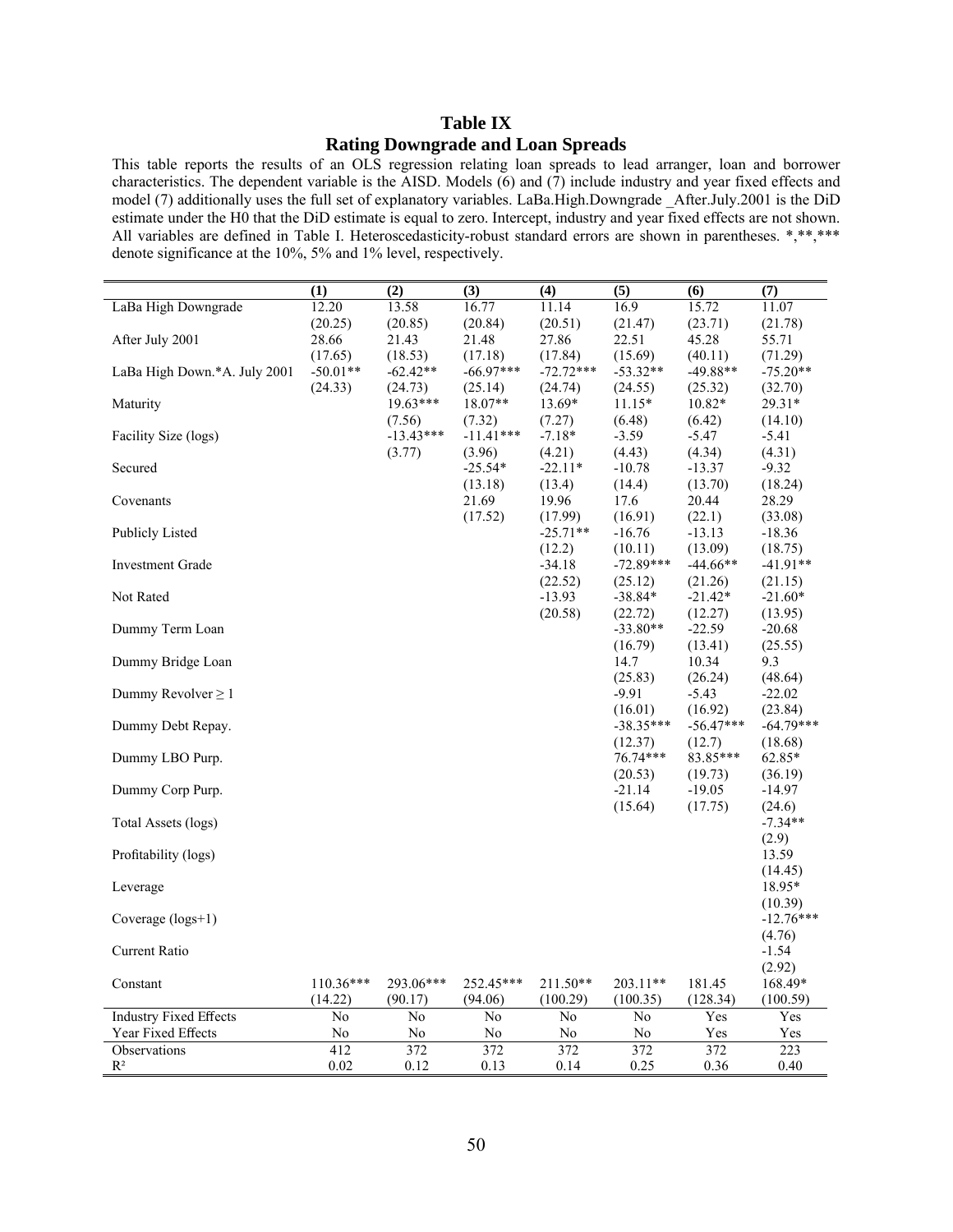## **Table IX Rating Downgrade and Loan Spreads**

This table reports the results of an OLS regression relating loan spreads to lead arranger, loan and borrower characteristics. The dependent variable is the AISD. Models  $(6)$  and  $(7)$  include industry and year fixed effects and model (7) additionally uses the full set of explanatory variables. LaBa.High.Downgrade After.July.2001 is the DiD estimate under the H0 that the DiD estimate is equal to zero. Intercept, industry and year fixed effects are not shown. All variables are defined in Table I. Heteroscedasticity-robust standard errors are shown in parentheses. \*,\*\*,\*\*\* denote significance at the 10%, 5% and 1% level, respectively.

|                               | (1)            | (2)         | (3)            | (4)            | (5)                | (6)                | (7)                 |
|-------------------------------|----------------|-------------|----------------|----------------|--------------------|--------------------|---------------------|
| LaBa High Downgrade           | 12.20          | 13.58       | 16.77          | 11.14          | 16.9               | 15.72              | 11.07               |
|                               | (20.25)        | (20.85)     | (20.84)        | (20.51)        | (21.47)            | (23.71)            | (21.78)             |
| After July 2001               | 28.66          | 21.43       | 21.48          | 27.86          | 22.51              | 45.28              | 55.71               |
|                               | (17.65)        | (18.53)     | (17.18)        | (17.84)        | (15.69)            | (40.11)            | (71.29)             |
| LaBa High Down.*A. July 2001  | $-50.01**$     | $-62.42**$  | $-66.97***$    | $-72.72***$    | $-53.32**$         | $-49.88**$         | $-75.20**$          |
|                               | (24.33)        | (24.73)     | (25.14)        | (24.74)        | (24.55)            | (25.32)            | (32.70)             |
| Maturity                      |                | $19.63***$  | $18.07**$      | 13.69*         | $11.15*$           | 10.82*             | 29.31*              |
|                               |                | (7.56)      | (7.32)         | (7.27)         | (6.48)             | (6.42)             | (14.10)             |
| Facility Size (logs)          |                | $-13.43***$ | $-11.41***$    | $-7.18*$       | $-3.59$            | $-5.47$            | $-5.41$             |
|                               |                | (3.77)      | (3.96)         | (4.21)         | (4.43)             | (4.34)             | (4.31)              |
| Secured                       |                |             | $-25.54*$      | $-22.11*$      | $-10.78$           | $-13.37$           | $-9.32$             |
|                               |                |             | (13.18)        | (13.4)         | (14.4)             | (13.70)            | (18.24)             |
| Covenants                     |                |             | 21.69          | 19.96          | 17.6               | 20.44              | 28.29               |
|                               |                |             | (17.52)        | (17.99)        | (16.91)            | (22.1)             | (33.08)             |
| <b>Publicly Listed</b>        |                |             |                | $-25.71**$     | $-16.76$           | $-13.13$           | $-18.36$            |
|                               |                |             |                | (12.2)         | (10.11)            | (13.09)            | (18.75)             |
| <b>Investment Grade</b>       |                |             |                | $-34.18$       | $-72.89***$        | $-44.66**$         | $-41.91**$          |
|                               |                |             |                | (22.52)        | (25.12)            | (21.26)            | (21.15)             |
| Not Rated                     |                |             |                | $-13.93$       | $-38.84*$          | $-21.42*$          | $-21.60*$           |
|                               |                |             |                | (20.58)        | (22.72)            | (12.27)            | (13.95)             |
| Dummy Term Loan               |                |             |                |                | $-33.80**$         | $-22.59$           | $-20.68$            |
|                               |                |             |                |                | (16.79)            | (13.41)            | (25.55)             |
| Dummy Bridge Loan             |                |             |                |                | 14.7               | 10.34              | 9.3                 |
|                               |                |             |                |                | (25.83)<br>$-9.91$ | (26.24)<br>$-5.43$ | (48.64)<br>$-22.02$ |
| Dummy Revolver $\geq 1$       |                |             |                |                | (16.01)            | (16.92)            | (23.84)             |
| Dummy Debt Repay.             |                |             |                |                | $-38.35***$        | $-56.47***$        | $-64.79***$         |
|                               |                |             |                |                | (12.37)            | (12.7)             | (18.68)             |
| Dummy LBO Purp.               |                |             |                |                | 76.74***           | 83.85***           | 62.85*              |
|                               |                |             |                |                | (20.53)            | (19.73)            | (36.19)             |
| Dummy Corp Purp.              |                |             |                |                | $-21.14$           | $-19.05$           | $-14.97$            |
|                               |                |             |                |                | (15.64)            | (17.75)            | (24.6)              |
| Total Assets (logs)           |                |             |                |                |                    |                    | $-7.34**$           |
|                               |                |             |                |                |                    |                    | (2.9)               |
| Profitability (logs)          |                |             |                |                |                    |                    | 13.59               |
|                               |                |             |                |                |                    |                    | (14.45)             |
| Leverage                      |                |             |                |                |                    |                    | 18.95*              |
|                               |                |             |                |                |                    |                    | (10.39)             |
| Coverage (logs+1)             |                |             |                |                |                    |                    | $-12.76***$         |
|                               |                |             |                |                |                    |                    | (4.76)              |
| Current Ratio                 |                |             |                |                |                    |                    | $-1.54$             |
|                               |                |             |                |                |                    |                    | (2.92)              |
| Constant                      | $110.36***$    | 293.06***   | 252.45***      | $211.50**$     | $203.11**$         | 181.45             | 168.49*             |
|                               | (14.22)        | (90.17)     | (94.06)        | (100.29)       | (100.35)           | (128.34)           | (100.59)            |
| <b>Industry Fixed Effects</b> | N <sub>0</sub> | No          | N <sub>0</sub> | N <sub>0</sub> | No                 | Yes                | Yes                 |
| Year Fixed Effects            | No             | No          | No             | No             | No                 | Yes                | Yes                 |
| Observations                  | 412            | 372         | 372            | 372            | 372                | 372                | 223                 |
| $R^2$                         | 0.02           | 0.12        | 0.13           | 0.14           | 0.25               | 0.36               | 0.40                |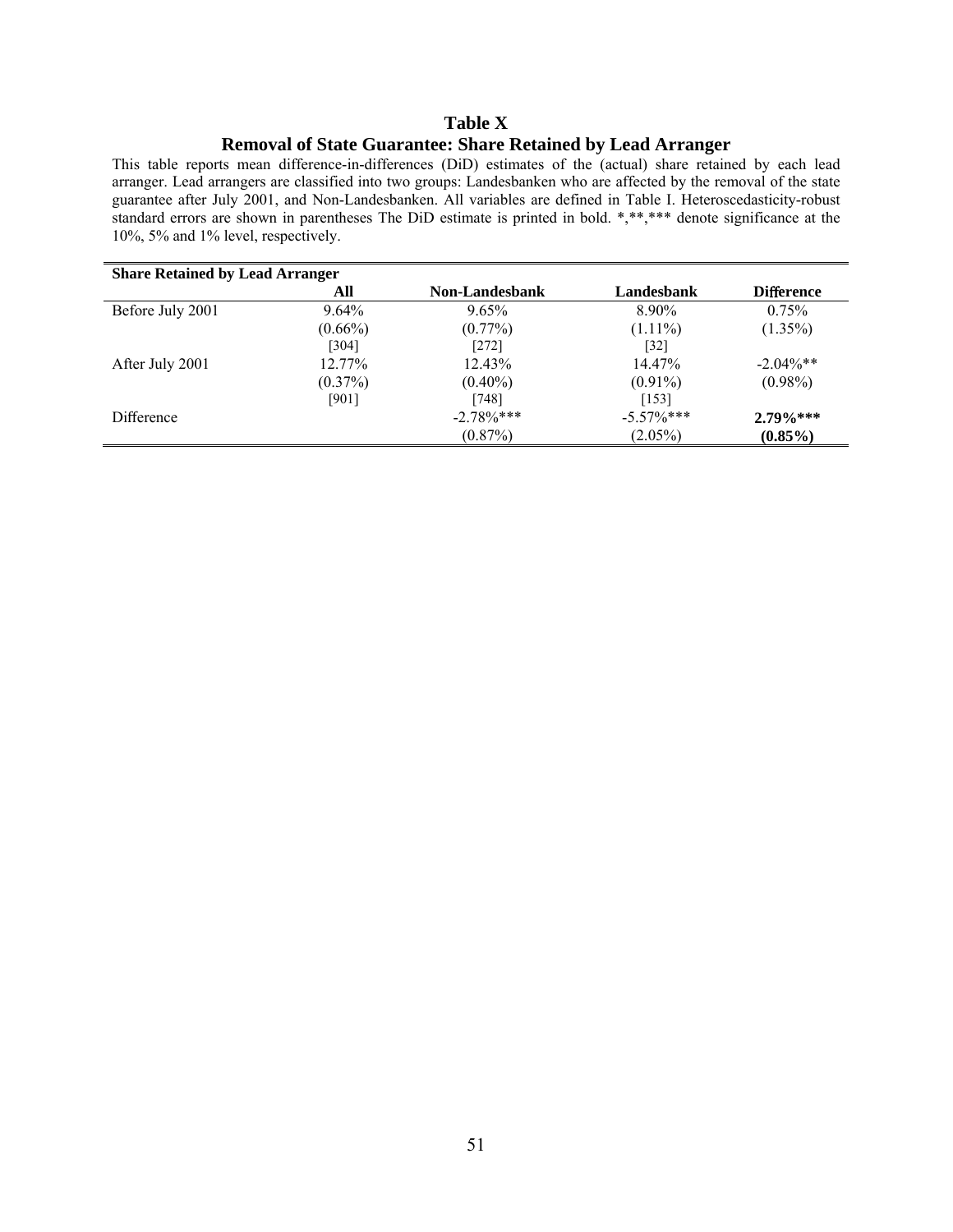## **Table X Removal of State Guarantee: Share Retained by Lead Arranger**

This table reports mean difference-in-differences (DiD) estimates of the (actual) share retained by each lead arranger. Lead arrangers are classified into two groups: Landesbanken who are affected by the removal of the state guarantee after July 2001, and Non-Landesbanken. All variables are defined in Table I. Heteroscedasticity-robust standard errors are shown in parentheses The DiD estimate is printed in bold. \*,\*\*,\*\*\* denote significance at the 10%, 5% and 1% level, respectively.

| <b>Share Retained by Lead Arranger</b> |            |                       |               |                   |  |  |
|----------------------------------------|------------|-----------------------|---------------|-------------------|--|--|
|                                        | All        | <b>Non-Landesbank</b> | Landesbank    | <b>Difference</b> |  |  |
| Before July 2001                       | $9.64\%$   | 9.65%                 | 8.90%         | 0.75%             |  |  |
|                                        | $(0.66\%)$ | $(0.77\%)$            | $(1.11\%)$    | $(1.35\%)$        |  |  |
|                                        | [304]      | $[272]$               | [32]          |                   |  |  |
| After July 2001                        | 12.77%     | 12.43%                | 14.47%        | $-2.04\%**$       |  |  |
|                                        | $(0.37\%)$ | $(0.40\%)$            | $(0.91\%)$    | $(0.98\%)$        |  |  |
|                                        | [901]      | [748]                 | [153]         |                   |  |  |
| Difference                             |            | $-2.78\%$ ***         | $-5.57\%$ *** | $2.79\%***$       |  |  |
|                                        |            | $(0.87\%)$            | $(2.05\%)$    | $(0.85\%)$        |  |  |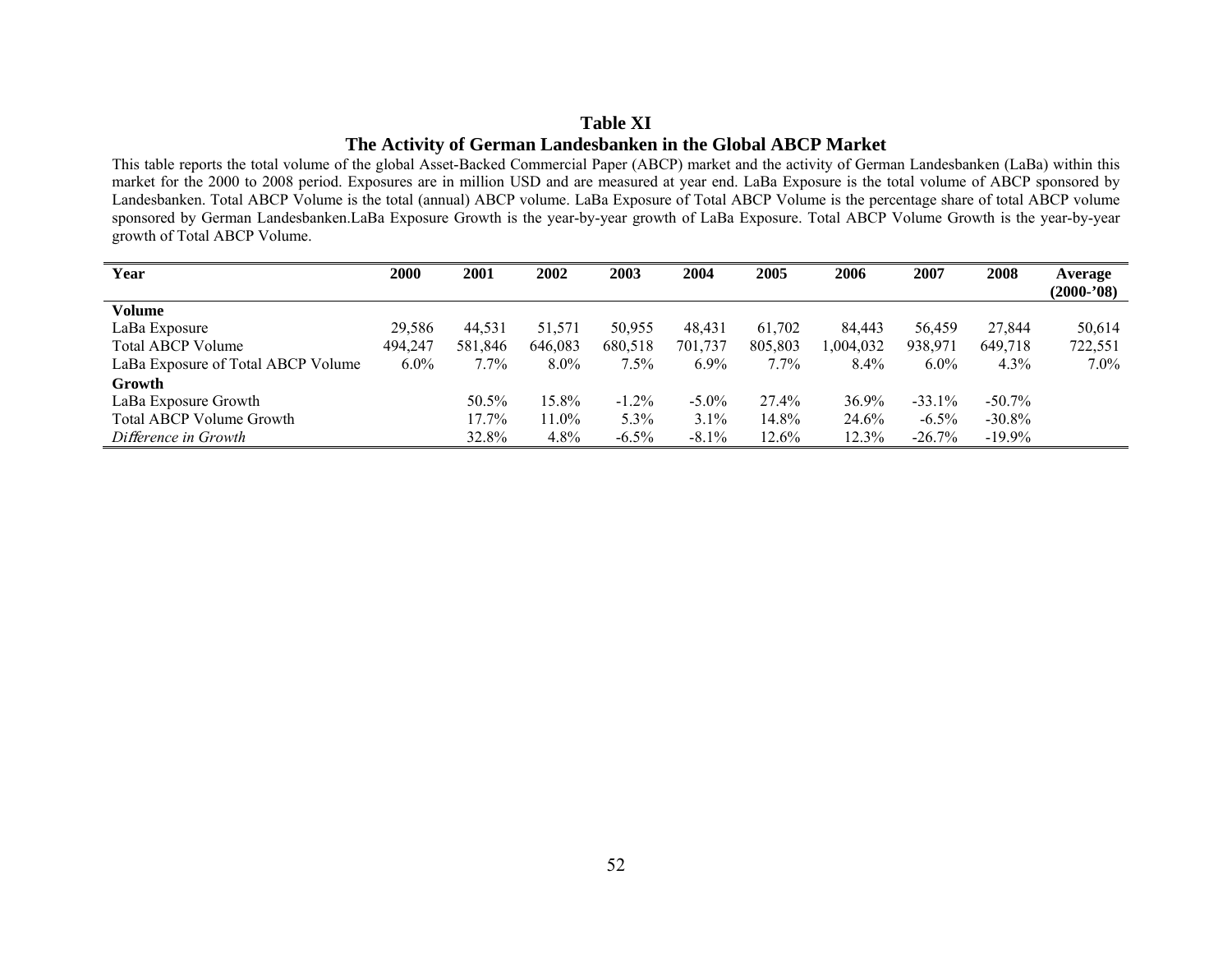## **Table XI The Activity of German Landesbanken in the Global ABCP Market**

This table reports the total volume of the global Asset-Backed Commercial Paper (ABCP) market and the activity of German Landesbanken (LaBa) within this market for the 2000 to 2008 period. Exposures are in million USD and are measured at year end. LaBa Exposure is the total volume of ABCP sponsored by Landesbanken. Total ABCP Volume is the total (annual) ABCP volume. LaBa Exposure of Total ABCP Volume is the percentage share of total ABCP volume sponsored by German Landesbanken.LaBa Exposure Growth is the year-by-year growth of LaBa Exposure. Total ABCP Volume Growth is the year-by-year growth of Total ABCP Volume.

| Year                               | <b>2000</b> | 2001    | 2002     | 2003     | 2004     | 2005     | 2006      | 2007      | 2008      | Average<br>$(2000 - 08)$ |
|------------------------------------|-------------|---------|----------|----------|----------|----------|-----------|-----------|-----------|--------------------------|
| Volume                             |             |         |          |          |          |          |           |           |           |                          |
| LaBa Exposure                      | 29,586      | 44,531  | 51,571   | 50,955   | 48.431   | 61,702   | 84,443    | 56.459    | 27,844    | 50,614                   |
| <b>Total ABCP Volume</b>           | 494,247     | 581,846 | 646,083  | 680,518  | 701,737  | 805,803  | 1,004,032 | 938,971   | 649,718   | 722,551                  |
| LaBa Exposure of Total ABCP Volume | $6.0\%$     | $7.7\%$ | $8.0\%$  | $7.5\%$  | $6.9\%$  | $7.7\%$  | $8.4\%$   | $6.0\%$   | $4.3\%$   | $7.0\%$                  |
| Growth                             |             |         |          |          |          |          |           |           |           |                          |
| LaBa Exposure Growth               |             | 50.5%   | $15.8\%$ | $-1.2\%$ | $-5.0\%$ | 27.4%    | 36.9%     | $-33.1\%$ | $-50.7\%$ |                          |
| Total ABCP Volume Growth           |             | 17.7%   | 11.0%    | $5.3\%$  | 3.1%     | 14.8%    | 24.6%     | $-6.5\%$  | $-30.8\%$ |                          |
| Difference in Growth               |             | 32.8%   | 4.8%     | $-6.5\%$ | $-8.1\%$ | $12.6\%$ | 12.3%     | $-26.7\%$ | $-19.9\%$ |                          |